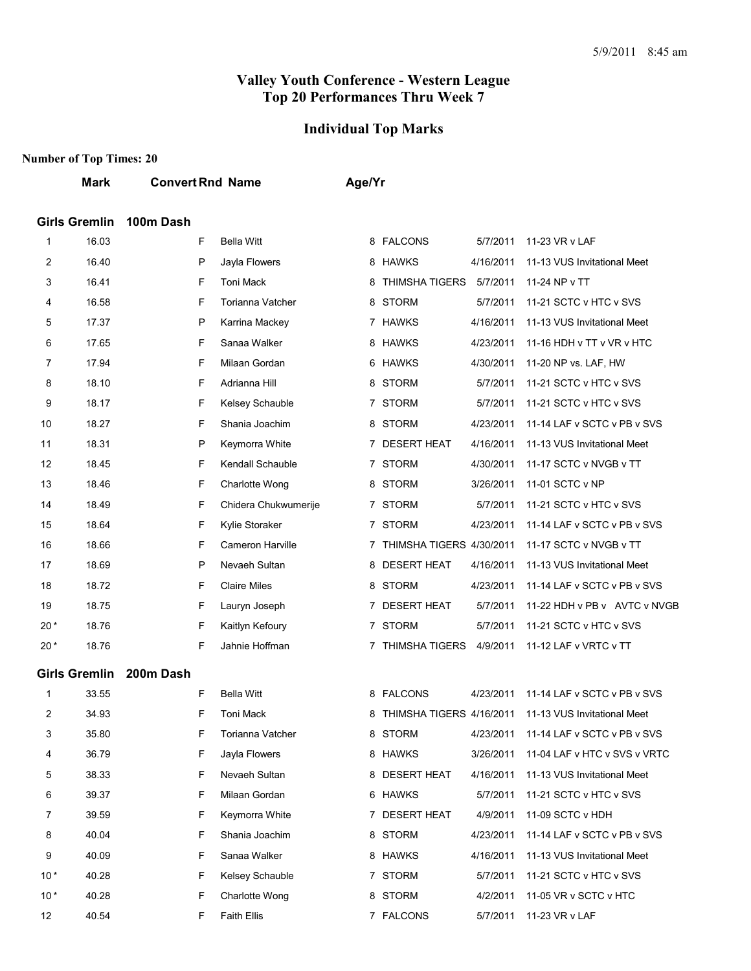#### **Individual Top Marks**

|                | <b>Mark</b>          | <b>Convert Rnd Name</b> |                      | Age/Yr |                            |           |                                       |
|----------------|----------------------|-------------------------|----------------------|--------|----------------------------|-----------|---------------------------------------|
|                | <b>Girls Gremlin</b> | 100m Dash               |                      |        |                            |           |                                       |
| 1              | 16.03                | F                       | <b>Bella Witt</b>    |        | 8 FALCONS                  | 5/7/2011  | 11-23 VR v LAF                        |
| $\overline{2}$ | 16.40                | P                       | Jayla Flowers        |        | 8 HAWKS                    | 4/16/2011 | 11-13 VUS Invitational Meet           |
| 3              | 16.41                | F                       | <b>Toni Mack</b>     |        | 8 THIMSHA TIGERS           | 5/7/2011  | 11-24 NP v TT                         |
| 4              | 16.58                | F                       | Torianna Vatcher     |        | 8 STORM                    | 5/7/2011  | 11-21 SCTC v HTC v SVS                |
| 5              | 17.37                | P                       | Karrina Mackey       |        | 7 HAWKS                    | 4/16/2011 | 11-13 VUS Invitational Meet           |
| 6              | 17.65                | F                       | Sanaa Walker         |        | 8 HAWKS                    | 4/23/2011 | 11-16 HDH v TT v VR v HTC             |
| $\overline{7}$ | 17.94                | F                       | Milaan Gordan        |        | 6 HAWKS                    | 4/30/2011 | 11-20 NP vs. LAF, HW                  |
| 8              | 18.10                | F                       | Adrianna Hill        |        | 8 STORM                    | 5/7/2011  | 11-21 SCTC v HTC v SVS                |
| 9              | 18.17                | F                       | Kelsey Schauble      |        | 7 STORM                    | 5/7/2011  | 11-21 SCTC v HTC v SVS                |
| 10             | 18.27                | F                       | Shania Joachim       |        | 8 STORM                    | 4/23/2011 | 11-14 LAF v SCTC v PB v SVS           |
| 11             | 18.31                | P                       | Keymorra White       |        | 7 DESERT HEAT              | 4/16/2011 | 11-13 VUS Invitational Meet           |
| 12             | 18.45                | F                       | Kendall Schauble     |        | 7 STORM                    | 4/30/2011 | 11-17 SCTC v NVGB v TT                |
| 13             | 18.46                | F                       | Charlotte Wong       |        | 8 STORM                    | 3/26/2011 | 11-01 SCTC v NP                       |
| 14             | 18.49                | F                       | Chidera Chukwumerije |        | 7 STORM                    | 5/7/2011  | 11-21 SCTC v HTC v SVS                |
| 15             | 18.64                | F                       | Kylie Storaker       |        | 7 STORM                    | 4/23/2011 | 11-14 LAF v SCTC v PB v SVS           |
| 16             | 18.66                | F                       | Cameron Harville     |        | 7 THIMSHA TIGERS 4/30/2011 |           | 11-17 SCTC v NVGB v TT                |
| 17             | 18.69                | P                       | Nevaeh Sultan        |        | 8 DESERT HEAT              | 4/16/2011 | 11-13 VUS Invitational Meet           |
| 18             | 18.72                | F                       | <b>Claire Miles</b>  |        | 8 STORM                    | 4/23/2011 | 11-14 LAF v SCTC v PB v SVS           |
| 19             | 18.75                | F                       | Lauryn Joseph        |        | 7 DESERT HEAT              | 5/7/2011  | 11-22 HDH v PB v AVTC v NVGB          |
| $20*$          | 18.76                | F                       | Kaitlyn Kefoury      |        | 7 STORM                    | 5/7/2011  | 11-21 SCTC v HTC v SVS                |
| $20*$          | 18.76                | F                       | Jahnie Hoffman       |        | 7 THIMSHA TIGERS 4/9/2011  |           | 11-12 LAF v VRTC v TT                 |
|                | <b>Girls Gremlin</b> | 200m Dash               |                      |        |                            |           |                                       |
| 1              | 33.55                | F                       | <b>Bella Witt</b>    |        | 8 FALCONS                  | 4/23/2011 | 11-14 LAF v SCTC v PB v SVS           |
| $\overline{c}$ | 34.93                | F                       | Toni Mack            |        | 8 THIMSHA TIGERS 4/16/2011 |           | 11-13 VUS Invitational Meet           |
| 3              | 35.80                | F                       | Torianna Vatcher     |        | 8 STORM                    |           | 4/23/2011 11-14 LAF v SCTC v PB v SVS |

| 2     | 34.93 | F | Toni Mack          | 8 | THIMSHA TIGERS 4/16/2011 |           | 11-13 VUS Invitational Meet  |
|-------|-------|---|--------------------|---|--------------------------|-----------|------------------------------|
| 3     | 35.80 | F | Torianna Vatcher   |   | 8 STORM                  | 4/23/2011 | 11-14 LAF v SCTC v PB v SVS  |
| 4     | 36.79 | F | Jayla Flowers      | 8 | HAWKS                    | 3/26/2011 | 11-04 LAE v HTC v SVS v VRTC |
| 5     | 38.33 | F | Nevaeh Sultan      | 8 | <b>DESERT HEAT</b>       | 4/16/2011 | 11-13 VUS Invitational Meet  |
| 6     | 39.37 | F | Milaan Gordan      | 6 | <b>HAWKS</b>             | 5/7/2011  | 11-21 SCTC v HTC v SVS       |
|       | 39.59 | F | Keymorra White     |   | <b>DESERT HEAT</b>       | 4/9/2011  | 11-09 SCTC v HDH             |
| 8     | 40.04 | F | Shania Joachim     |   | 8 STORM                  | 4/23/2011 | 11-14 LAF v SCTC v PB v SVS  |
| 9     | 40.09 | F | Sanaa Walker       | 8 | <b>HAWKS</b>             | 4/16/2011 | 11-13 VUS Invitational Meet  |
| $10*$ | 40.28 | F | Kelsey Schauble    |   | <b>STORM</b>             | 5/7/2011  | 11-21 SCTC v HTC v SVS       |
| $10*$ | 40.28 | F | Charlotte Wong     | 8 | <b>STORM</b>             | 4/2/2011  | 11-05 VR v SCTC v HTC        |
| 12    | 40.54 | F | <b>Faith Ellis</b> |   | <b>FALCONS</b>           | 5/7/2011  | 11-23 VR v LAF               |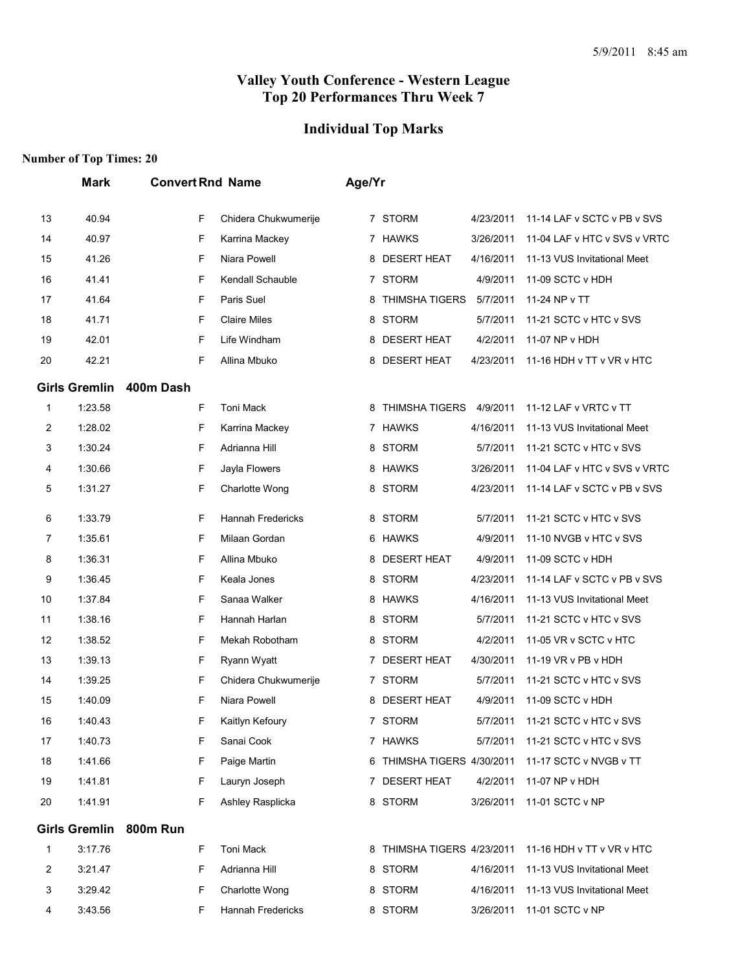#### **Individual Top Marks**

|    | <b>Mark</b>          | <b>Convert Rnd Name</b> |                          | Age/Yr |   |                            |           |                              |
|----|----------------------|-------------------------|--------------------------|--------|---|----------------------------|-----------|------------------------------|
| 13 | 40.94                | F                       | Chidera Chukwumerije     |        |   | 7 STORM                    | 4/23/2011 | 11-14 LAF v SCTC v PB v SVS  |
| 14 | 40.97                | F                       | Karrina Mackey           |        |   | 7 HAWKS                    | 3/26/2011 | 11-04 LAF v HTC v SVS v VRTC |
| 15 | 41.26                | F                       | Niara Powell             |        | 8 | <b>DESERT HEAT</b>         | 4/16/2011 | 11-13 VUS Invitational Meet  |
| 16 | 41.41                | F                       | Kendall Schauble         |        |   | 7 STORM                    | 4/9/2011  | 11-09 SCTC v HDH             |
| 17 | 41.64                | F                       | Paris Suel               |        | 8 | <b>THIMSHA TIGERS</b>      | 5/7/2011  | 11-24 NP v TT                |
| 18 | 41.71                | F                       | <b>Claire Miles</b>      |        | 8 | <b>STORM</b>               | 5/7/2011  | 11-21 SCTC v HTC v SVS       |
| 19 | 42.01                | F                       | Life Windham             |        | 8 | <b>DESERT HEAT</b>         | 4/2/2011  | 11-07 NP v HDH               |
| 20 | 42.21                | F                       | Allina Mbuko             |        | 8 | <b>DESERT HEAT</b>         | 4/23/2011 | 11-16 HDH v TT v VR v HTC    |
|    | <b>Girls Gremlin</b> | 400m Dash               |                          |        |   |                            |           |                              |
| 1  | 1:23.58              | F                       | Toni Mack                |        | 8 | <b>THIMSHA TIGERS</b>      | 4/9/2011  | 11-12 LAF v VRTC v TT        |
| 2  | 1:28.02              | F                       | Karrina Mackey           |        |   | 7 HAWKS                    | 4/16/2011 | 11-13 VUS Invitational Meet  |
| 3  | 1:30.24              | F                       | Adrianna Hill            |        | 8 | <b>STORM</b>               | 5/7/2011  | 11-21 SCTC v HTC v SVS       |
| 4  | 1:30.66              | F                       | Jayla Flowers            |        | 8 | <b>HAWKS</b>               | 3/26/2011 | 11-04 LAF v HTC v SVS v VRTC |
| 5  | 1:31.27              | F                       | Charlotte Wong           |        | 8 | <b>STORM</b>               | 4/23/2011 | 11-14 LAF v SCTC v PB v SVS  |
| 6  | 1:33.79              | F                       | <b>Hannah Fredericks</b> |        | 8 | <b>STORM</b>               | 5/7/2011  | 11-21 SCTC v HTC v SVS       |
| 7  | 1:35.61              | F                       | Milaan Gordan            |        | 6 | HAWKS                      | 4/9/2011  | 11-10 NVGB v HTC v SVS       |
| 8  | 1:36.31              | F                       | Allina Mbuko             |        | 8 | <b>DESERT HEAT</b>         | 4/9/2011  | 11-09 SCTC v HDH             |
| 9  | 1:36.45              | F                       | Keala Jones              |        | 8 | <b>STORM</b>               | 4/23/2011 | 11-14 LAF v SCTC v PB v SVS  |
| 10 | 1:37.84              | F                       | Sanaa Walker             |        | 8 | <b>HAWKS</b>               | 4/16/2011 | 11-13 VUS Invitational Meet  |
| 11 | 1:38.16              | F                       | Hannah Harlan            |        | 8 | <b>STORM</b>               | 5/7/2011  | 11-21 SCTC v HTC v SVS       |
| 12 | 1:38.52              | F                       | Mekah Robotham           |        | 8 | <b>STORM</b>               | 4/2/2011  | 11-05 VR v SCTC v HTC        |
| 13 | 1:39.13              | F                       | Ryann Wyatt              |        |   | 7 DESERT HEAT              | 4/30/2011 | 11-19 VR v PB v HDH          |
| 14 | 1:39.25              | F                       | Chidera Chukwumerije     |        |   | 7 STORM                    | 5/7/2011  | 11-21 SCTC v HTC v SVS       |
| 15 | 1:40.09              | F                       | Niara Powell             |        | 8 | <b>DESERT HEAT</b>         | 4/9/2011  | 11-09 SCTC v HDH             |
| 16 | 1:40.43              | F                       | Kaitlyn Kefoury          |        |   | 7 STORM                    | 5/7/2011  | 11-21 SCTC v HTC v SVS       |
| 17 | 1:40.73              | F                       | Sanai Cook               |        |   | 7 HAWKS                    | 5/7/2011  | 11-21 SCTC v HTC v SVS       |
| 18 | 1:41.66              | F                       | Paige Martin             |        |   | 6 THIMSHA TIGERS 4/30/2011 |           | 11-17 SCTC v NVGB v TT       |
| 19 | 1:41.81              | F                       | Lauryn Joseph            |        |   | 7 DESERT HEAT              | 4/2/2011  | 11-07 NP v HDH               |
| 20 | 1:41.91              | F                       | Ashley Rasplicka         |        |   | 8 STORM                    | 3/26/2011 | 11-01 SCTC v NP              |
|    | <b>Girls Gremlin</b> | 800m Run                |                          |        |   |                            |           |                              |
| 1  | 3:17.76              | F                       | Toni Mack                |        | 8 | THIMSHA TIGERS 4/23/2011   |           | 11-16 HDH v TT v VR v HTC    |
| 2  | 3:21.47              | F                       | Adrianna Hill            |        | 8 | <b>STORM</b>               | 4/16/2011 | 11-13 VUS Invitational Meet  |
| 3  | 3:29.42              | F                       | Charlotte Wong           |        |   | 8 STORM                    | 4/16/2011 | 11-13 VUS Invitational Meet  |
| 4  | 3:43.56              | F                       | Hannah Fredericks        |        |   | 8 STORM                    | 3/26/2011 | 11-01 SCTC v NP              |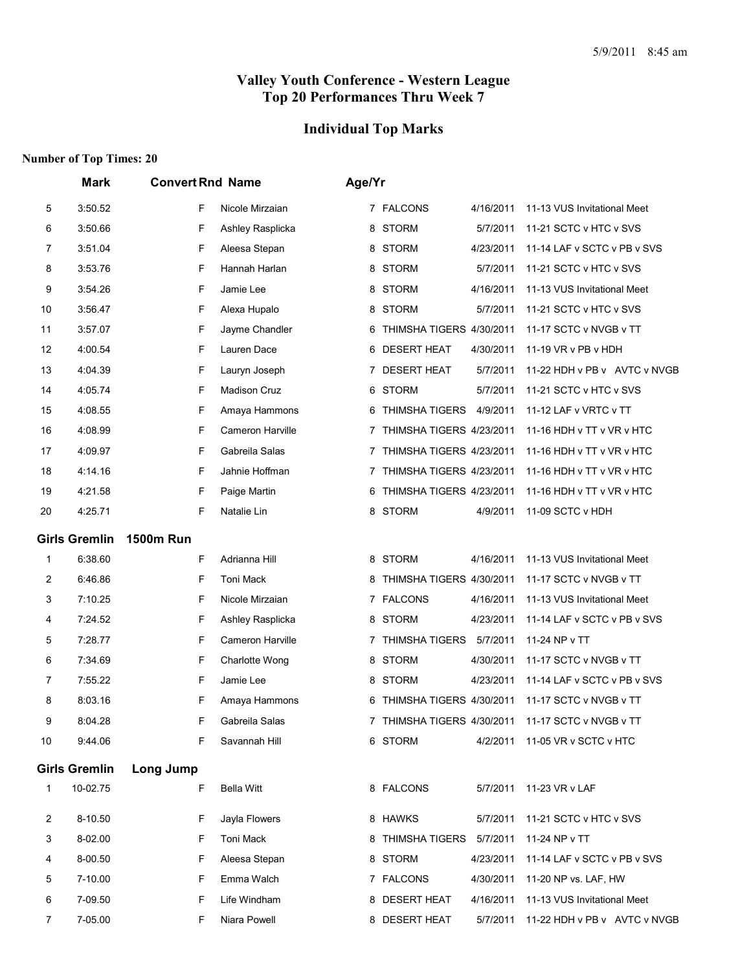## **Individual Top Marks**

|    | <b>Mark</b>          | <b>Convert Rnd Name</b> |                   | Age/Yr |                            |           |                                |  |
|----|----------------------|-------------------------|-------------------|--------|----------------------------|-----------|--------------------------------|--|
| 5  | 3:50.52              | F                       | Nicole Mirzaian   |        | 7 FALCONS                  | 4/16/2011 | 11-13 VUS Invitational Meet    |  |
| 6  | 3:50.66              | F                       | Ashley Rasplicka  | 8      | <b>STORM</b>               | 5/7/2011  | 11-21 SCTC v HTC v SVS         |  |
| 7  | 3:51.04              | F                       | Aleesa Stepan     | 8      | STORM                      | 4/23/2011 | 11-14 LAF v SCTC v PB v SVS    |  |
| 8  | 3:53.76              | F                       | Hannah Harlan     | 8      | <b>STORM</b>               | 5/7/2011  | 11-21 SCTC v HTC v SVS         |  |
| 9  | 3:54.26              | F                       | Jamie Lee         | 8      | <b>STORM</b>               | 4/16/2011 | 11-13 VUS Invitational Meet    |  |
| 10 | 3:56.47              | F                       | Alexa Hupalo      | 8      | <b>STORM</b>               | 5/7/2011  | 11-21 SCTC v HTC v SVS         |  |
| 11 | 3:57.07              | F                       | Jayme Chandler    | 6      | THIMSHA TIGERS 4/30/2011   |           | 11-17 SCTC v NVGB v TT         |  |
| 12 | 4:00.54              | F                       | Lauren Dace       |        | 6 DESERT HEAT              | 4/30/2011 | 11-19 VR v PB v HDH            |  |
| 13 | 4:04.39              | F                       | Lauryn Joseph     | 7      | <b>DESERT HEAT</b>         | 5/7/2011  | 11-22 HDH v PB v AVTC v NVGB   |  |
| 14 | 4:05.74              | F                       | Madison Cruz      |        | 6 STORM                    | 5/7/2011  | 11-21 SCTC v HTC v SVS         |  |
| 15 | 4:08.55              | F                       | Amaya Hammons     | 6      | <b>THIMSHA TIGERS</b>      | 4/9/2011  | 11-12 LAF v VRTC v TT          |  |
| 16 | 4:08.99              | F                       | Cameron Harville  | 7      | THIMSHA TIGERS 4/23/2011   |           | 11-16 HDH v TT v VR v HTC      |  |
| 17 | 4:09.97              | F                       | Gabreila Salas    | 7      | THIMSHA TIGERS 4/23/2011   |           | 11-16 HDH v TT v VR v HTC      |  |
| 18 | 4:14.16              | F                       | Jahnie Hoffman    | 7      | THIMSHA TIGERS 4/23/2011   |           | 11-16 HDH v TT v VR v HTC      |  |
| 19 | 4:21.58              | F                       | Paige Martin      | 6      | THIMSHA TIGERS 4/23/2011   |           | 11-16 HDH v TT v VR v HTC      |  |
| 20 | 4:25.71              | F                       | Natalie Lin       |        | 8 STORM                    | 4/9/2011  | 11-09 SCTC v HDH               |  |
|    | <b>Girls Gremlin</b> | <b>1500m Run</b>        |                   |        |                            |           |                                |  |
| 1  | 6:38.60              | F                       | Adrianna Hill     |        | 8 STORM                    | 4/16/2011 | 11-13 VUS Invitational Meet    |  |
| 2  | 6:46.86              | F                       | Toni Mack         | 8      | THIMSHA TIGERS 4/30/2011   |           | 11-17 SCTC v NVGB v TT         |  |
| 3  | 7:10.25              | F                       | Nicole Mirzaian   |        | 7 FALCONS                  | 4/16/2011 | 11-13 VUS Invitational Meet    |  |
| 4  | 7:24.52              | F                       | Ashley Rasplicka  | 8      | <b>STORM</b>               | 4/23/2011 | 11-14 LAF v SCTC v PB v SVS    |  |
| 5  | 7:28.77              | F                       | Cameron Harville  | 7      | THIMSHA TIGERS             | 5/7/2011  | 11-24 NP v TT                  |  |
| 6  | 7:34.69              | F                       | Charlotte Wong    |        | 8 STORM                    | 4/30/2011 | 11-17 SCTC v NVGB v TT         |  |
| 7  | 7:55.22              | F                       | Jamie Lee         | 8      | <b>STORM</b>               | 4/23/2011 | 11-14 LAF v SCTC v PB v SVS    |  |
| 8  | 8:03.16              | F                       | Amaya Hammons     | 6      | THIMSHA TIGERS 4/30/2011   |           | 11-17 SCTC v NVGB v TT         |  |
| 9  | 8:04.28              | F                       | Gabreila Salas    |        | 7 THIMSHA TIGERS 4/30/2011 |           | 11-17 SCTC v NVGB v TT         |  |
| 10 | 9:44.06              | F                       | Savannah Hill     |        | 6 STORM                    |           | 4/2/2011 11-05 VR v SCTC v HTC |  |
|    | <b>Girls Gremlin</b> | Long Jump               |                   |        |                            |           |                                |  |
| 1  | 10-02.75             | F                       | <b>Bella Witt</b> |        | 8 FALCONS                  | 5/7/2011  | 11-23 VR v LAF                 |  |
| 2  | 8-10.50              | F                       | Jayla Flowers     |        | 8 HAWKS                    | 5/7/2011  | 11-21 SCTC v HTC v SVS         |  |
| 3  | 8-02.00              | F                       | Toni Mack         |        | 8 THIMSHA TIGERS           | 5/7/2011  | 11-24 NP v TT                  |  |
| 4  | 8-00.50              | F                       | Aleesa Stepan     |        | 8 STORM                    | 4/23/2011 | 11-14 LAF v SCTC v PB v SVS    |  |
| 5  | 7-10.00              | F                       | Emma Walch        |        | 7 FALCONS                  | 4/30/2011 | 11-20 NP vs. LAF, HW           |  |
| 6  | 7-09.50              | F                       | Life Windham      |        | 8 DESERT HEAT              | 4/16/2011 | 11-13 VUS Invitational Meet    |  |
| 7  | 7-05.00              | F                       | Niara Powell      |        | 8 DESERT HEAT              | 5/7/2011  | 11-22 HDH v PB v AVTC v NVGB   |  |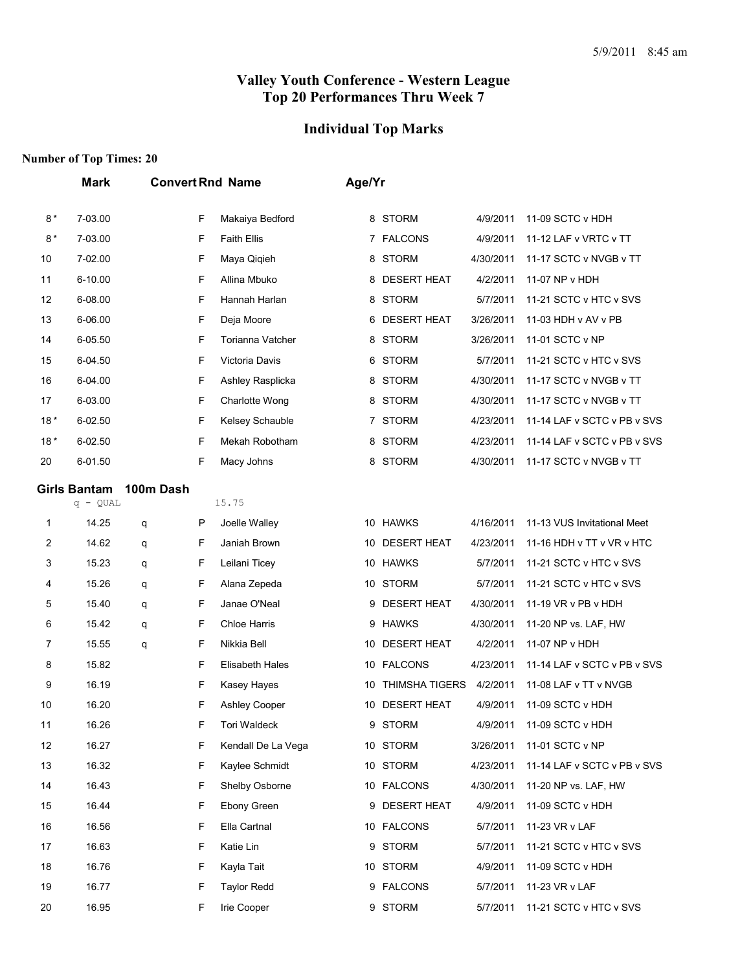## **Individual Top Marks**

|       | <b>Mark</b>         |           |    | <b>Convert Rnd Name</b> | Age/Yr |                       |           |                             |
|-------|---------------------|-----------|----|-------------------------|--------|-----------------------|-----------|-----------------------------|
| $8*$  | 7-03.00             |           | F  | Makaiya Bedford         |        | 8 STORM               | 4/9/2011  | 11-09 SCTC v HDH            |
| $8*$  | 7-03.00             |           | F  | <b>Faith Ellis</b>      |        | 7 FALCONS             | 4/9/2011  | 11-12 LAF v VRTC v TT       |
| 10    | 7-02.00             |           | F  | Maya Qiqieh             |        | 8 STORM               | 4/30/2011 | 11-17 SCTC v NVGB v TT      |
| 11    | 6-10.00             |           | F  | Allina Mbuko            | 8      | <b>DESERT HEAT</b>    | 4/2/2011  | 11-07 NP v HDH              |
| 12    | 6-08.00             |           | F  | Hannah Harlan           |        | 8 STORM               | 5/7/2011  | 11-21 SCTC v HTC v SVS      |
| 13    | 6-06.00             |           | F  | Deja Moore              |        | 6 DESERT HEAT         | 3/26/2011 | 11-03 HDH v AV v PB         |
| 14    | 6-05.50             |           | F  | Torianna Vatcher        |        | 8 STORM               | 3/26/2011 | 11-01 SCTC v NP             |
| 15    | 6-04.50             |           | F  | Victoria Davis          |        | 6 STORM               | 5/7/2011  | 11-21 SCTC v HTC v SVS      |
| 16    | 6-04.00             |           | F  | Ashley Rasplicka        |        | 8 STORM               | 4/30/2011 | 11-17 SCTC v NVGB v TT      |
| 17    | 6-03.00             |           | F  | Charlotte Wong          |        | 8 STORM               | 4/30/2011 | 11-17 SCTC v NVGB v TT      |
| $18*$ | 6-02.50             |           | F  | Kelsey Schauble         |        | 7 STORM               | 4/23/2011 | 11-14 LAF v SCTC v PB v SVS |
| $18*$ | 6-02.50             |           | F  | Mekah Robotham          |        | 8 STORM               | 4/23/2011 | 11-14 LAF v SCTC v PB v SVS |
| 20    | 6-01.50             |           | F  | Macy Johns              |        | 8 STORM               | 4/30/2011 | 11-17 SCTC v NVGB v TT      |
|       | <b>Girls Bantam</b> | 100m Dash |    |                         |        |                       |           |                             |
|       | $q - QUAL$          |           |    | 15.75                   |        |                       |           |                             |
| 1     | 14.25               | q         | P  | Joelle Walley           |        | 10 HAWKS              | 4/16/2011 | 11-13 VUS Invitational Meet |
| 2     | 14.62               | q         | F  | Janiah Brown            | 10     | <b>DESERT HEAT</b>    | 4/23/2011 | 11-16 HDH v TT v VR v HTC   |
| 3     | 15.23               | q         | F  | Leilani Ticey           |        | 10 HAWKS              | 5/7/2011  | 11-21 SCTC v HTC v SVS      |
| 4     | 15.26               | q         | F  | Alana Zepeda            |        | 10 STORM              | 5/7/2011  | 11-21 SCTC v HTC v SVS      |
| 5     | 15.40               | q         | F  | Janae O'Neal            | 9      | <b>DESERT HEAT</b>    | 4/30/2011 | 11-19 VR v PB v HDH         |
| 6     | 15.42               | q         | F  | <b>Chloe Harris</b>     | 9      | <b>HAWKS</b>          | 4/30/2011 | 11-20 NP vs. LAF, HW        |
| 7     | 15.55               | q         | F  | Nikkia Bell             |        | 10 DESERT HEAT        | 4/2/2011  | 11-07 NP v HDH              |
| 8     | 15.82               |           | F  | Elisabeth Hales         |        | 10 FALCONS            | 4/23/2011 | 11-14 LAF v SCTC v PB v SVS |
| 9     | 16.19               |           | F  | Kasey Hayes             | 10     | <b>THIMSHA TIGERS</b> | 4/2/2011  | 11-08 LAF v TT v NVGB       |
| 10    | 16.20               |           | F  | <b>Ashley Cooper</b>    | 10     | <b>DESERT HEAT</b>    | 4/9/2011  | 11-09 SCTC v HDH            |
| 11    | 16.26               |           | F  | Tori Waldeck            |        | 9 STORM               | 4/9/2011  | 11-09 SCTC v HDH            |
| 12    | 16.27               |           | F  | Kendall De La Vega      |        | 10 STORM              | 3/26/2011 | 11-01 SCTC v NP             |
| 13    | 16.32               |           | F  | Kaylee Schmidt          |        | 10 STORM              | 4/23/2011 | 11-14 LAF v SCTC v PB v SVS |
| 14    | 16.43               |           | F  | Shelby Osborne          |        | 10 FALCONS            | 4/30/2011 | 11-20 NP vs. LAF, HW        |
| 15    | 16.44               |           | F  | Ebony Green             |        | 9 DESERT HEAT         | 4/9/2011  | 11-09 SCTC v HDH            |
| 16    | 16.56               |           | F  | Ella Cartnal            |        | 10 FALCONS            | 5/7/2011  | 11-23 VR v LAF              |
| 17    | 16.63               |           | F. | Katie Lin               |        | 9 STORM               | 5/7/2011  | 11-21 SCTC v HTC v SVS      |
| 18    | 16.76               |           | F  | Kayla Tait              |        | 10 STORM              | 4/9/2011  | 11-09 SCTC v HDH            |
| 19    | 16.77               |           | F  | <b>Taylor Redd</b>      |        | 9 FALCONS             | 5/7/2011  | 11-23 VR v LAF              |
| 20    | 16.95               |           | F  | Irie Cooper             |        | 9 STORM               | 5/7/2011  | 11-21 SCTC v HTC v SVS      |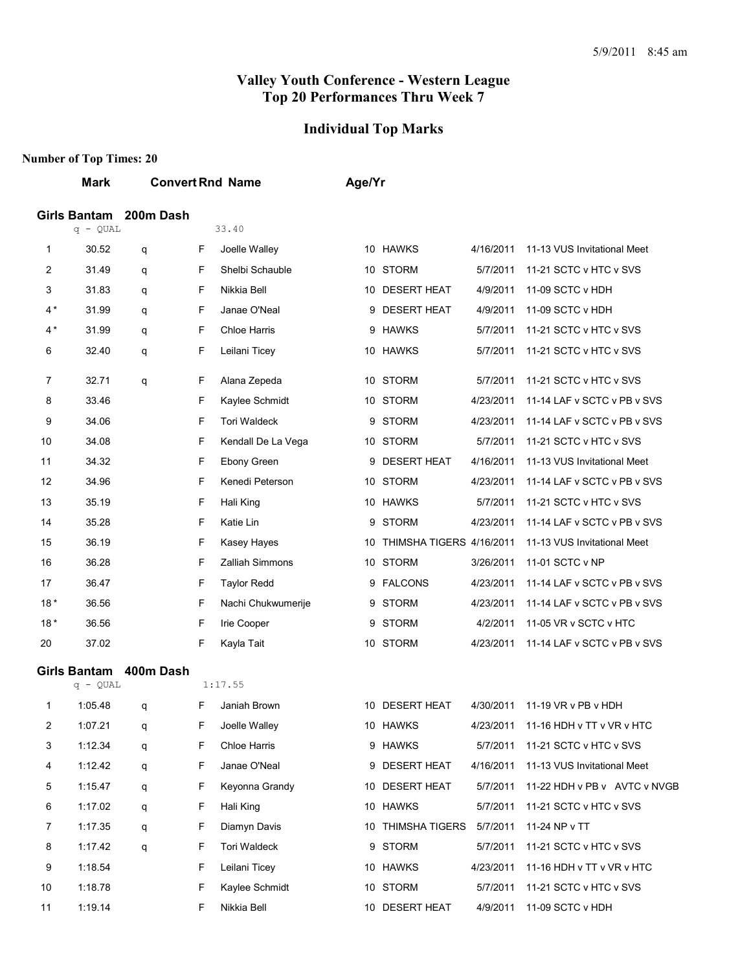## **Individual Top Marks**

|       | Mark                       |           |   | <b>Convert Rnd Name</b> | Age/Yr |                          |           |                                     |
|-------|----------------------------|-----------|---|-------------------------|--------|--------------------------|-----------|-------------------------------------|
|       | <b>Girls Bantam</b>        | 200m Dash |   |                         |        |                          |           |                                     |
|       | $q - QUAL$                 |           |   | 33.40                   |        |                          |           |                                     |
| 1     | 30.52                      | q         | F | Joelle Walley           |        | 10 HAWKS                 | 4/16/2011 | 11-13 VUS Invitational Meet         |
| 2     | 31.49                      | q         | F | Shelbi Schauble         |        | 10 STORM                 | 5/7/2011  | 11-21 SCTC v HTC v SVS              |
| 3     | 31.83                      | q         | F | Nikkia Bell             |        | 10 DESERT HEAT           | 4/9/2011  | 11-09 SCTC v HDH                    |
| 4 *   | 31.99                      | q         | F | Janae O'Neal            |        | 9 DESERT HEAT            | 4/9/2011  | 11-09 SCTC v HDH                    |
| $4*$  | 31.99                      | q         | F | <b>Chloe Harris</b>     |        | 9 HAWKS                  | 5/7/2011  | 11-21 SCTC v HTC v SVS              |
| 6     | 32.40                      | q         | F | Leilani Ticey           |        | 10 HAWKS                 | 5/7/2011  | 11-21 SCTC v HTC v SVS              |
| 7     | 32.71                      | q         | F | Alana Zepeda            |        | 10 STORM                 | 5/7/2011  | 11-21 SCTC v HTC v SVS              |
| 8     | 33.46                      |           | F | Kaylee Schmidt          |        | 10 STORM                 | 4/23/2011 | 11-14 LAF v SCTC v PB v SVS         |
| 9     | 34.06                      |           | F | <b>Tori Waldeck</b>     |        | 9 STORM                  | 4/23/2011 | 11-14 LAF v SCTC v PB v SVS         |
| 10    | 34.08                      |           | F | Kendall De La Vega      |        | 10 STORM                 | 5/7/2011  | 11-21 SCTC v HTC v SVS              |
| 11    | 34.32                      |           | F | Ebony Green             | 9      | <b>DESERT HEAT</b>       | 4/16/2011 | 11-13 VUS Invitational Meet         |
| 12    | 34.96                      |           | F | Kenedi Peterson         |        | 10 STORM                 | 4/23/2011 | 11-14 LAF v SCTC v PB v SVS         |
| 13    | 35.19                      |           | F | Hali King               |        | 10 HAWKS                 | 5/7/2011  | 11-21 SCTC v HTC v SVS              |
| 14    | 35.28                      |           | F | Katie Lin               |        | 9 STORM                  | 4/23/2011 | 11-14 LAF v SCTC v PB v SVS         |
| 15    | 36.19                      |           | F | Kasey Hayes             | 10     | THIMSHA TIGERS 4/16/2011 |           | 11-13 VUS Invitational Meet         |
| 16    | 36.28                      |           | F | <b>Zalliah Simmons</b>  |        | 10 STORM                 | 3/26/2011 | 11-01 SCTC v NP                     |
| 17    | 36.47                      |           | F | <b>Taylor Redd</b>      |        | 9 FALCONS                | 4/23/2011 | 11-14 LAF v SCTC v PB v SVS         |
| $18*$ | 36.56                      |           | F | Nachi Chukwumerije      |        | 9 STORM                  | 4/23/2011 | 11-14 LAF v SCTC v PB v SVS         |
| $18*$ | 36.56                      |           | F | Irie Cooper             | 9      | <b>STORM</b>             | 4/2/2011  | 11-05 VR v SCTC v HTC               |
| 20    | 37.02                      |           | F | Kayla Tait              |        | 10 STORM                 | 4/23/2011 | 11-14 LAF v SCTC v PB v SVS         |
|       | Girls Bantam<br>$q - QUAL$ | 400m Dash |   | 1:17.55                 |        |                          |           |                                     |
| 1     | 1:05.48                    | q         | F | Janiah Brown            |        | 10 DESERT HEAT           | 4/30/2011 | 11-19 VR v PB v HDH                 |
| 2     | 1:07.21                    | q         | F | Joelle Walley           |        | 10 HAWKS                 |           | 4/23/2011 11-16 HDH v TT v VR v HTC |
| 3     | 1:12.34                    | q         | F | Chloe Harris            |        | 9 HAWKS                  | 5/7/2011  | 11-21 SCTC v HTC v SVS              |
| 4     | 1:12.42                    | q         | F | Janae O'Neal            |        | 9 DESERT HEAT            | 4/16/2011 | 11-13 VUS Invitational Meet         |
| 5     | 1:15.47                    | q         | F | Keyonna Grandy          |        | 10 DESERT HEAT           | 5/7/2011  | 11-22 HDH v PB v AVTC v NVGB        |
| 6     | 1:17.02                    | q         | F | Hali King               |        | 10 HAWKS                 | 5/7/2011  | 11-21 SCTC v HTC v SVS              |
| 7     | 1:17.35                    | q         | F | Diamyn Davis            | 10     | THIMSHA TIGERS           | 5/7/2011  | 11-24 NP v TT                       |
| 8     | 1:17.42                    | q         | F | Tori Waldeck            |        | 9 STORM                  | 5/7/2011  | 11-21 SCTC v HTC v SVS              |
| 9     | 1:18.54                    |           | F | Leilani Ticey           |        | 10 HAWKS                 | 4/23/2011 | 11-16 HDH v TT v VR v HTC           |
| 10    | 1:18.78                    |           | F | Kaylee Schmidt          |        | 10 STORM                 | 5/7/2011  | 11-21 SCTC v HTC v SVS              |
| 11    | 1:19.14                    |           | F | Nikkia Bell             |        | 10 DESERT HEAT           | 4/9/2011  | 11-09 SCTC v HDH                    |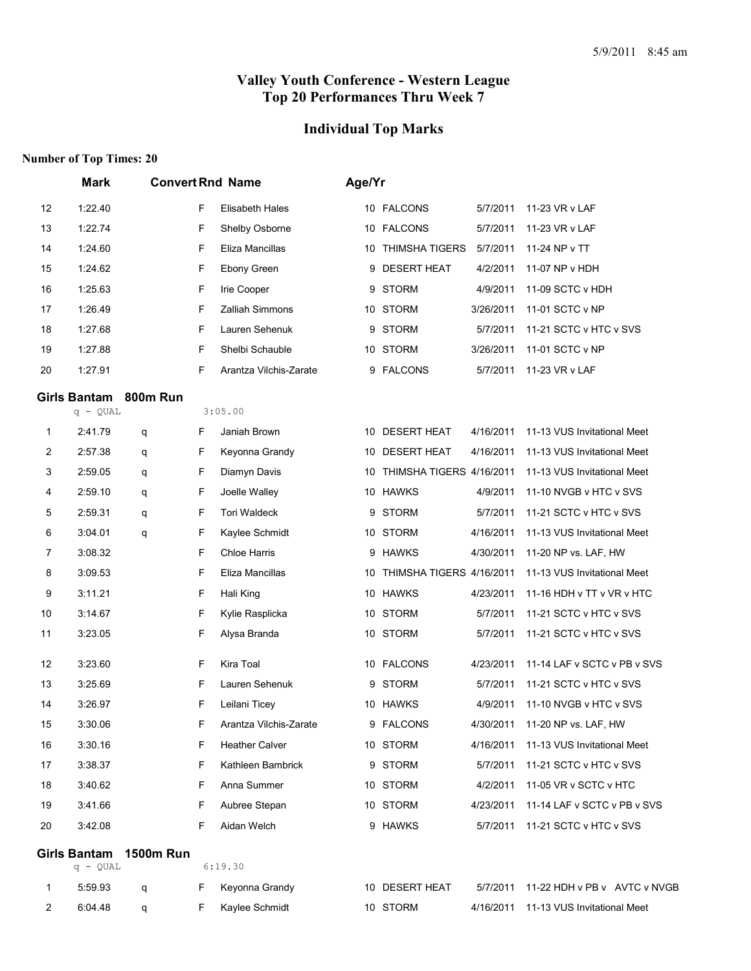## **Individual Top Marks**

|                | <b>Mark</b>                       | <b>Convert Rnd Name</b> |   |                        | Age/Yr |                             |           |                                |
|----------------|-----------------------------------|-------------------------|---|------------------------|--------|-----------------------------|-----------|--------------------------------|
| 12             | 1:22.40                           |                         | F | Elisabeth Hales        |        | 10 FALCONS                  | 5/7/2011  | 11-23 VR v LAF                 |
| 13             | 1:22.74                           |                         | F | Shelby Osborne         |        | 10 FALCONS                  | 5/7/2011  | 11-23 VR v LAF                 |
| 14             | 1:24.60                           |                         | F | Eliza Mancillas        |        | 10 THIMSHA TIGERS           | 5/7/2011  | 11-24 NP v TT                  |
| 15             | 1:24.62                           |                         | F | Ebony Green            | 9      | <b>DESERT HEAT</b>          | 4/2/2011  | 11-07 NP v HDH                 |
| 16             | 1:25.63                           |                         | F | Irie Cooper            | 9      | <b>STORM</b>                | 4/9/2011  | 11-09 SCTC v HDH               |
| 17             | 1:26.49                           |                         | F | Zalliah Simmons        |        | 10 STORM                    | 3/26/2011 | 11-01 SCTC v NP                |
| 18             | 1:27.68                           |                         | F | Lauren Sehenuk         | 9      | <b>STORM</b>                | 5/7/2011  | 11-21 SCTC v HTC v SVS         |
| 19             | 1:27.88                           |                         | F | Shelbi Schauble        |        | 10 STORM                    | 3/26/2011 | 11-01 SCTC v NP                |
| 20             | 1:27.91                           |                         | F | Arantza Vilchis-Zarate | 9      | <b>FALCONS</b>              | 5/7/2011  | 11-23 VR v LAF                 |
|                | <b>Girls Bantam</b><br>$q - QUAL$ | 800m Run                |   | 3:05.00                |        |                             |           |                                |
| 1              | 2:41.79                           | q                       | F | Janiah Brown           |        | 10 DESERT HEAT              | 4/16/2011 | 11-13 VUS Invitational Meet    |
| $\overline{c}$ | 2:57.38                           | q                       | F | Keyonna Grandy         | 10     | <b>DESERT HEAT</b>          | 4/16/2011 | 11-13 VUS Invitational Meet    |
| 3              | 2:59.05                           | q                       | F | Diamyn Davis           | 10     | THIMSHA TIGERS 4/16/2011    |           | 11-13 VUS Invitational Meet    |
| 4              | 2:59.10                           | q                       | F | Joelle Walley          |        | 10 HAWKS                    | 4/9/2011  | 11-10 NVGB v HTC v SVS         |
| 5              | 2:59.31                           | q                       | F | <b>Tori Waldeck</b>    | 9      | <b>STORM</b>                | 5/7/2011  | 11-21 SCTC v HTC v SVS         |
| 6              | 3:04.01                           | q                       | F | Kaylee Schmidt         |        | 10 STORM                    | 4/16/2011 | 11-13 VUS Invitational Meet    |
| $\overline{7}$ | 3:08.32                           |                         | F | Chloe Harris           |        | 9 HAWKS                     | 4/30/2011 | 11-20 NP vs. LAF, HW           |
| 8              | 3:09.53                           |                         | F | Eliza Mancillas        |        | 10 THIMSHA TIGERS 4/16/2011 |           | 11-13 VUS Invitational Meet    |
| 9              | 3:11.21                           |                         | F | Hali King              |        | 10 HAWKS                    | 4/23/2011 | 11-16 HDH v TT v VR v HTC      |
| 10             | 3:14.67                           |                         | F | Kylie Rasplicka        |        | 10 STORM                    | 5/7/2011  | 11-21 SCTC v HTC v SVS         |
| 11             | 3:23.05                           |                         | F | Alysa Branda           |        | 10 STORM                    | 5/7/2011  | 11-21 SCTC v HTC v SVS         |
| 12             | 3:23.60                           |                         | F | Kira Toal              |        | 10 FALCONS                  | 4/23/2011 | 11-14 LAF v SCTC v PB v SVS    |
| 13             | 3:25.69                           |                         | F | Lauren Sehenuk         | 9      | <b>STORM</b>                | 5/7/2011  | 11-21 SCTC v HTC v SVS         |
| 14             | 3:26.97                           |                         | F | Leilani Ticey          |        | 10 HAWKS                    | 4/9/2011  | 11-10 NVGB v HTC v SVS         |
| 15             | 3:30.06                           |                         | F | Arantza Vilchis-Zarate |        | 9 FALCONS                   |           | 4/30/2011 11-20 NP vs. LAF, HW |
| 16             | 3:30.16                           |                         | F | <b>Heather Calver</b>  |        | 10 STORM                    | 4/16/2011 | 11-13 VUS Invitational Meet    |
| 17             | 3:38.37                           |                         | F | Kathleen Bambrick      |        | 9 STORM                     | 5/7/2011  | 11-21 SCTC v HTC v SVS         |
| 18             | 3:40.62                           |                         | F | Anna Summer            |        | 10 STORM                    | 4/2/2011  | 11-05 VR v SCTC v HTC          |
| 19             | 3:41.66                           |                         | F | Aubree Stepan          |        | 10 STORM                    | 4/23/2011 | 11-14 LAF v SCTC v PB v SVS    |
| 20             | 3:42.08                           |                         | F | Aidan Welch            |        | 9 HAWKS                     | 5/7/2011  | 11-21 SCTC v HTC v SVS         |
|                | <b>Girls Bantam</b><br>$q - QUAL$ | <b>1500m Run</b>        |   | 6:19.30                |        |                             |           |                                |
| 1              | 5:59.93                           | q                       | F | Keyonna Grandy         |        | 10 DESERT HEAT              | 5/7/2011  | 11-22 HDH v PB v AVTC v NVGB   |
| 2              | 6:04.48                           | q                       | F | Kaylee Schmidt         |        | 10 STORM                    | 4/16/2011 | 11-13 VUS Invitational Meet    |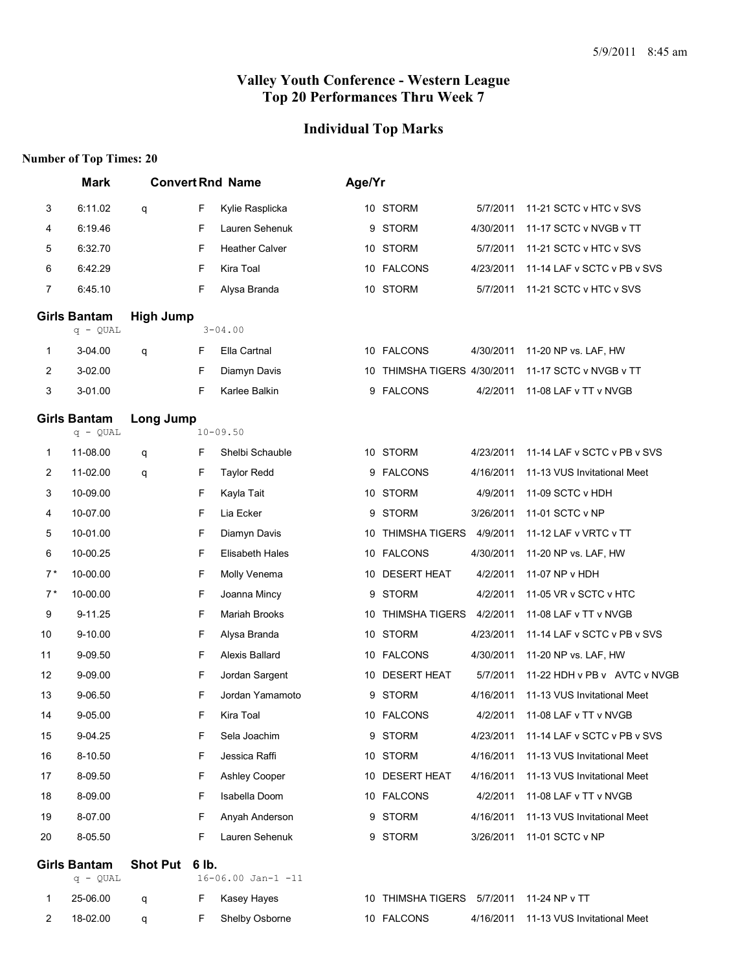#### **Individual Top Marks**

#### **Number of Top Times: 20**

|                                   | <b>Mark</b>                     |                  |       | <b>Convert Rnd Name</b> | Age/Yr |                                          |           |                              |
|-----------------------------------|---------------------------------|------------------|-------|-------------------------|--------|------------------------------------------|-----------|------------------------------|
| 3                                 | 6:11.02                         | q                | F     | Kylie Rasplicka         |        | 10 STORM                                 | 5/7/2011  | 11-21 SCTC v HTC v SVS       |
| 4                                 | 6:19.46                         |                  | F     | Lauren Sehenuk          |        | 9 STORM                                  | 4/30/2011 | 11-17 SCTC v NVGB v TT       |
| 5                                 | 6:32.70                         |                  | F     | <b>Heather Calver</b>   |        | 10 STORM                                 | 5/7/2011  | 11-21 SCTC v HTC v SVS       |
| 6                                 | 6:42.29                         |                  | F     | Kira Toal               |        | 10 FALCONS                               | 4/23/2011 | 11-14 LAF v SCTC v PB v SVS  |
| 7                                 | 6:45.10                         |                  | F     | Alysa Branda            |        | 10 STORM                                 | 5/7/2011  | 11-21 SCTC v HTC v SVS       |
|                                   | <b>Girls Bantam</b>             | <b>High Jump</b> |       |                         |        |                                          |           |                              |
|                                   | $q - QUAL$                      |                  |       | $3 - 04.00$             |        |                                          |           |                              |
| 1                                 | 3-04.00                         | q                | F     | Ella Cartnal            |        | 10 FALCONS                               | 4/30/2011 | 11-20 NP vs. LAF, HW         |
| 2                                 | 3-02.00                         |                  | F     | Diamyn Davis            |        | 10 THIMSHA TIGERS 4/30/2011              |           | 11-17 SCTC v NVGB v TT       |
| 3                                 | 3-01.00                         |                  | F     | Karlee Balkin           |        | 9 FALCONS                                | 4/2/2011  | 11-08 LAF v TT v NVGB        |
| <b>Girls Bantam</b><br>$q - QUAL$ |                                 | <b>Long Jump</b> |       | $10 - 09.50$            |        |                                          |           |                              |
| 1                                 | 11-08.00                        | q                | F     | Shelbi Schauble         |        | 10 STORM                                 | 4/23/2011 | 11-14 LAF v SCTC v PB v SVS  |
| 2                                 | 11-02.00                        | q                | F     | <b>Taylor Redd</b>      |        | 9 FALCONS                                | 4/16/2011 | 11-13 VUS Invitational Meet  |
| 3                                 | 10-09.00                        |                  | F     | Kayla Tait              |        | 10 STORM                                 | 4/9/2011  | 11-09 SCTC v HDH             |
| 4                                 | 10-07.00                        |                  | F     | Lia Ecker               | 9      | <b>STORM</b>                             | 3/26/2011 | 11-01 SCTC v NP              |
| 5                                 | 10-01.00                        |                  | F     | Diamyn Davis            |        | 10 THIMSHA TIGERS                        | 4/9/2011  | 11-12 LAF v VRTC v TT        |
| 6                                 | 10-00.25                        |                  | F     | Elisabeth Hales         |        | 10 FALCONS                               | 4/30/2011 | 11-20 NP vs. LAF, HW         |
| $7*$                              | 10-00.00                        |                  | F     | Molly Venema            |        | 10 DESERT HEAT                           | 4/2/2011  | 11-07 NP v HDH               |
| $7*$                              | 10-00.00                        |                  | F     | Joanna Mincy            | 9      | <b>STORM</b>                             | 4/2/2011  | 11-05 VR v SCTC v HTC        |
| 9                                 | 9-11.25                         |                  | F     | Mariah Brooks           |        | 10 THIMSHA TIGERS                        | 4/2/2011  | 11-08 LAF v TT v NVGB        |
| 10                                | 9-10.00                         |                  | F     | Alysa Branda            |        | 10 STORM                                 | 4/23/2011 | 11-14 LAF v SCTC v PB v SVS  |
| 11                                | 9-09.50                         |                  | F     | Alexis Ballard          |        | 10 FALCONS                               | 4/30/2011 | 11-20 NP vs. LAF, HW         |
| 12                                | 9-09.00                         |                  | F     | Jordan Sargent          |        | 10 DESERT HEAT                           | 5/7/2011  | 11-22 HDH v PB v AVTC v NVGB |
| 13                                | 9-06.50                         |                  | F     | Jordan Yamamoto         | 9      | <b>STORM</b>                             | 4/16/2011 | 11-13 VUS Invitational Meet  |
| 14                                | 9-05.00                         |                  | F     | Kira Toal               |        | 10 FALCONS                               | 4/2/2011  | 11-08 LAF v TT v NVGB        |
| 15                                | 9-04.25                         |                  | F     | Sela Joachim            |        | 9 STORM                                  | 4/23/2011 | 11-14 LAF v SCTC v PB v SVS  |
| 16                                | 8-10.50                         |                  | F     | Jessica Raffi           |        | 10 STORM                                 | 4/16/2011 | 11-13 VUS Invitational Meet  |
| 17                                | 8-09.50                         |                  | F     | <b>Ashley Cooper</b>    |        | 10 DESERT HEAT                           | 4/16/2011 | 11-13 VUS Invitational Meet  |
| 18                                | 8-09.00                         |                  | F     | Isabella Doom           |        | 10 FALCONS                               | 4/2/2011  | 11-08 LAF v TT v NVGB        |
| 19                                | 8-07.00                         |                  | F     | Anyah Anderson          |        | 9 STORM                                  | 4/16/2011 | 11-13 VUS Invitational Meet  |
| 20                                | 8-05.50                         |                  | F     | Lauren Sehenuk          |        | 9 STORM                                  | 3/26/2011 | 11-01 SCTC v NP              |
|                                   | <b>Girls Bantam</b><br>q - QUAL | <b>Shot Put</b>  | 6 lb. | 16-06.00 Jan-1 -11      |        |                                          |           |                              |
| 1                                 | 25-06.00                        | q                | F     | Kasey Hayes             |        | 10 THIMSHA TIGERS 5/7/2011 11-24 NP v TT |           |                              |

18-02.00 q F Shelby Osborne 10 FALCONS 4/16/2011 11-13 VUS Invitational Meet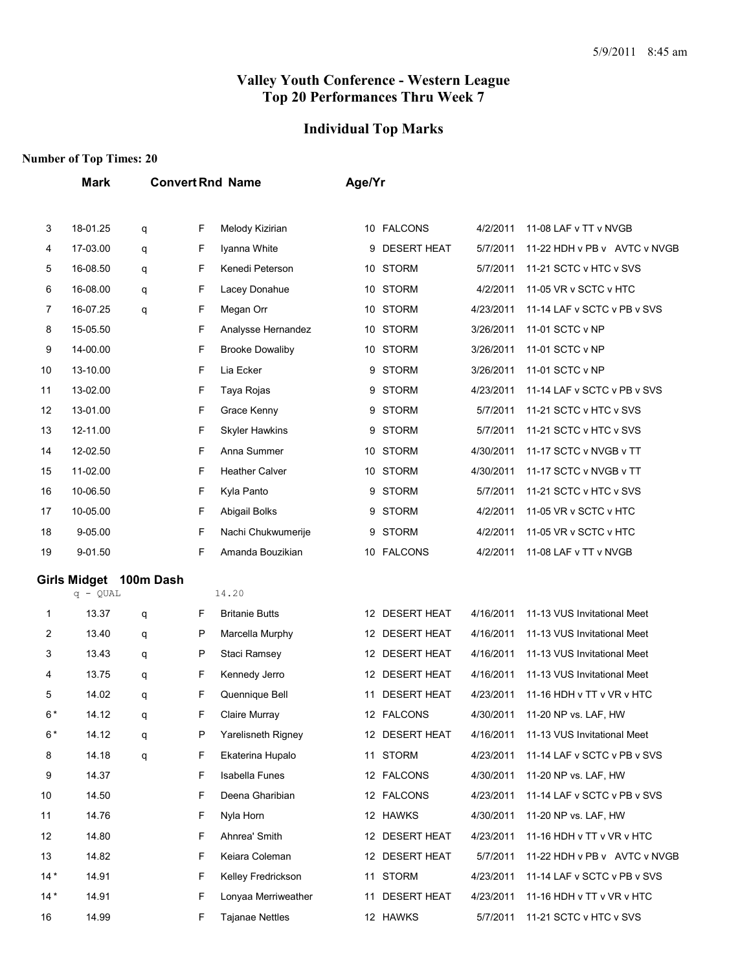#### **Individual Top Marks**

## **Number of Top Times: 20**

**Mark Convert Rnd Name Age/Yr**

| 3     | 18-01.25               | q | F | Melody Kizirian        |    | 10 FALCONS         | 4/2/2011  | 11-08 LAF v TT v NVGB        |
|-------|------------------------|---|---|------------------------|----|--------------------|-----------|------------------------------|
| 4     | 17-03.00               | q | F | Iyanna White           | 9  | <b>DESERT HEAT</b> | 5/7/2011  | 11-22 HDH v PB v AVTC v NVGB |
| 5     | 16-08.50               | q | F | Kenedi Peterson        |    | 10 STORM           | 5/7/2011  | 11-21 SCTC v HTC v SVS       |
| 6     | 16-08.00               | q | F | Lacey Donahue          |    | 10 STORM           | 4/2/2011  | 11-05 VR v SCTC v HTC        |
| 7     | 16-07.25               | q | F | Megan Orr              |    | 10 STORM           | 4/23/2011 | 11-14 LAF v SCTC v PB v SVS  |
| 8     | 15-05.50               |   | F | Analysse Hernandez     |    | 10 STORM           | 3/26/2011 | 11-01 SCTC v NP              |
| 9     | 14-00.00               |   | F | <b>Brooke Dowaliby</b> | 10 | <b>STORM</b>       | 3/26/2011 | 11-01 SCTC v NP              |
| 10    | 13-10.00               |   | F | Lia Ecker              |    | 9 STORM            | 3/26/2011 | 11-01 SCTC v NP              |
| 11    | 13-02.00               |   | F | Taya Rojas             |    | 9 STORM            | 4/23/2011 | 11-14 LAF v SCTC v PB v SVS  |
| 12    | 13-01.00               |   | F | Grace Kenny            | 9  | <b>STORM</b>       | 5/7/2011  | 11-21 SCTC v HTC v SVS       |
| 13    | 12-11.00               |   | F | <b>Skyler Hawkins</b>  | 9  | <b>STORM</b>       | 5/7/2011  | 11-21 SCTC v HTC v SVS       |
| 14    | 12-02.50               |   | F | Anna Summer            |    | 10 STORM           | 4/30/2011 | 11-17 SCTC v NVGB v TT       |
| 15    | 11-02.00               |   | F | <b>Heather Calver</b>  |    | 10 STORM           | 4/30/2011 | 11-17 SCTC v NVGB v TT       |
| 16    | 10-06.50               |   | F | Kyla Panto             | 9  | <b>STORM</b>       | 5/7/2011  | 11-21 SCTC v HTC v SVS       |
| 17    | 10-05.00               |   | F | Abigail Bolks          | 9  | <b>STORM</b>       | 4/2/2011  | 11-05 VR v SCTC v HTC        |
| 18    | 9-05.00                |   | F | Nachi Chukwumerije     |    | 9 STORM            | 4/2/2011  | 11-05 VR v SCTC v HTC        |
| 19    | 9-01.50                |   | F | Amanda Bouzikian       |    | 10 FALCONS         | 4/2/2011  | 11-08 LAF v TT v NVGB        |
|       |                        |   |   |                        |    |                    |           |                              |
|       | Girls Midget 100m Dash |   |   |                        |    |                    |           |                              |
|       | $q - QUAL$             |   |   | 14.20                  |    |                    |           |                              |
| 1     | 13.37                  | q | F | <b>Britanie Butts</b>  |    | 12 DESERT HEAT     | 4/16/2011 | 11-13 VUS Invitational Meet  |
| 2     | 13.40                  | q | P | Marcella Murphy        |    | 12 DESERT HEAT     | 4/16/2011 | 11-13 VUS Invitational Meet  |
| 3     | 13.43                  | q | P | Staci Ramsey           |    | 12 DESERT HEAT     | 4/16/2011 | 11-13 VUS Invitational Meet  |
| 4     | 13.75                  | q | F | Kennedy Jerro          | 12 | <b>DESERT HEAT</b> | 4/16/2011 | 11-13 VUS Invitational Meet  |
| 5     | 14.02                  | q | F | Quennique Bell         | 11 | <b>DESERT HEAT</b> | 4/23/2011 | 11-16 HDH v TT v VR v HTC    |
| $6*$  | 14.12                  | q | F | Claire Murray          |    | 12 FALCONS         | 4/30/2011 | 11-20 NP vs. LAF, HW         |
| $6*$  | 14.12                  | q | P | Yarelisneth Rigney     |    | 12 DESERT HEAT     | 4/16/2011 | 11-13 VUS Invitational Meet  |
| 8     | 14.18                  | q | F | Ekaterina Hupalo       |    | 11 STORM           | 4/23/2011 | 11-14 LAF v SCTC v PB v SVS  |
| 9     | 14.37                  |   | F | <b>Isabella Funes</b>  |    | 12 FALCONS         | 4/30/2011 | 11-20 NP vs. LAF, HW         |
| 10    | 14.50                  |   | F | Deena Gharibian        |    | 12 FALCONS         | 4/23/2011 | 11-14 LAF v SCTC v PB v SVS  |
| 11    | 14.76                  |   | F | Nyla Horn              |    | 12 HAWKS           | 4/30/2011 | 11-20 NP vs. LAF, HW         |
| 12    | 14.80                  |   | F | Ahnrea' Smith          |    | 12 DESERT HEAT     | 4/23/2011 | 11-16 HDH v TT v VR v HTC    |
| 13    | 14.82                  |   | F | Keiara Coleman         |    | 12 DESERT HEAT     | 5/7/2011  | 11-22 HDH v PB v AVTC v NVGB |
| $14*$ | 14.91                  |   | F | Kelley Fredrickson     |    | 11 STORM           | 4/23/2011 | 11-14 LAF v SCTC v PB v SVS  |
| $14*$ | 14.91                  |   | F | Lonyaa Merriweather    | 11 | <b>DESERT HEAT</b> | 4/23/2011 | 11-16 HDH v TT v VR v HTC    |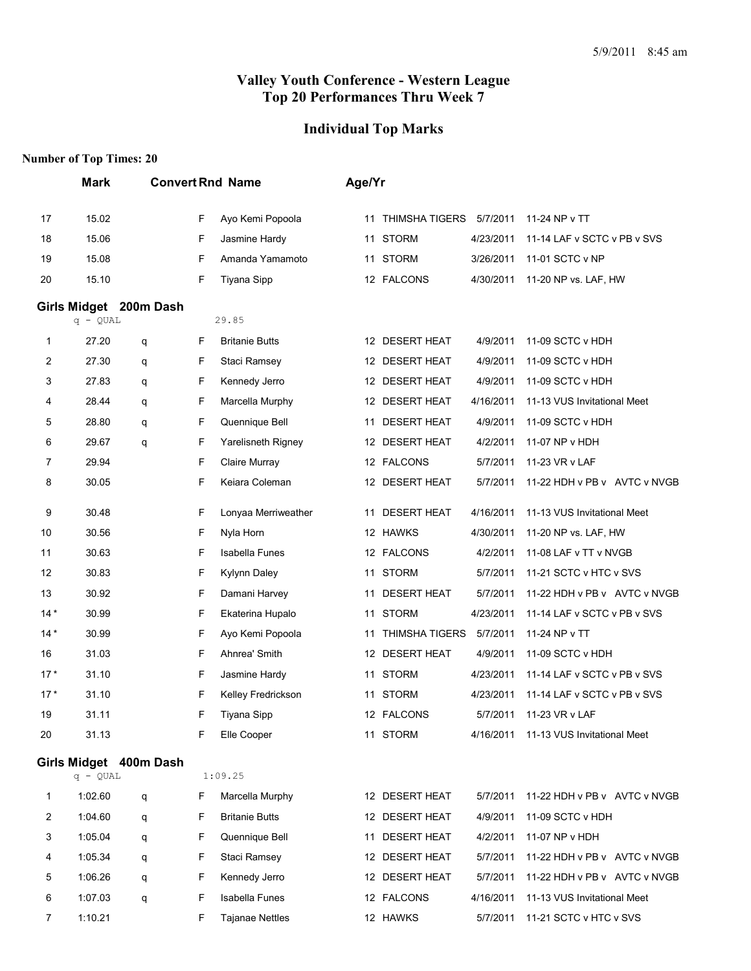# **Individual Top Marks**

|                | <b>Mark</b> |                        |   | <b>Convert Rnd Name</b> | Age/Yr |                       |           |                                       |
|----------------|-------------|------------------------|---|-------------------------|--------|-----------------------|-----------|---------------------------------------|
| 17             | 15.02       |                        | F | Ayo Kemi Popoola        | 11     | THIMSHA TIGERS        | 5/7/2011  | 11-24 NP v TT                         |
| 18             | 15.06       |                        | F | Jasmine Hardy           |        | 11 STORM              | 4/23/2011 | 11-14 LAF v SCTC v PB v SVS           |
| 19             | 15.08       |                        | F | Amanda Yamamoto         | 11     | <b>STORM</b>          | 3/26/2011 | 11-01 SCTC v NP                       |
| 20             | 15.10       |                        | F | Tiyana Sipp             |        | 12 FALCONS            | 4/30/2011 | 11-20 NP vs. LAF, HW                  |
|                | $q - QUAL$  | Girls Midget 200m Dash |   | 29.85                   |        |                       |           |                                       |
| 1              | 27.20       | q                      | F | <b>Britanie Butts</b>   |        | 12 DESERT HEAT        | 4/9/2011  | 11-09 SCTC v HDH                      |
| 2              | 27.30       | q                      | F | Staci Ramsey            |        | 12 DESERT HEAT        | 4/9/2011  | 11-09 SCTC v HDH                      |
| 3              | 27.83       | q                      | F | Kennedy Jerro           |        | 12 DESERT HEAT        | 4/9/2011  | 11-09 SCTC v HDH                      |
| 4              | 28.44       | q                      | F | Marcella Murphy         |        | 12 DESERT HEAT        | 4/16/2011 | 11-13 VUS Invitational Meet           |
| 5              | 28.80       | q                      | F | Quennique Bell          | 11     | <b>DESERT HEAT</b>    | 4/9/2011  | 11-09 SCTC v HDH                      |
| 6              | 29.67       | q                      | F | Yarelisneth Rigney      |        | 12 DESERT HEAT        | 4/2/2011  | 11-07 NP v HDH                        |
| 7              | 29.94       |                        | F | Claire Murray           |        | 12 FALCONS            | 5/7/2011  | 11-23 VR v LAF                        |
| 8              | 30.05       |                        | F | Keiara Coleman          |        | 12 DESERT HEAT        | 5/7/2011  | 11-22 HDH v PB v AVTC v NVGB          |
| 9              | 30.48       |                        | F | Lonyaa Merriweather     | 11     | <b>DESERT HEAT</b>    | 4/16/2011 | 11-13 VUS Invitational Meet           |
| 10             | 30.56       |                        | F | Nyla Horn               |        | 12 HAWKS              | 4/30/2011 | 11-20 NP vs. LAF, HW                  |
| 11             | 30.63       |                        | F | Isabella Funes          |        | 12 FALCONS            | 4/2/2011  | 11-08 LAF v TT v NVGB                 |
| 12             | 30.83       |                        | F | Kylynn Daley            | 11     | <b>STORM</b>          | 5/7/2011  | 11-21 SCTC v HTC v SVS                |
| 13             | 30.92       |                        | F | Damani Harvey           | 11     | <b>DESERT HEAT</b>    | 5/7/2011  | 11-22 HDH v PB v AVTC v NVGB          |
| $14*$          | 30.99       |                        | F | Ekaterina Hupalo        |        | 11 STORM              | 4/23/2011 | 11-14 LAF v SCTC v PB v SVS           |
| $14*$          | 30.99       |                        | F | Ayo Kemi Popoola        | 11     | <b>THIMSHA TIGERS</b> | 5/7/2011  | 11-24 NP v TT                         |
| 16             | 31.03       |                        | F | Ahnrea' Smith           |        | 12 DESERT HEAT        | 4/9/2011  | 11-09 SCTC v HDH                      |
| $17*$          | 31.10       |                        | F | Jasmine Hardy           | 11     | <b>STORM</b>          | 4/23/2011 | 11-14 LAF v SCTC v PB v SVS           |
| $17*$          | 31.10       |                        | F | Kelley Fredrickson      |        | 11 STORM              | 4/23/2011 | 11-14 LAF v SCTC v PB v SVS           |
| 19             | 31.11       |                        | F | <b>Tiyana Sipp</b>      |        | 12 FALCONS            | 5/7/2011  | 11-23 VR v LAF                        |
| 20             | 31.13       |                        | F | Elle Cooper             |        | 11 STORM              |           | 4/16/2011 11-13 VUS Invitational Meet |
|                | $q - QUAL$  | Girls Midget 400m Dash |   | 1:09.25                 |        |                       |           |                                       |
| 1              | 1:02.60     | q                      | F | Marcella Murphy         |        | 12 DESERT HEAT        | 5/7/2011  | 11-22 HDH v PB v AVTC v NVGB          |
| 2              | 1:04.60     | q                      | F | <b>Britanie Butts</b>   |        | 12 DESERT HEAT        | 4/9/2011  | 11-09 SCTC v HDH                      |
| 3              | 1:05.04     | q                      | F | Quennique Bell          |        | 11 DESERT HEAT        | 4/2/2011  | 11-07 NP v HDH                        |
| 4              | 1:05.34     | q                      | F | Staci Ramsey            |        | 12 DESERT HEAT        | 5/7/2011  | 11-22 HDH v PB v AVTC v NVGB          |
| 5              | 1:06.26     | q                      | F | Kennedy Jerro           |        | 12 DESERT HEAT        | 5/7/2011  | 11-22 HDH v PB v AVTC v NVGB          |
| 6              | 1:07.03     | q                      | F | <b>Isabella Funes</b>   |        | 12 FALCONS            | 4/16/2011 | 11-13 VUS Invitational Meet           |
| $\overline{7}$ | 1:10.21     |                        | F | <b>Tajanae Nettles</b>  |        | 12 HAWKS              | 5/7/2011  | 11-21 SCTC v HTC v SVS                |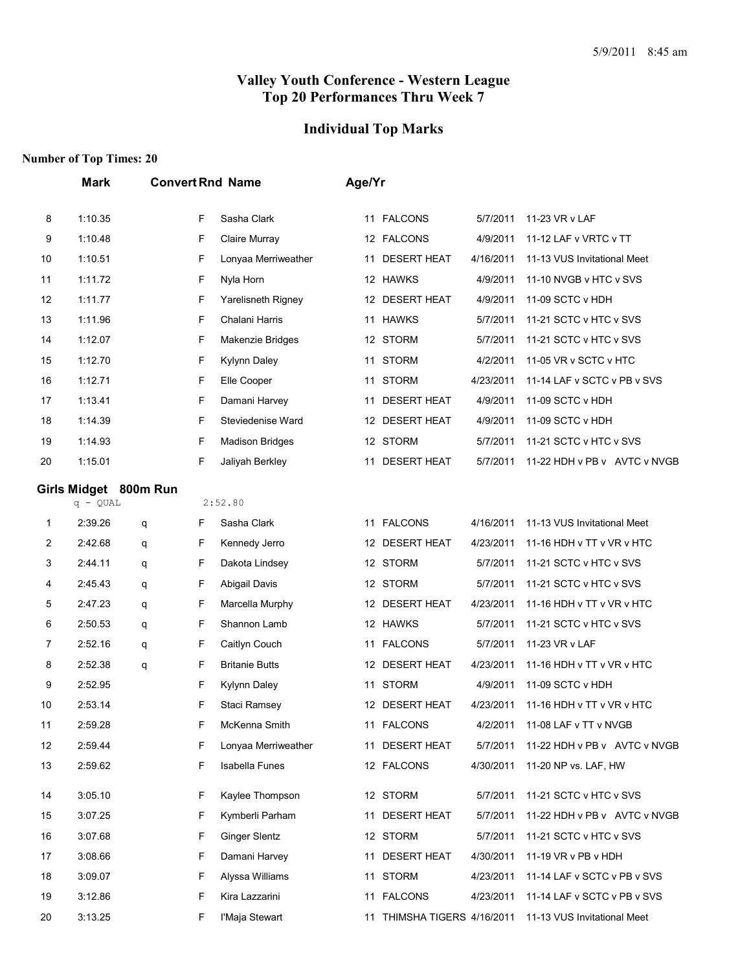## **Individual Top Marks**

|    | <b>Mark</b>           |   |   | <b>Convert Rnd Name</b> | Age/Yr |                          |           |                                |  |
|----|-----------------------|---|---|-------------------------|--------|--------------------------|-----------|--------------------------------|--|
| 8  | 1:10.35               |   | F | Sasha Clark             |        | 11 FALCONS               | 5/7/2011  | 11-23 VR v LAF                 |  |
| 9  | 1:10.48               |   | F | Claire Murray           |        | 12 FALCONS               | 4/9/2011  | 11-12 LAF v VRTC v TT          |  |
| 10 | 1:10.51               |   | F | Lonyaa Merriweather     | 11     | <b>DESERT HEAT</b>       | 4/16/2011 | 11-13 VUS Invitational Meet    |  |
| 11 | 1:11.72               |   | F | Nyla Horn               |        | 12 HAWKS                 | 4/9/2011  | 11-10 NVGB v HTC v SVS         |  |
| 12 | 1:11.77               |   | F | Yarelisneth Rigney      |        | 12 DESERT HEAT           | 4/9/2011  | 11-09 SCTC v HDH               |  |
| 13 | 1:11.96               |   | F | Chalani Harris          |        | 11 HAWKS                 | 5/7/2011  | 11-21 SCTC v HTC v SVS         |  |
| 14 | 1:12.07               |   | F | Makenzie Bridges        |        | 12 STORM                 | 5/7/2011  | 11-21 SCTC v HTC v SVS         |  |
| 15 | 1:12.70               |   | F | Kylynn Daley            | 11     | <b>STORM</b>             | 4/2/2011  | 11-05 VR v SCTC v HTC          |  |
| 16 | 1:12.71               |   | F | Elle Cooper             |        | 11 STORM                 | 4/23/2011 | 11-14 LAF v SCTC v PB v SVS    |  |
| 17 | 1:13.41               |   | F | Damani Harvey           | 11     | <b>DESERT HEAT</b>       | 4/9/2011  | 11-09 SCTC v HDH               |  |
| 18 | 1:14.39               |   | F | Steviedenise Ward       |        | 12 DESERT HEAT           | 4/9/2011  | 11-09 SCTC v HDH               |  |
| 19 | 1:14.93               |   | F | <b>Madison Bridges</b>  |        | 12 STORM                 | 5/7/2011  | 11-21 SCTC v HTC v SVS         |  |
| 20 | 1:15.01               |   | F | Jaliyah Berkley         | 11     | <b>DESERT HEAT</b>       | 5/7/2011  | 11-22 HDH v PB v AVTC v NVGB   |  |
|    | Girls Midget 800m Run |   |   |                         |        |                          |           |                                |  |
|    | $q - QUAL$            |   |   | 2:52.80                 |        |                          |           |                                |  |
| 1  | 2:39.26               | q | F | Sasha Clark             |        | 11 FALCONS               | 4/16/2011 | 11-13 VUS Invitational Meet    |  |
| 2  | 2:42.68               | q | F | Kennedy Jerro           |        | 12 DESERT HEAT           | 4/23/2011 | 11-16 HDH v TT v VR v HTC      |  |
| 3  | 2:44.11               | q | F | Dakota Lindsey          |        | 12 STORM                 | 5/7/2011  | 11-21 SCTC v HTC v SVS         |  |
| 4  | 2:45.43               | q | F | Abigail Davis           |        | 12 STORM                 | 5/7/2011  | 11-21 SCTC v HTC v SVS         |  |
| 5  | 2:47.23               | q | F | Marcella Murphy         |        | 12 DESERT HEAT           | 4/23/2011 | 11-16 HDH v TT v VR v HTC      |  |
| 6  | 2:50.53               | q | F | Shannon Lamb            |        | 12 HAWKS                 | 5/7/2011  | 11-21 SCTC v HTC v SVS         |  |
| 7  | 2:52.16               | q | F | Caitlyn Couch           | 11     | <b>FALCONS</b>           | 5/7/2011  | 11-23 VR v LAF                 |  |
| 8  | 2:52.38               | q | F | <b>Britanie Butts</b>   |        | 12 DESERT HEAT           | 4/23/2011 | 11-16 HDH v TT v VR v HTC      |  |
| 9  | 2:52.95               |   | F | Kylynn Daley            |        | 11 STORM                 | 4/9/2011  | 11-09 SCTC v HDH               |  |
| 10 | 2:53.14               |   | F | Staci Ramsey            |        | 12 DESERT HEAT           | 4/23/2011 | 11-16 HDH v TT v VR v HTC      |  |
| 11 | 2:59.28               |   | F | McKenna Smith           |        | 11 FALCONS               |           | 4/2/2011 11-08 LAF v TT v NVGB |  |
| 12 | 2:59.44               |   | F | Lonyaa Merriweather     |        | 11 DESERT HEAT           | 5/7/2011  | 11-22 HDH v PB v AVTC v NVGB   |  |
| 13 | 2:59.62               |   | F | <b>Isabella Funes</b>   |        | 12 FALCONS               | 4/30/2011 | 11-20 NP vs. LAF, HW           |  |
| 14 | 3:05.10               |   | F | Kaylee Thompson         |        | 12 STORM                 | 5/7/2011  | 11-21 SCTC v HTC v SVS         |  |
| 15 | 3:07.25               |   | F | Kymberli Parham         |        | 11 DESERT HEAT           | 5/7/2011  | 11-22 HDH v PB v AVTC v NVGB   |  |
| 16 | 3:07.68               |   | F | <b>Ginger Slentz</b>    |        | 12 STORM                 | 5/7/2011  | 11-21 SCTC v HTC v SVS         |  |
| 17 | 3:08.66               |   | F | Damani Harvey           |        | 11 DESERT HEAT           | 4/30/2011 | 11-19 VR v PB v HDH            |  |
| 18 | 3:09.07               |   | F | Alyssa Williams         |        | 11 STORM                 | 4/23/2011 | 11-14 LAF v SCTC v PB v SVS    |  |
| 19 | 3:12.86               |   | F | Kira Lazzarini          |        | 11 FALCONS               | 4/23/2011 | 11-14 LAF v SCTC v PB v SVS    |  |
| 20 | 3:13.25               |   | F | l'Maja Stewart          | 11     | THIMSHA TIGERS 4/16/2011 |           | 11-13 VUS Invitational Meet    |  |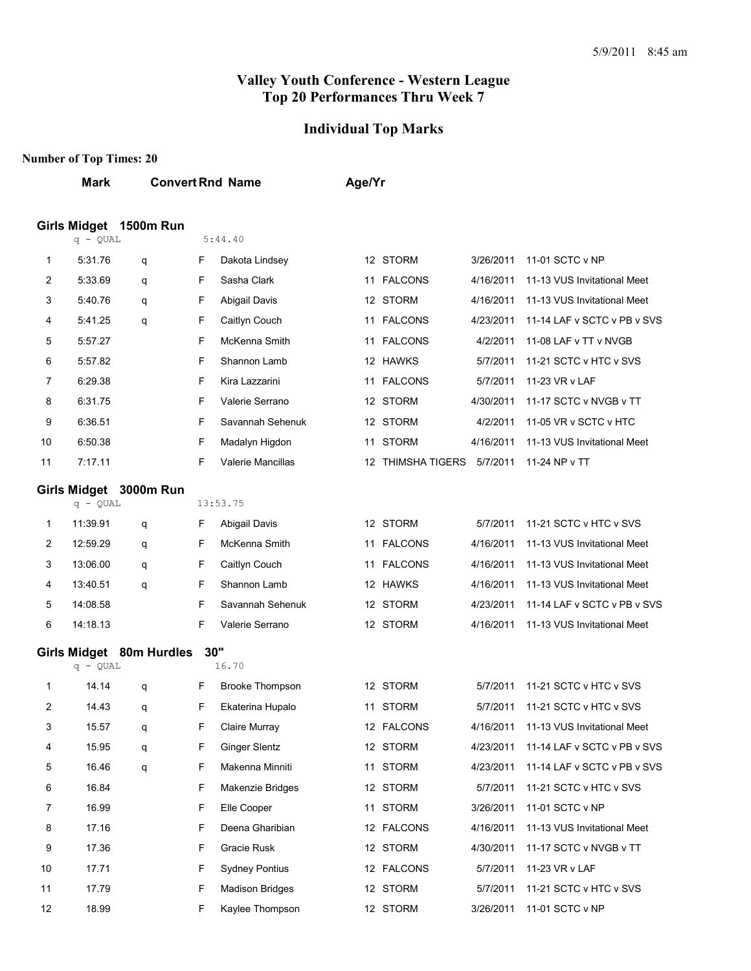# **Individual Top Marks**

|        | <b>Mark</b>        |                          |         | <b>Convert Rnd Name</b>             | Age/Yr |                            |                       |                                                      |
|--------|--------------------|--------------------------|---------|-------------------------------------|--------|----------------------------|-----------------------|------------------------------------------------------|
|        |                    | Girls Midget 1500m Run   | 5:44.40 |                                     |        |                            |                       |                                                      |
|        | $q - QUAL$         |                          |         |                                     |        |                            |                       |                                                      |
| 1      | 5:31.76            | q                        | F       | Dakota Lindsey                      |        | 12 STORM                   | 3/26/2011             | 11-01 SCTC v NP                                      |
| 2      | 5:33.69            | q                        | F       | Sasha Clark                         | 11     | <b>FALCONS</b>             | 4/16/2011             | 11-13 VUS Invitational Meet                          |
| 3      | 5:40.76            | q                        | F       | Abigail Davis                       |        | 12 STORM                   | 4/16/2011             | 11-13 VUS Invitational Meet                          |
| 4      | 5:41.25            | q                        | F       | Caitlyn Couch                       |        | 11 FALCONS                 | 4/23/2011             | 11-14 LAF v SCTC v PB v SVS                          |
| 5      | 5:57.27            |                          | F       | McKenna Smith                       |        | 11 FALCONS                 | 4/2/2011              | 11-08 LAF v TT v NVGB                                |
| 6      | 5:57.82<br>6:29.38 |                          | F<br>F  | Shannon Lamb                        |        | 12 HAWKS                   | 5/7/2011              | 11-21 SCTC v HTC v SVS                               |
| 7      |                    |                          | F       | Kira Lazzarini<br>Valerie Serrano   | 11     | <b>FALCONS</b><br>12 STORM | 5/7/2011              | 11-23 VR v LAF                                       |
| 8<br>9 | 6:31.75            |                          | F       | Savannah Sehenuk                    |        |                            | 4/30/2011             | 11-17 SCTC v NVGB v TT                               |
| 10     | 6:36.51<br>6:50.38 |                          | F       |                                     |        | 12 STORM<br>11 STORM       | 4/2/2011<br>4/16/2011 | 11-05 VR v SCTC v HTC<br>11-13 VUS Invitational Meet |
| 11     | 7:17.11            |                          | F       | Madalyn Higdon<br>Valerie Mancillas |        | 12 THIMSHA TIGERS          | 5/7/2011              | 11-24 NP v TT                                        |
|        |                    |                          |         |                                     |        |                            |                       |                                                      |
|        | $q - QUAL$         | Girls Midget 3000m Run   |         | 13:53.75                            |        |                            |                       |                                                      |
| 1      | 11:39.91           | q                        | F       | Abigail Davis                       |        | 12 STORM                   | 5/7/2011              | 11-21 SCTC v HTC v SVS                               |
| 2      | 12:59.29           | q                        | F       | McKenna Smith                       |        | 11 FALCONS                 | 4/16/2011             | 11-13 VUS Invitational Meet                          |
| 3      | 13:06.00           | q                        | F       | Caitlyn Couch                       |        | 11 FALCONS                 | 4/16/2011             | 11-13 VUS Invitational Meet                          |
| 4      | 13:40.51           | q                        | F       | Shannon Lamb                        |        | 12 HAWKS                   | 4/16/2011             | 11-13 VUS Invitational Meet                          |
| 5      | 14:08.58           |                          | F       | Savannah Sehenuk                    |        | 12 STORM                   | 4/23/2011             | 11-14 LAF v SCTC v PB v SVS                          |
| 6      | 14:18.13           |                          | F       | Valerie Serrano                     |        | 12 STORM                   | 4/16/2011             | 11-13 VUS Invitational Meet                          |
|        |                    | Girls Midget 80m Hurdles |         | 30"                                 |        |                            |                       |                                                      |
|        | $q - QUAL$         |                          |         | 16.70                               |        |                            |                       |                                                      |
| 1      | 14.14              | q                        | F       | <b>Brooke Thompson</b>              |        | 12 STORM                   | 5/7/2011              | 11-21 SCTC v HTC v SVS                               |
| 2      | 14.43              | q                        | F       | Ekaterina Hupalo                    |        | 11 STORM                   | 5/7/2011              | 11-21 SCTC v HTC v SVS                               |
| 3      | 15.57              | q                        | F       | Claire Murray                       |        | 12 FALCONS                 | 4/16/2011             | 11-13 VUS Invitational Meet                          |
| 4      | 15.95              | q                        | F       | <b>Ginger Slentz</b>                |        | 12 STORM                   | 4/23/2011             | 11-14 LAF v SCTC v PB v SVS                          |
| 5      | 16.46              | q                        | F       | Makenna Minniti                     |        | 11 STORM                   | 4/23/2011             | 11-14 LAF v SCTC v PB v SVS                          |
| 6      | 16.84              |                          | F       | Makenzie Bridges                    |        | 12 STORM                   | 5/7/2011              | 11-21 SCTC v HTC v SVS                               |
| 7      | 16.99              |                          | F       | Elle Cooper                         |        | 11 STORM                   | 3/26/2011             | 11-01 SCTC v NP                                      |
| 8      | 17.16              |                          | F       | Deena Gharibian                     |        | 12 FALCONS                 | 4/16/2011             | 11-13 VUS Invitational Meet                          |
| 9      | 17.36              |                          | F       | Gracie Rusk                         |        | 12 STORM                   | 4/30/2011             | 11-17 SCTC v NVGB v TT                               |
| 10     | 17.71              |                          | F       | <b>Sydney Pontius</b>               |        | 12 FALCONS                 | 5/7/2011              | 11-23 VR v LAF                                       |
| 11     | 17.79              |                          | F       | <b>Madison Bridges</b>              |        | 12 STORM                   | 5/7/2011              | 11-21 SCTC v HTC v SVS                               |
| 12     | 18.99              |                          | F       | Kaylee Thompson                     |        | 12 STORM                   | 3/26/2011             | 11-01 SCTC v NP                                      |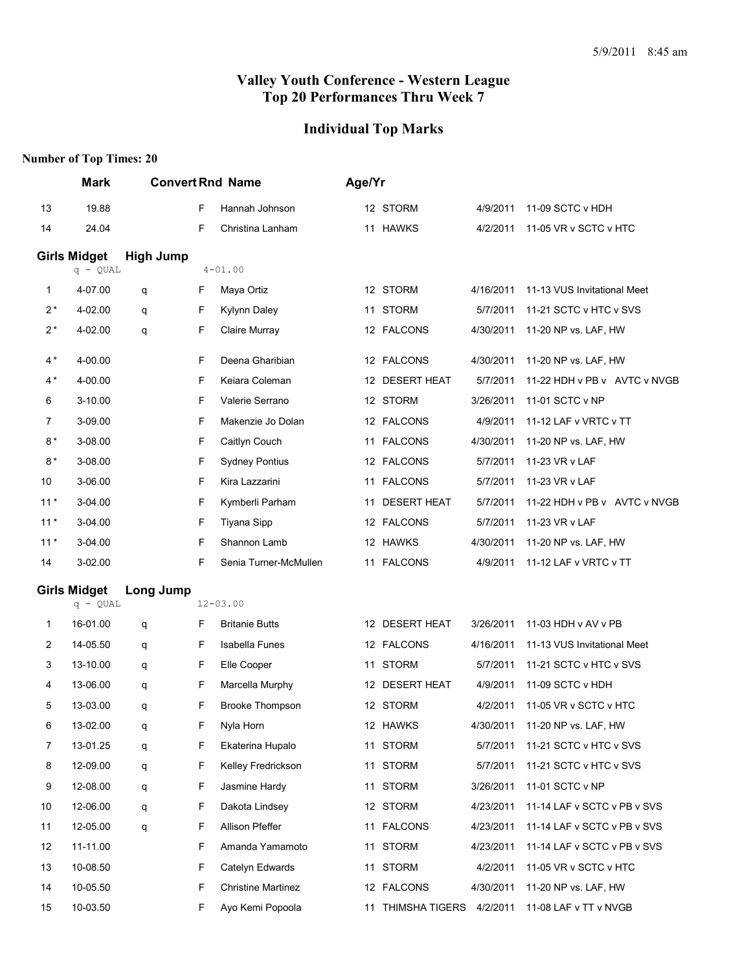# **Individual Top Marks**

|       | <b>Mark</b>         |                  | <b>Convert Rnd Name</b> |                           | Age/Yr |                   |           |                              |
|-------|---------------------|------------------|-------------------------|---------------------------|--------|-------------------|-----------|------------------------------|
| 13    | 19.88               |                  | F                       | Hannah Johnson            |        | 12 STORM          | 4/9/2011  | 11-09 SCTC v HDH             |
| 14    | 24.04               |                  | F                       | Christina Lanham          |        | 11 HAWKS          | 4/2/2011  | 11-05 VR v SCTC v HTC        |
|       | <b>Girls Midget</b> | <b>High Jump</b> |                         |                           |        |                   |           |                              |
|       | $q - QUAL$          |                  |                         | $4 - 01.00$               |        |                   |           |                              |
| 1     | 4-07.00             | q                | F                       | Maya Ortiz                |        | 12 STORM          | 4/16/2011 | 11-13 VUS Invitational Meet  |
| $2*$  | 4-02.00             | q                | F                       | Kylynn Daley              |        | 11 STORM          | 5/7/2011  | 11-21 SCTC v HTC v SVS       |
| $2^*$ | 4-02.00             | q                | F                       | Claire Murray             |        | 12 FALCONS        | 4/30/2011 | 11-20 NP vs. LAF, HW         |
| $4*$  | 4-00.00             |                  | F                       | Deena Gharibian           |        | 12 FALCONS        | 4/30/2011 | 11-20 NP vs. LAF, HW         |
| 4 *   | 4-00.00             |                  | F                       | Keiara Coleman            |        | 12 DESERT HEAT    | 5/7/2011  | 11-22 HDH v PB v AVTC v NVGB |
| 6     | 3-10.00             |                  | F                       | Valerie Serrano           |        | 12 STORM          | 3/26/2011 | 11-01 SCTC v NP              |
| 7     | 3-09.00             |                  | F                       | Makenzie Jo Dolan         |        | 12 FALCONS        | 4/9/2011  | 11-12 LAF v VRTC v TT        |
| $8*$  | 3-08.00             |                  | F                       | Caitlyn Couch             |        | 11 FALCONS        | 4/30/2011 | 11-20 NP vs. LAF, HW         |
| $8*$  | 3-08.00             |                  | F                       | <b>Sydney Pontius</b>     |        | 12 FALCONS        | 5/7/2011  | 11-23 VR v LAF               |
| 10    | 3-06.00             |                  | F                       | Kira Lazzarini            |        | 11 FALCONS        | 5/7/2011  | 11-23 VR v LAF               |
| $11*$ | 3-04.00             |                  | F                       | Kymberli Parham           |        | 11 DESERT HEAT    | 5/7/2011  | 11-22 HDH v PB v AVTC v NVGB |
| $11*$ | 3-04.00             |                  | F                       | Tiyana Sipp               |        | 12 FALCONS        | 5/7/2011  | 11-23 VR v LAF               |
| $11*$ | 3-04.00             |                  | F                       | Shannon Lamb              |        | 12 HAWKS          | 4/30/2011 | 11-20 NP vs. LAF, HW         |
| 14    | 3-02.00             |                  | F                       | Senia Turner-McMullen     |        | 11 FALCONS        | 4/9/2011  | 11-12 LAF v VRTC v TT        |
|       | <b>Girls Midget</b> | Long Jump        |                         |                           |        |                   |           |                              |
|       | $q - QUAL$          |                  |                         | $12 - 03.00$              |        |                   |           |                              |
| 1     | 16-01.00            | q                | F                       | <b>Britanie Butts</b>     |        | 12 DESERT HEAT    | 3/26/2011 | 11-03 HDH v AV v PB          |
| 2     | 14-05.50            | q                | F                       | <b>Isabella Funes</b>     |        | 12 FALCONS        | 4/16/2011 | 11-13 VUS Invitational Meet  |
| 3     | 13-10.00            | q                | F                       | Elle Cooper               |        | 11 STORM          | 5/7/2011  | 11-21 SCTC v HTC v SVS       |
| 4     | 13-06.00            | q                | F                       | Marcella Murphy           |        | 12 DESERT HEAT    | 4/9/2011  | 11-09 SCTC v HDH             |
| 5     | 13-03.00            | q                | F                       | <b>Brooke Thompson</b>    |        | 12 STORM          | 4/2/2011  | 11-05 VR v SCTC v HTC        |
| 6     | 13-02.00            | q                | F                       | Nyla Horn                 |        | 12 HAWKS          | 4/30/2011 | 11-20 NP vs. LAF, HW         |
| 7     | 13-01.25            | q                | F                       | Ekaterina Hupalo          |        | 11 STORM          | 5/7/2011  | 11-21 SCTC v HTC v SVS       |
| 8     | 12-09.00            | q                | F                       | Kelley Fredrickson        |        | 11 STORM          | 5/7/2011  | 11-21 SCTC v HTC v SVS       |
| 9     | 12-08.00            | q                | F                       | Jasmine Hardy             | 11     | <b>STORM</b>      | 3/26/2011 | 11-01 SCTC v NP              |
| 10    | 12-06.00            | q                | F                       | Dakota Lindsey            |        | 12 STORM          | 4/23/2011 | 11-14 LAF v SCTC v PB v SVS  |
| 11    | 12-05.00            | q                | F                       | Allison Pfeffer           |        | 11 FALCONS        | 4/23/2011 | 11-14 LAF v SCTC v PB v SVS  |
| 12    | 11-11.00            |                  | F                       | Amanda Yamamoto           |        | 11 STORM          | 4/23/2011 | 11-14 LAF v SCTC v PB v SVS  |
| 13    | 10-08.50            |                  | F                       | Catelyn Edwards           | 11     | <b>STORM</b>      | 4/2/2011  | 11-05 VR v SCTC v HTC        |
| 14    | 10-05.50            |                  | F                       | <b>Christine Martinez</b> |        | 12 FALCONS        | 4/30/2011 | 11-20 NP vs. LAF, HW         |
| 15    | 10-03.50            |                  | F                       | Ayo Kemi Popoola          |        | 11 THIMSHA TIGERS | 4/2/2011  | 11-08 LAF v TT v NVGB        |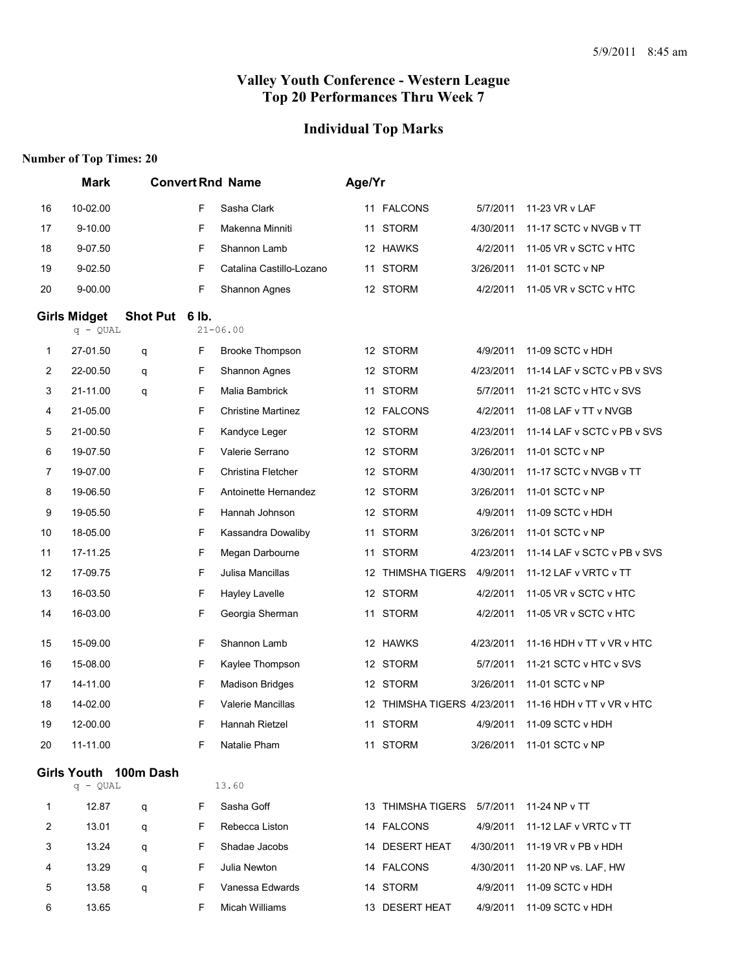## **Individual Top Marks**

|                | <b>Mark</b>                       |                       | <b>Convert Rnd Name</b> |                           |  | Age/Yr                      |           |                             |  |  |  |
|----------------|-----------------------------------|-----------------------|-------------------------|---------------------------|--|-----------------------------|-----------|-----------------------------|--|--|--|
| 16             | 10-02.00                          |                       | F                       | Sasha Clark               |  | 11 FALCONS                  | 5/7/2011  | 11-23 VR v LAF              |  |  |  |
| 17             | 9-10.00                           |                       | F                       | Makenna Minniti           |  | 11 STORM                    | 4/30/2011 | 11-17 SCTC v NVGB v TT      |  |  |  |
| 18             | 9-07.50                           |                       | F                       | Shannon Lamb              |  | 12 HAWKS                    | 4/2/2011  | 11-05 VR v SCTC v HTC       |  |  |  |
| 19             | 9-02.50                           |                       | F                       | Catalina Castillo-Lozano  |  | 11 STORM                    | 3/26/2011 | 11-01 SCTC v NP             |  |  |  |
| 20             | 9-00.00                           |                       | F                       | Shannon Agnes             |  | 12 STORM                    | 4/2/2011  | 11-05 VR v SCTC v HTC       |  |  |  |
|                | <b>Girls Midget</b><br>$q - QUAL$ | Shot Put 6 lb.        |                         | $21 - 06.00$              |  |                             |           |                             |  |  |  |
| 1              | 27-01.50                          | q                     | F                       | <b>Brooke Thompson</b>    |  | 12 STORM                    | 4/9/2011  | 11-09 SCTC v HDH            |  |  |  |
| $\overline{2}$ | 22-00.50                          | q                     | F                       | Shannon Agnes             |  | 12 STORM                    | 4/23/2011 | 11-14 LAF v SCTC v PB v SVS |  |  |  |
| 3              | 21-11.00                          | q                     | F                       | Malia Bambrick            |  | 11 STORM                    | 5/7/2011  | 11-21 SCTC v HTC v SVS      |  |  |  |
| 4              | 21-05.00                          |                       | F                       | <b>Christine Martinez</b> |  | 12 FALCONS                  | 4/2/2011  | 11-08 LAF v TT v NVGB       |  |  |  |
| 5              | 21-00.50                          |                       | F                       | Kandyce Leger             |  | 12 STORM                    | 4/23/2011 | 11-14 LAF v SCTC v PB v SVS |  |  |  |
| 6              | 19-07.50                          |                       | F                       | Valerie Serrano           |  | 12 STORM                    | 3/26/2011 | 11-01 SCTC v NP             |  |  |  |
| $\overline{7}$ | 19-07.00                          |                       | F                       | Christina Fletcher        |  | 12 STORM                    | 4/30/2011 | 11-17 SCTC v NVGB v TT      |  |  |  |
| 8              | 19-06.50                          |                       | F                       | Antoinette Hernandez      |  | 12 STORM                    | 3/26/2011 | 11-01 SCTC v NP             |  |  |  |
| 9              | 19-05.50                          |                       | F                       | Hannah Johnson            |  | 12 STORM                    | 4/9/2011  | 11-09 SCTC v HDH            |  |  |  |
| 10             | 18-05.00                          |                       | F                       | Kassandra Dowaliby        |  | 11 STORM                    | 3/26/2011 | 11-01 SCTC v NP             |  |  |  |
| 11             | 17-11.25                          |                       | F                       | Megan Darbourne           |  | 11 STORM                    | 4/23/2011 | 11-14 LAF v SCTC v PB v SVS |  |  |  |
| 12             | 17-09.75                          |                       | F                       | Julisa Mancillas          |  | 12 THIMSHA TIGERS           | 4/9/2011  | 11-12 LAF v VRTC v TT       |  |  |  |
| 13             | 16-03.50                          |                       | F                       | Hayley Lavelle            |  | 12 STORM                    | 4/2/2011  | 11-05 VR v SCTC v HTC       |  |  |  |
| 14             | 16-03.00                          |                       | F                       | Georgia Sherman           |  | 11 STORM                    | 4/2/2011  | 11-05 VR v SCTC v HTC       |  |  |  |
| 15             | 15-09.00                          |                       | F                       | Shannon Lamb              |  | 12 HAWKS                    | 4/23/2011 | 11-16 HDH v TT v VR v HTC   |  |  |  |
| 16             | 15-08.00                          |                       | F                       | Kaylee Thompson           |  | 12 STORM                    | 5/7/2011  | 11-21 SCTC v HTC v SVS      |  |  |  |
| 17             | 14-11.00                          |                       | F                       | <b>Madison Bridges</b>    |  | 12 STORM                    | 3/26/2011 | 11-01 SCTC v NP             |  |  |  |
| 18             | 14-02.00                          |                       | E                       | <b>Valerie Mancillas</b>  |  | 12 THIMSHA TIGERS 4/23/2011 |           | 11-16 HDH v TT v VR v HTC   |  |  |  |
| 19             | 12-00.00                          |                       | F                       | Hannah Rietzel            |  | 11 STORM                    | 4/9/2011  | 11-09 SCTC v HDH            |  |  |  |
| 20             | 11-11.00                          |                       | F                       | Natalie Pham              |  | 11 STORM                    | 3/26/2011 | 11-01 SCTC v NP             |  |  |  |
|                | $q - QUAL$                        | Girls Youth 100m Dash |                         | 13.60                     |  |                             |           |                             |  |  |  |
| $\mathbf{1}$   | 12.87                             |                       | F                       | Sasha Goff                |  | 13 THIMSHA TIGERS           | 5/7/2011  | 11-24 NP v TT               |  |  |  |
| $\overline{2}$ | 13.01                             | q<br>q                | F                       | Rebecca Liston            |  | 14 FALCONS                  | 4/9/2011  | 11-12 LAF v VRTC v TT       |  |  |  |
| 3              | 13.24                             | q                     | F                       | Shadae Jacobs             |  | 14 DESERT HEAT              | 4/30/2011 | 11-19 $VR$ v PB v HDH       |  |  |  |
| 4              | 13.29                             | q                     | F                       | Julia Newton              |  | 14 FALCONS                  | 4/30/2011 | 11-20 NP vs. LAF, HW        |  |  |  |
| 5              | 13.58                             | q                     | F                       | Vanessa Edwards           |  | 14 STORM                    | 4/9/2011  | 11-09 SCTC v HDH            |  |  |  |
| 6              | 13.65                             |                       | F                       | Micah Williams            |  | 13 DESERT HEAT              | 4/9/2011  | 11-09 SCTC v HDH            |  |  |  |
|                |                                   |                       |                         |                           |  |                             |           |                             |  |  |  |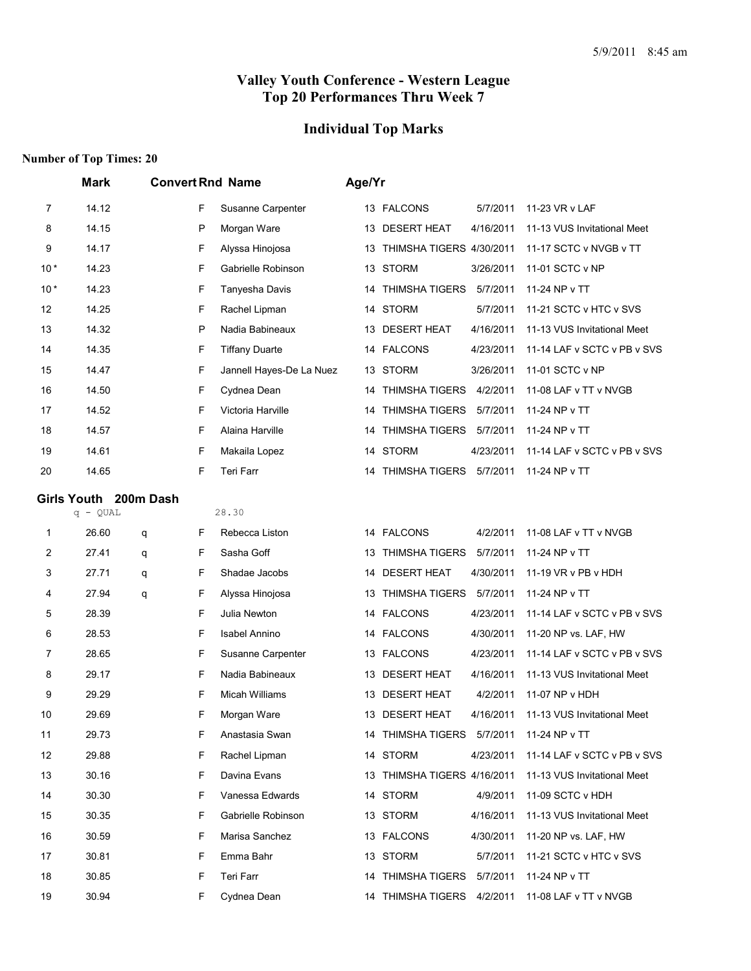# **Individual Top Marks**

|       | <b>Mark</b>           | <b>Convert Rnd Name</b> |                          | Age/Yr |                                          |           |                                       |
|-------|-----------------------|-------------------------|--------------------------|--------|------------------------------------------|-----------|---------------------------------------|
| 7     | 14.12                 | F.                      | Susanne Carpenter        |        | 13 FALCONS                               | 5/7/2011  | 11-23 VR v LAF                        |
| 8     | 14.15                 | P                       | Morgan Ware              |        | 13 DESERT HEAT                           | 4/16/2011 | 11-13 VUS Invitational Meet           |
| 9     | 14.17                 | F                       | Alyssa Hinojosa          |        | 13 THIMSHA TIGERS 4/30/2011              |           | 11-17 SCTC v NVGB v TT                |
| $10*$ | 14.23                 | F                       | Gabrielle Robinson       |        | 13 STORM                                 | 3/26/2011 | 11-01 SCTC v NP                       |
| $10*$ | 14.23                 | F                       | Tanyesha Davis           |        | 14 THIMSHA TIGERS                        | 5/7/2011  | 11-24 NP v TT                         |
| 12    | 14.25                 | F                       | Rachel Lipman            |        | 14 STORM                                 | 5/7/2011  | 11-21 SCTC v HTC v SVS                |
| 13    | 14.32                 | P                       | Nadia Babineaux          | 13     | <b>DESERT HEAT</b>                       | 4/16/2011 | 11-13 VUS Invitational Meet           |
| 14    | 14.35                 | F                       | <b>Tiffany Duarte</b>    |        | 14 FALCONS                               | 4/23/2011 | 11-14 LAF v SCTC v PB v SVS           |
| 15    | 14.47                 | F                       | Jannell Hayes-De La Nuez |        | 13 STORM                                 | 3/26/2011 | 11-01 SCTC v NP                       |
| 16    | 14.50                 | F                       | Cydnea Dean              | 14     | THIMSHA TIGERS                           | 4/2/2011  | 11-08 LAF v TT v NVGB                 |
| 17    | 14.52                 | F                       | Victoria Harville        | 14     | THIMSHA TIGERS                           | 5/7/2011  | 11-24 NP v TT                         |
| 18    | 14.57                 | F                       | Alaina Harville          | 14     | THIMSHA TIGERS                           | 5/7/2011  | 11-24 NP v TT                         |
| 19    | 14.61                 | F                       | Makaila Lopez            |        | 14 STORM                                 | 4/23/2011 | 11-14 LAF v SCTC v PB v SVS           |
| 20    | 14.65                 | F                       | Teri Farr                |        | 14 THIMSHA TIGERS 5/7/2011               |           | 11-24 NP v TT                         |
|       | Girls Youth 200m Dash |                         |                          |        |                                          |           |                                       |
|       | $q - QUAL$            |                         | 28.30                    |        |                                          |           |                                       |
| 1     | 26.60                 | F<br>q                  | Rebecca Liston           |        | 14 FALCONS                               | 4/2/2011  | 11-08 LAF v TT v NVGB                 |
| 2     | 27.41                 | F<br>q                  | Sasha Goff               | 13     | <b>THIMSHA TIGERS</b>                    | 5/7/2011  | 11-24 NP v TT                         |
| 3     | 27.71                 | F<br>q                  | Shadae Jacobs            |        | 14 DESERT HEAT                           | 4/30/2011 | 11-19 VR v PB v HDH                   |
| 4     | 27.94                 | F<br>q                  | Alyssa Hinojosa          | 13     | <b>THIMSHA TIGERS</b>                    | 5/7/2011  | 11-24 NP v TT                         |
| 5     | 28.39                 | F                       | Julia Newton             |        | 14 FALCONS                               | 4/23/2011 | 11-14 LAF v SCTC v PB v SVS           |
| 6     | 28.53                 | F                       | <b>Isabel Annino</b>     |        | 14 FALCONS                               | 4/30/2011 | 11-20 NP vs. LAF, HW                  |
| 7     | 28.65                 | F                       | Susanne Carpenter        |        | 13 FALCONS                               | 4/23/2011 | 11-14 LAF v SCTC v PB v SVS           |
| 8     | 29.17                 | F                       | Nadia Babineaux          | 13     | <b>DESERT HEAT</b>                       | 4/16/2011 | 11-13 VUS Invitational Meet           |
| 9     | 29.29                 | F                       | Micah Williams           | 13     | <b>DESERT HEAT</b>                       | 4/2/2011  | 11-07 NP v HDH                        |
| 10    | 29.69                 | F                       | Morgan Ware              |        | 13 DESERT HEAT                           |           | 4/16/2011 11-13 VUS Invitational Meet |
| 11    | 29.73                 | F                       | Anastasia Swan           |        | 14 THIMSHA TIGERS 5/7/2011 11-24 NP v TT |           |                                       |
| 12    | 29.88                 | F                       | Rachel Lipman            |        | 14 STORM                                 | 4/23/2011 | 11-14 LAF v SCTC v PB v SVS           |
| 13    | 30.16                 | F.                      | Davina Evans             |        | 13 THIMSHA TIGERS 4/16/2011              |           | 11-13 VUS Invitational Meet           |
| 14    | 30.30                 | F                       | Vanessa Edwards          |        | 14 STORM                                 | 4/9/2011  | 11-09 SCTC v HDH                      |
| 15    | 30.35                 | F                       | Gabrielle Robinson       |        | 13 STORM                                 | 4/16/2011 | 11-13 VUS Invitational Meet           |
| 16    | 30.59                 | F                       | Marisa Sanchez           |        | 13 FALCONS                               | 4/30/2011 | 11-20 NP vs. LAF, HW                  |
| 17    | 30.81                 | F                       | Emma Bahr                |        | 13 STORM                                 | 5/7/2011  | 11-21 SCTC v HTC v SVS                |
| 18    | 30.85                 | F                       | Teri Farr                |        | 14 THIMSHA TIGERS 5/7/2011               |           | 11-24 NP v TT                         |
| 19    | 30.94                 | F                       | Cydnea Dean              |        | 14 THIMSHA TIGERS 4/2/2011               |           | 11-08 LAF v TT v NVGB                 |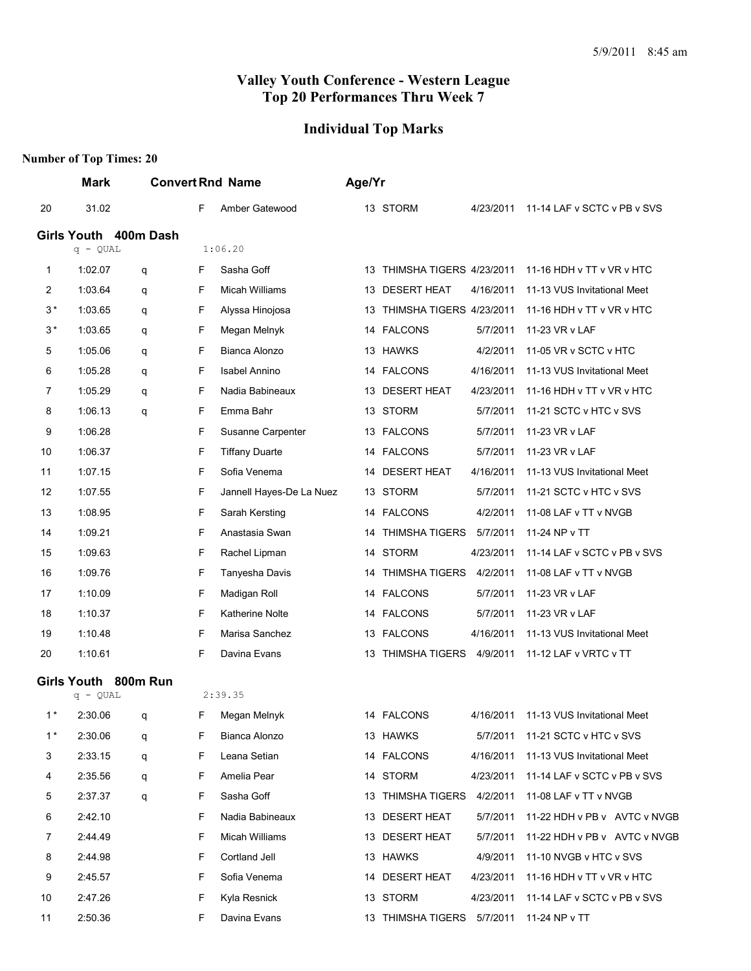# **Individual Top Marks**

|                | <b>Mark</b>           |   | <b>Convert Rnd Name</b> |                          | Age/Yr |                                          |           |                                                  |
|----------------|-----------------------|---|-------------------------|--------------------------|--------|------------------------------------------|-----------|--------------------------------------------------|
| 20             | 31.02                 |   | F                       | Amber Gatewood           |        | 13 STORM                                 | 4/23/2011 | 11-14 LAF v SCTC v PB v SVS                      |
|                | Girls Youth 400m Dash |   |                         |                          |        |                                          |           |                                                  |
|                | $q - QUAL$            |   |                         | 1:06.20                  |        |                                          |           |                                                  |
| 1              | 1:02.07               | q | F                       | Sasha Goff               |        | 13 THIMSHA TIGERS 4/23/2011              |           | 11-16 HDH v TT v VR v HTC                        |
| 2              | 1:03.64               | q | F                       | Micah Williams           |        | 13 DESERT HEAT                           | 4/16/2011 | 11-13 VUS Invitational Meet                      |
| $3*$           | 1:03.65               | q | F                       | Alyssa Hinojosa          |        | 13 THIMSHA TIGERS 4/23/2011              |           | 11-16 HDH v TT v VR v HTC                        |
| $3*$           | 1:03.65               | q | F                       | Megan Melnyk             |        | 14 FALCONS                               | 5/7/2011  | 11-23 VR v LAF                                   |
| 5              | 1:05.06               | q | F                       | Bianca Alonzo            |        | 13 HAWKS                                 | 4/2/2011  | 11-05 VR v SCTC v HTC                            |
| 6              | 1:05.28               | q | F                       | <b>Isabel Annino</b>     |        | 14 FALCONS                               | 4/16/2011 | 11-13 VUS Invitational Meet                      |
| 7              | 1:05.29               | q | F                       | Nadia Babineaux          |        | 13 DESERT HEAT                           | 4/23/2011 | 11-16 HDH v TT v VR v HTC                        |
| 8              | 1:06.13               | q | F                       | Emma Bahr                |        | 13 STORM                                 | 5/7/2011  | 11-21 SCTC v HTC v SVS                           |
| 9              | 1:06.28               |   | F                       | Susanne Carpenter        |        | 13 FALCONS                               | 5/7/2011  | 11-23 VR v LAF                                   |
| 10             | 1:06.37               |   | F                       | <b>Tiffany Duarte</b>    |        | 14 FALCONS                               | 5/7/2011  | 11-23 VR v LAF                                   |
| 11             | 1:07.15               |   | F                       | Sofia Venema             |        | 14 DESERT HEAT                           | 4/16/2011 | 11-13 VUS Invitational Meet                      |
| 12             | 1:07.55               |   | F                       | Jannell Hayes-De La Nuez |        | 13 STORM                                 | 5/7/2011  | 11-21 SCTC v HTC v SVS                           |
| 13             | 1:08.95               |   | F                       | Sarah Kersting           |        | 14 FALCONS                               | 4/2/2011  | 11-08 LAF v TT v NVGB                            |
| 14             | 1:09.21               |   | F                       | Anastasia Swan           | 14     | <b>THIMSHA TIGERS</b>                    | 5/7/2011  | 11-24 NP v TT                                    |
| 15             | 1:09.63               |   | F                       | Rachel Lipman            |        | 14 STORM                                 | 4/23/2011 | 11-14 LAF v SCTC v PB v SVS                      |
| 16             | 1:09.76               |   | F                       | Tanyesha Davis           | 14     | THIMSHA TIGERS                           | 4/2/2011  | 11-08 LAF v TT v NVGB                            |
| 17             | 1:10.09               |   | F                       | Madigan Roll             |        | 14 FALCONS                               | 5/7/2011  | 11-23 VR v LAF                                   |
| 18             | 1:10.37               |   | F                       | <b>Katherine Nolte</b>   |        | 14 FALCONS                               | 5/7/2011  | 11-23 VR v LAF                                   |
| 19             | 1:10.48               |   | F                       | Marisa Sanchez           |        | 13 FALCONS                               | 4/16/2011 | 11-13 VUS Invitational Meet                      |
| 20             | 1:10.61               |   | F                       | Davina Evans             |        | 13 THIMSHA TIGERS                        | 4/9/2011  | 11-12 LAF v VRTC v TT                            |
|                | Girls Youth 800m Run  |   |                         |                          |        |                                          |           |                                                  |
|                | $q - QUAL$            |   |                         | 2:39.35                  |        |                                          |           |                                                  |
| 1*             | 2:30.06               | a | F.                      | Megan Melnyk             |        | 14 FALCONS                               |           | 4/16/2011 11-13 VUS Invitational Meet            |
| $1*$           | 2:30.06               | q | F.                      | Bianca Alonzo            |        | 13 HAWKS                                 |           | 5/7/2011 11-21 SCTC v HTC v SVS                  |
| 3              | 2:33.15               | q | F                       | Leana Setian             |        | 14 FALCONS                               |           | 4/16/2011 11-13 VUS Invitational Meet            |
| 4              | 2:35.56               | q | F                       | Amelia Pear              |        | 14 STORM                                 |           | 4/23/2011 11-14 LAF v SCTC v PB v SVS            |
| 5              | 2:37.37               | q | F                       | Sasha Goff               |        |                                          |           | 13 THIMSHA TIGERS 4/2/2011 11-08 LAF v TT v NVGB |
| 6              | 2:42.10               |   | F                       | Nadia Babineaux          |        | 13 DESERT HEAT                           |           | 5/7/2011 11-22 HDH v PB v AVTC v NVGB            |
| $\overline{7}$ | 2:44.49               |   | F                       | Micah Williams           |        | 13 DESERT HEAT                           |           | 5/7/2011 11-22 HDH v PB v AVTC v NVGB            |
| 8              | 2:44.98               |   | F.                      | Cortland Jell            |        | 13 HAWKS                                 | 4/9/2011  | 11-10 NVGB v HTC v SVS                           |
| 9              | 2:45.57               |   | F                       | Sofia Venema             |        | 14 DESERT HEAT                           |           | 4/23/2011 11-16 HDH v TT v VR v HTC              |
| 10             | 2:47.26               |   | F                       | Kyla Resnick             |        | 13 STORM                                 |           | 4/23/2011 11-14 LAF v SCTC v PB v SVS            |
| 11             | 2:50.36               |   | F.                      | Davina Evans             |        | 13 THIMSHA TIGERS 5/7/2011 11-24 NP v TT |           |                                                  |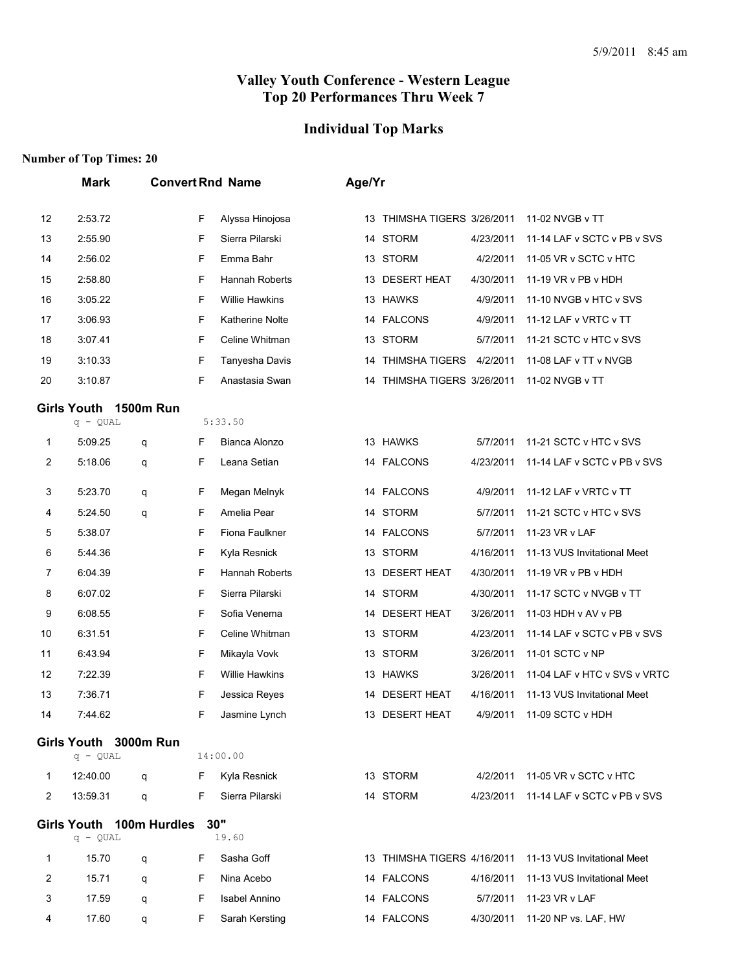# **Individual Top Marks**

|    | <b>Mark</b>                            |   |    | <b>Convert Rnd Name</b> | Age/Yr |                             |           |                                       |
|----|----------------------------------------|---|----|-------------------------|--------|-----------------------------|-----------|---------------------------------------|
| 12 | 2:53.72                                |   | F  | Alyssa Hinojosa         |        | 13 THIMSHA TIGERS 3/26/2011 |           | 11-02 NVGB v TT                       |
| 13 | 2:55.90                                |   | F  | Sierra Pilarski         |        | 14 STORM                    | 4/23/2011 | 11-14 LAF v SCTC v PB v SVS           |
| 14 | 2:56.02                                |   | F  | Emma Bahr               |        | 13 STORM                    | 4/2/2011  | 11-05 VR v SCTC v HTC                 |
| 15 | 2:58.80                                |   | F  | Hannah Roberts          |        | 13 DESERT HEAT              | 4/30/2011 | 11-19 VR v PB v HDH                   |
| 16 | 3:05.22                                |   | F  | <b>Willie Hawkins</b>   |        | 13 HAWKS                    | 4/9/2011  | 11-10 NVGB v HTC v SVS                |
| 17 | 3:06.93                                |   | F  | <b>Katherine Nolte</b>  |        | 14 FALCONS                  | 4/9/2011  | 11-12 LAF v VRTC v TT                 |
| 18 | 3:07.41                                |   | F  | Celine Whitman          |        | 13 STORM                    | 5/7/2011  | 11-21 SCTC v HTC v SVS                |
| 19 | 3:10.33                                |   | F  | Tanyesha Davis          |        | 14 THIMSHA TIGERS           | 4/2/2011  | 11-08 LAF v TT v NVGB                 |
| 20 | 3:10.87                                |   | F  | Anastasia Swan          |        | 14 THIMSHA TIGERS 3/26/2011 |           | 11-02 NVGB v TT                       |
|    | Girls Youth 1500m Run                  |   |    |                         |        |                             |           |                                       |
|    | $q - QUAL$                             |   |    | 5:33.50                 |        |                             |           |                                       |
| 1  | 5:09.25                                | q | F  | Bianca Alonzo           |        | 13 HAWKS                    | 5/7/2011  | 11-21 SCTC v HTC v SVS                |
| 2  | 5:18.06                                | q | F  | Leana Setian            |        | 14 FALCONS                  | 4/23/2011 | 11-14 LAF v SCTC v PB v SVS           |
| 3  | 5:23.70                                | q | F  | Megan Melnyk            |        | 14 FALCONS                  | 4/9/2011  | 11-12 LAF v VRTC v TT                 |
| 4  | 5:24.50                                | q | F  | Amelia Pear             |        | 14 STORM                    | 5/7/2011  | 11-21 SCTC v HTC v SVS                |
| 5  | 5:38.07                                |   | F  | Fiona Faulkner          |        | 14 FALCONS                  | 5/7/2011  | 11-23 VR v LAF                        |
| 6  | 5:44.36                                |   | F  | Kyla Resnick            |        | 13 STORM                    | 4/16/2011 | 11-13 VUS Invitational Meet           |
| 7  | 6:04.39                                |   | F  | Hannah Roberts          |        | 13 DESERT HEAT              | 4/30/2011 | 11-19 VR v PB v HDH                   |
| 8  | 6:07.02                                |   | F  | Sierra Pilarski         |        | 14 STORM                    | 4/30/2011 | 11-17 SCTC v NVGB v TT                |
| 9  | 6:08.55                                |   | F  | Sofia Venema            |        | 14 DESERT HEAT              | 3/26/2011 | 11-03 HDH v AV v PB                   |
| 10 | 6:31.51                                |   | F  | Celine Whitman          |        | 13 STORM                    | 4/23/2011 | 11-14 LAF v SCTC v PB v SVS           |
| 11 | 6:43.94                                |   | F  | Mikayla Vovk            |        | 13 STORM                    | 3/26/2011 | 11-01 SCTC v NP                       |
| 12 | 7:22.39                                |   | F  | Willie Hawkins          |        | 13 HAWKS                    | 3/26/2011 | 11-04 LAF v HTC v SVS v VRTC          |
| 13 | 7:36.71                                |   | F  | Jessica Reyes           |        | 14 DESERT HEAT              | 4/16/2011 | 11-13 VUS Invitational Meet           |
| 14 | 7:44.62                                |   | F  | Jasmine Lynch           |        | 13 DESERT HEAT              | 4/9/2011  | 11-09 SCTC v HDH                      |
|    | Girls Youth 3000m Run<br>$q - QUAL$    |   |    | 14:00.00                |        |                             |           |                                       |
| 1  | 12:40.00                               | q | F  | Kyla Resnick            |        | 13 STORM                    |           | 4/2/2011 11-05 VR v SCTC v HTC        |
| 2  | 13:59.31                               | q | F  | Sierra Pilarski         |        | 14 STORM                    |           | 4/23/2011 11-14 LAF v SCTC v PB v SVS |
|    |                                        |   |    |                         |        |                             |           |                                       |
|    | Girls Youth 100m Hurdles<br>$q - QUAL$ |   |    | 30"<br>19.60            |        |                             |           |                                       |
| 1  | 15.70                                  | q | F  | Sasha Goff              |        | 13 THIMSHA TIGERS 4/16/2011 |           | 11-13 VUS Invitational Meet           |
| 2  | 15.71                                  | q | F  | Nina Acebo              |        | 14 FALCONS                  | 4/16/2011 | 11-13 VUS Invitational Meet           |
| 3  | 17.59                                  | q | F  | <b>Isabel Annino</b>    |        | 14 FALCONS                  | 5/7/2011  | 11-23 VR v LAF                        |
| 4  | 17.60                                  | q | F. | Sarah Kersting          |        | 14 FALCONS                  |           | 4/30/2011 11-20 NP vs. LAF, HW        |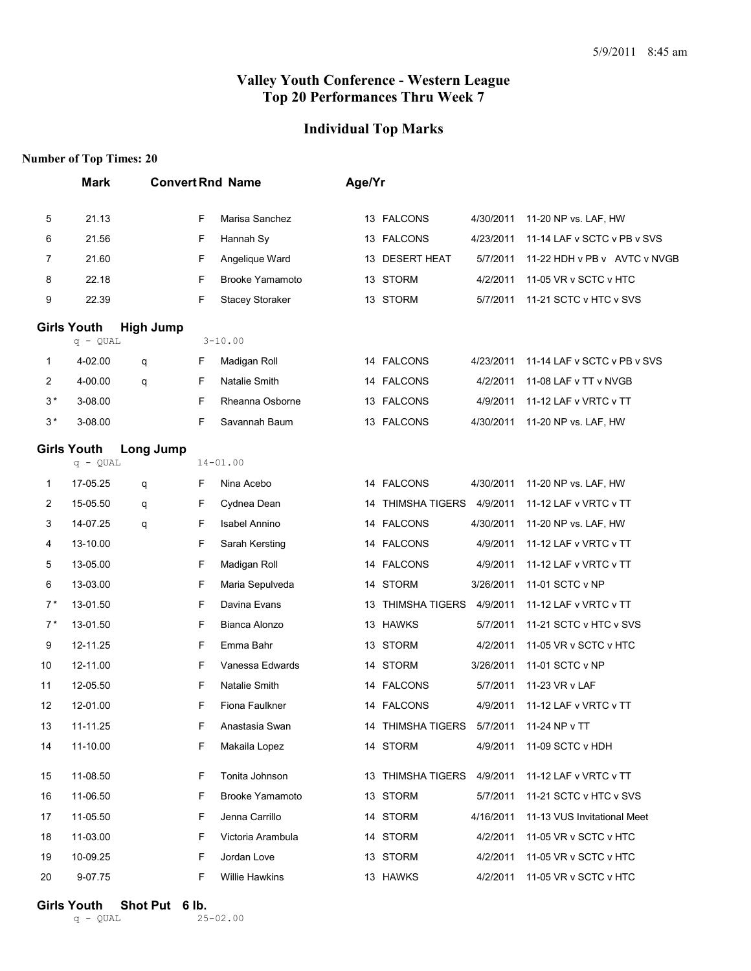#### **Individual Top Marks**

#### **Number of Top Times: 20**

|              | <b>Mark</b>                      |                  |   | <b>Convert Rnd Name</b> | Age/Yr |                            |           |                              |
|--------------|----------------------------------|------------------|---|-------------------------|--------|----------------------------|-----------|------------------------------|
| 5            | 21.13                            |                  | F | Marisa Sanchez          |        | 13 FALCONS                 | 4/30/2011 | 11-20 NP vs. LAF, HW         |
| 6            | 21.56                            |                  | F | Hannah Sy               |        | 13 FALCONS                 | 4/23/2011 | 11-14 LAF v SCTC v PB v SVS  |
| 7            | 21.60                            |                  | F | Angelique Ward          |        | 13 DESERT HEAT             | 5/7/2011  | 11-22 HDH v PB v AVTC v NVGB |
| 8            | 22.18                            |                  | F | <b>Brooke Yamamoto</b>  |        | 13 STORM                   | 4/2/2011  | 11-05 VR v SCTC v HTC        |
| 9            | 22.39                            |                  | F | <b>Stacey Storaker</b>  |        | 13 STORM                   | 5/7/2011  | 11-21 SCTC v HTC v SVS       |
|              | <b>Girls Youth</b><br>$q - QUAL$ | <b>High Jump</b> |   | $3 - 10.00$             |        |                            |           |                              |
| 1            | 4-02.00                          | q                | F | Madigan Roll            |        | 14 FALCONS                 | 4/23/2011 | 11-14 LAF v SCTC v PB v SVS  |
| 2            | 4-00.00                          | q                | F | Natalie Smith           |        | 14 FALCONS                 | 4/2/2011  | 11-08 LAF v TT v NVGB        |
| $3*$         | 3-08.00                          |                  | F | Rheanna Osborne         |        | 13 FALCONS                 | 4/9/2011  | 11-12 LAF v VRTC v TT        |
| $3*$         | 3-08.00                          |                  | F | Savannah Baum           |        | 13 FALCONS                 | 4/30/2011 | 11-20 NP vs. LAF, HW         |
|              | <b>Girls Youth</b><br>$q - QUAL$ | Long Jump        |   | $14 - 01.00$            |        |                            |           |                              |
| $\mathbf{1}$ | 17-05.25                         |                  | F | Nina Acebo              |        | 14 FALCONS                 | 4/30/2011 | 11-20 NP vs. LAF, HW         |
| 2            | 15-05.50                         | q<br>q           | F | Cydnea Dean             |        | 14 THIMSHA TIGERS          | 4/9/2011  | 11-12 LAF v VRTC v TT        |
| 3            | 14-07.25                         | q                | F | <b>Isabel Annino</b>    |        | 14 FALCONS                 | 4/30/2011 | 11-20 NP vs. LAF, HW         |
| 4            | 13-10.00                         |                  | F | Sarah Kersting          |        | 14 FALCONS                 | 4/9/2011  | 11-12 LAF v VRTC v TT        |
| 5            | 13-05.00                         |                  | F | Madigan Roll            |        | 14 FALCONS                 | 4/9/2011  | 11-12 LAF v VRTC v TT        |
| 6            | 13-03.00                         |                  | F | Maria Sepulveda         |        | 14 STORM                   | 3/26/2011 | 11-01 SCTC v NP              |
| $7*$         | 13-01.50                         |                  | F | Davina Evans            |        | 13 THIMSHA TIGERS          | 4/9/2011  | 11-12 LAF v VRTC v TT        |
| $7*$         | 13-01.50                         |                  | F | Bianca Alonzo           |        | 13 HAWKS                   | 5/7/2011  | 11-21 SCTC v HTC v SVS       |
| 9            | 12-11.25                         |                  | F | Emma Bahr               |        | 13 STORM                   | 4/2/2011  | 11-05 VR v SCTC v HTC        |
| 10           | 12-11.00                         |                  | F | Vanessa Edwards         |        | 14 STORM                   | 3/26/2011 | 11-01 SCTC v NP              |
| 11           | 12-05.50                         |                  | F | Natalie Smith           |        | 14 FALCONS                 | 5/7/2011  | 11-23 VR v LAF               |
| 12           | 12-01.00                         |                  | F | Fiona Faulkner          |        | 14 FALCONS                 | 4/9/2011  | 11-12 LAF v VRTC v TT        |
| 13           | 11-11.25                         |                  | F | Anastasia Swan          |        | 14 THIMSHA TIGERS 5/7/2011 |           | 11-24 NP v TT                |
| 14           | 11-10.00                         |                  | F | Makaila Lopez           |        | 14 STORM                   | 4/9/2011  | 11-09 SCTC v HDH             |
| 15           | 11-08.50                         |                  | F | Tonita Johnson          |        | 13 THIMSHA TIGERS          | 4/9/2011  | 11-12 LAF v VRTC v TT        |
| 16           | 11-06.50                         |                  | F | <b>Brooke Yamamoto</b>  |        | 13 STORM                   | 5/7/2011  | 11-21 SCTC v HTC v SVS       |
| 17           | 11-05.50                         |                  | F | Jenna Carrillo          |        | 14 STORM                   | 4/16/2011 | 11-13 VUS Invitational Meet  |
| 18           | 11-03.00                         |                  | F | Victoria Arambula       |        | 14 STORM                   | 4/2/2011  | 11-05 VR v SCTC v HTC        |
| 19           | 10-09.25                         |                  | F | Jordan Love             |        | 13 STORM                   | 4/2/2011  | 11-05 VR v SCTC v HTC        |
| 20           | 9-07.75                          |                  | F | <b>Willie Hawkins</b>   |        | 13 HAWKS                   | 4/2/2011  | 11-05 VR v SCTC v HTC        |

# **Girls Youth Shot Put 6 lb.**<br>q - QUAL 25-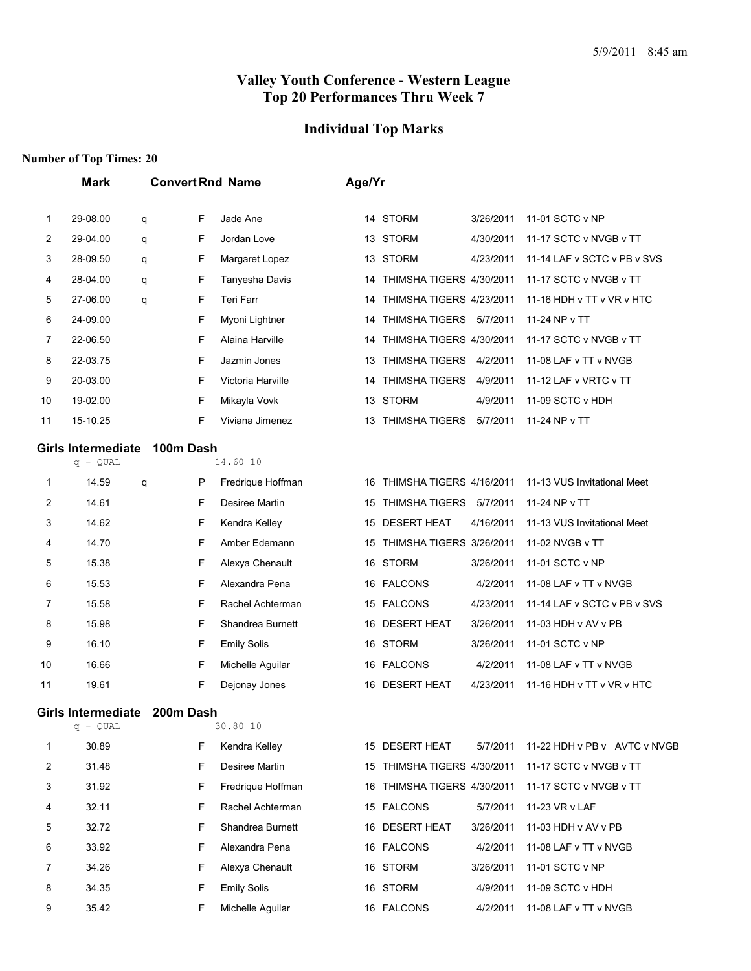# **Individual Top Marks**

|    | <b>Mark</b>                             |   |           | <b>Convert Rnd Name</b> | Age/Yr |                             |           |                              |
|----|-----------------------------------------|---|-----------|-------------------------|--------|-----------------------------|-----------|------------------------------|
| 1  | 29-08.00                                | q | F         | Jade Ane                |        | 14 STORM                    | 3/26/2011 | 11-01 SCTC v NP              |
| 2  | 29-04.00                                | q | F         | Jordan Love             |        | 13 STORM                    | 4/30/2011 | 11-17 SCTC v NVGB v TT       |
| 3  | 28-09.50                                | q | F         | Margaret Lopez          | 13     | <b>STORM</b>                | 4/23/2011 | 11-14 LAF v SCTC v PB v SVS  |
| 4  | 28-04.00                                | q | F         | Tanyesha Davis          | 14     | THIMSHA TIGERS 4/30/2011    |           | 11-17 SCTC v NVGB v TT       |
| 5  | 27-06.00                                | q | F         | Teri Farr               | 14     | THIMSHA TIGERS 4/23/2011    |           | 11-16 HDH v TT v VR v HTC    |
| 6  | 24-09.00                                |   | F         | Myoni Lightner          | 14     | THIMSHA TIGERS 5/7/2011     |           | 11-24 NP v TT                |
| 7  | 22-06.50                                |   | F         | Alaina Harville         | 14     | THIMSHA TIGERS 4/30/2011    |           | 11-17 SCTC v NVGB v TT       |
| 8  | 22-03.75                                |   | F         | Jazmin Jones            | 13     | THIMSHA TIGERS 4/2/2011     |           | 11-08 LAF v TT v NVGB        |
| 9  | 20-03.00                                |   | F         | Victoria Harville       | 14     | THIMSHA TIGERS              | 4/9/2011  | 11-12 LAF v VRTC v TT        |
| 10 | 19-02.00                                |   | F         | Mikayla Vovk            |        | 13 STORM                    | 4/9/2011  | 11-09 SCTC v HDH             |
| 11 | 15-10.25                                |   | F         | Viviana Jimenez         | 13     | THIMSHA TIGERS              | 5/7/2011  | 11-24 NP v TT                |
|    | Girls Intermediate<br>$q - QUAL$        |   | 100m Dash | 14.60 10                |        |                             |           |                              |
| 1  | 14.59                                   | q | P         | Fredrique Hoffman       | 16     | THIMSHA TIGERS 4/16/2011    |           | 11-13 VUS Invitational Meet  |
| 2  | 14.61                                   |   | F         | Desiree Martin          | 15     | THIMSHA TIGERS 5/7/2011     |           | 11-24 NP v TT                |
| 3  | 14.62                                   |   | F         | Kendra Kelley           | 15     | <b>DESERT HEAT</b>          | 4/16/2011 | 11-13 VUS Invitational Meet  |
| 4  | 14.70                                   |   | F         | Amber Edemann           | 15     | THIMSHA TIGERS 3/26/2011    |           | 11-02 NVGB v TT              |
| 5  | 15.38                                   |   | F         | Alexya Chenault         | 16     | STORM                       | 3/26/2011 | 11-01 SCTC v NP              |
| 6  | 15.53                                   |   | F         | Alexandra Pena          | 16     | <b>FALCONS</b>              | 4/2/2011  | 11-08 LAF v TT v NVGB        |
| 7  | 15.58                                   |   | F         | Rachel Achterman        | 15     | <b>FALCONS</b>              | 4/23/2011 | 11-14 LAF v SCTC v PB v SVS  |
| 8  | 15.98                                   |   | F         | Shandrea Burnett        | 16     | <b>DESERT HEAT</b>          | 3/26/2011 | 11-03 HDH v AV v PB          |
| 9  | 16.10                                   |   | F         | <b>Emily Solis</b>      |        | 16 STORM                    | 3/26/2011 | 11-01 SCTC v NP              |
| 10 | 16.66                                   |   | F         | Michelle Aguilar        |        | 16 FALCONS                  | 4/2/2011  | 11-08 LAF v TT v NVGB        |
| 11 | 19.61                                   |   | F         | Dejonay Jones           | 16     | <b>DESERT HEAT</b>          | 4/23/2011 | 11-16 HDH v TT v VR v HTC    |
|    | <b>Girls Intermediate</b><br>$q - QUAL$ |   | 200m Dash | 30.80 10                |        |                             |           |                              |
| 1  | 30.89                                   |   | F         | Kendra Kelley           |        | 15 DESERT HEAT              | 5/7/2011  | 11-22 HDH v PB v AVTC v NVGB |
| 2  | 31.48                                   |   | F         | Desiree Martin          |        | 15 THIMSHA TIGERS 4/30/2011 |           | 11-17 SCTC v NVGB v TT       |
| 3  | 31.92                                   |   | F         | Fredrique Hoffman       |        | 16 THIMSHA TIGERS 4/30/2011 |           | 11-17 SCTC v NVGB v TT       |
| 4  | 32.11                                   |   | F         | Rachel Achterman        |        | 15 FALCONS                  | 5/7/2011  | 11-23 VR v LAF               |
| 5  | 32.72                                   |   | F         | Shandrea Burnett        |        | 16 DESERT HEAT              | 3/26/2011 | 11-03 HDH v AV v PB          |
| 6  | 33.92                                   |   | F         | Alexandra Pena          |        | 16 FALCONS                  | 4/2/2011  | 11-08 LAF v TT v NVGB        |
| 7  | 34.26                                   |   | F         | Alexya Chenault         |        | 16 STORM                    | 3/26/2011 | 11-01 SCTC v NP              |
| 8  | 34.35                                   |   | F         | <b>Emily Solis</b>      |        | 16 STORM                    | 4/9/2011  | 11-09 SCTC v HDH             |
| 9  | 35.42                                   |   | F         | Michelle Aguilar        |        | 16 FALCONS                  | 4/2/2011  | 11-08 LAF v TT v NVGB        |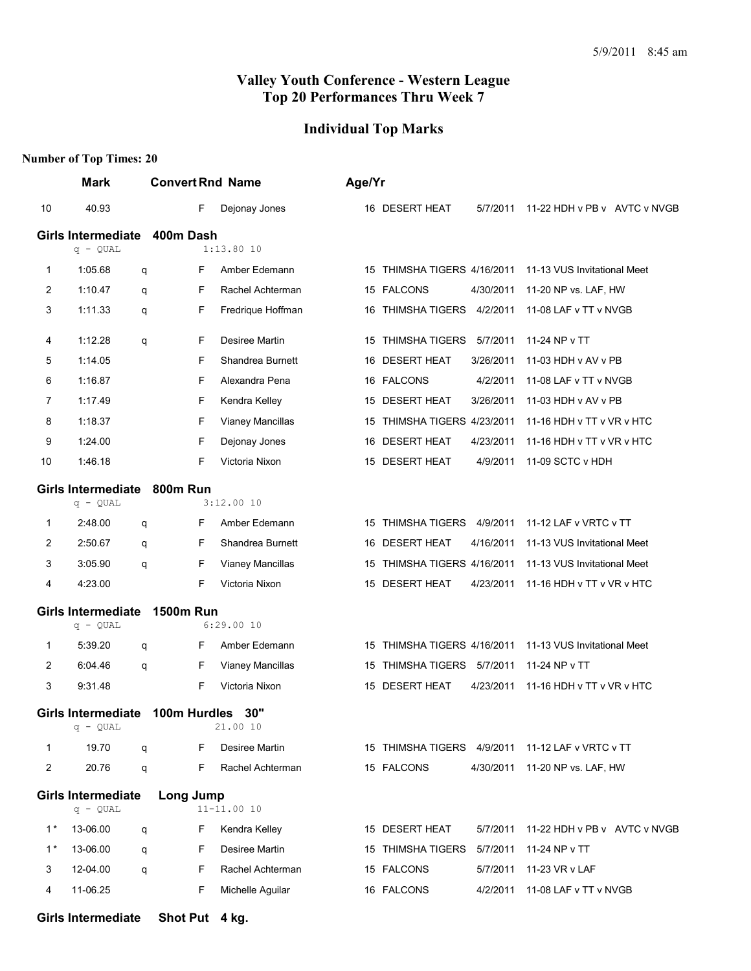#### **Individual Top Marks**

|                | <b>Mark</b>                             |   | <b>Convert Rnd Name</b> |                   | Age/Yr |                                                  |           |                                       |  |
|----------------|-----------------------------------------|---|-------------------------|-------------------|--------|--------------------------------------------------|-----------|---------------------------------------|--|
| 10             | 40.93                                   |   | F                       | Dejonay Jones     |        | 16 DESERT HEAT                                   | 5/7/2011  | 11-22 HDH v PB v AVTC v NVGB          |  |
|                | <b>Girls Intermediate</b>               |   | 400m Dash               |                   |        |                                                  |           |                                       |  |
|                | $q - QUAL$                              |   |                         | $1:13.80$ 10      |        |                                                  |           |                                       |  |
| 1              | 1:05.68                                 | q | F                       | Amber Edemann     |        | 15 THIMSHA TIGERS 4/16/2011                      |           | 11-13 VUS Invitational Meet           |  |
| 2              | 1:10.47                                 | q | F                       | Rachel Achterman  |        | 15 FALCONS                                       | 4/30/2011 | 11-20 NP vs. LAF, HW                  |  |
| 3              | 1:11.33                                 | q | F                       | Fredrique Hoffman |        | 16 THIMSHA TIGERS                                | 4/2/2011  | 11-08 LAF v TT v NVGB                 |  |
| 4              | 1:12.28                                 | q | F                       | Desiree Martin    |        | 15 THIMSHA TIGERS                                | 5/7/2011  | 11-24 NP v TT                         |  |
| 5              | 1:14.05                                 |   | F                       | Shandrea Burnett  |        | 16 DESERT HEAT                                   | 3/26/2011 | 11-03 HDH v AV v PB                   |  |
| 6              | 1:16.87                                 |   | F                       | Alexandra Pena    |        | 16 FALCONS                                       | 4/2/2011  | 11-08 LAF v TT v NVGB                 |  |
| 7              | 1:17.49                                 |   | F                       | Kendra Kelley     |        | 15 DESERT HEAT                                   | 3/26/2011 | 11-03 HDH v AV v PB                   |  |
| 8              | 1:18.37                                 |   | F                       | Vianey Mancillas  |        | 15 THIMSHA TIGERS 4/23/2011                      |           | 11-16 HDH v TT v VR v HTC             |  |
| 9              | 1:24.00                                 |   | F                       | Dejonay Jones     | 16     | DESERT HEAT                                      | 4/23/2011 | 11-16 HDH v TT v VR v HTC             |  |
| 10             | 1:46.18                                 |   | F                       | Victoria Nixon    |        | 15 DESERT HEAT                                   | 4/9/2011  | 11-09 SCTC v HDH                      |  |
|                | <b>Girls Intermediate</b><br>$q - QUAL$ |   | 800m Run                | 3:12.0010         |        |                                                  |           |                                       |  |
| 1              | 2:48.00                                 | q | F                       | Amber Edemann     |        | 15 THIMSHA TIGERS 4/9/2011                       |           | 11-12 LAF v VRTC v TT                 |  |
| 2              | 2:50.67                                 | q | F                       | Shandrea Burnett  | 16.    | <b>DESERT HEAT</b>                               | 4/16/2011 | 11-13 VUS Invitational Meet           |  |
| 3              | 3:05.90                                 | q | F                       | Vianey Mancillas  | 15     | THIMSHA TIGERS 4/16/2011                         |           | 11-13 VUS Invitational Meet           |  |
| 4              | 4:23.00                                 |   | F                       | Victoria Nixon    |        | 15 DESERT HEAT                                   | 4/23/2011 | 11-16 HDH v TT v VR v HTC             |  |
|                | <b>Girls Intermediate</b><br>$q - QUAL$ |   | <b>1500m Run</b>        | 6:29.0010         |        |                                                  |           |                                       |  |
|                | 5:39.20                                 |   | F                       | Amber Edemann     |        | 15 THIMSHA TIGERS 4/16/2011                      |           | 11-13 VUS Invitational Meet           |  |
| 1<br>2         | 6:04.46                                 | q | F                       | Vianey Mancillas  |        | 15 THIMSHA TIGERS 5/7/2011                       |           | 11-24 NP v TT                         |  |
| 3              | 9:31.48                                 | q | F                       | Victoria Nixon    |        | 15 DESERT HEAT                                   | 4/23/2011 | 11-16 HDH v TT v VR v HTC             |  |
|                |                                         |   |                         |                   |        |                                                  |           |                                       |  |
|                | Girls Intermediate<br>q - QUAL          |   | 100m Hurdles 30"        | 21.00 10          |        |                                                  |           |                                       |  |
| 1              | 19.70                                   | q | F.                      | Desiree Martin    |        | 15 THIMSHA TIGERS 4/9/2011 11-12 LAF v VRTC v TT |           |                                       |  |
| $\overline{c}$ | 20.76                                   | q | F.                      | Rachel Achterman  |        | 15 FALCONS                                       |           | 4/30/2011 11-20 NP vs. LAF, HW        |  |
|                | <b>Girls Intermediate</b><br>$q - QUAL$ |   | <b>Long Jump</b>        | 11-11.00 10       |        |                                                  |           |                                       |  |
| $1^*$          | 13-06.00                                | q | F                       | Kendra Kelley     |        | 15 DESERT HEAT                                   |           | 5/7/2011 11-22 HDH v PB v AVTC v NVGB |  |
| $1^*$          | 13-06.00                                | q | F                       | Desiree Martin    |        | 15 THIMSHA TIGERS 5/7/2011 11-24 NP v TT         |           |                                       |  |
| 3              | 12-04.00                                | q | F                       | Rachel Achterman  |        | 15 FALCONS                                       |           | 5/7/2011 11-23 VR v LAF               |  |
| 4              | 11-06.25                                |   | F                       | Michelle Aguilar  |        | 16 FALCONS                                       |           | 4/2/2011 11-08 LAF v TT v NVGB        |  |
|                | <b>Girls Intermediate</b>               |   | Shot Put 4 kg.          |                   |        |                                                  |           |                                       |  |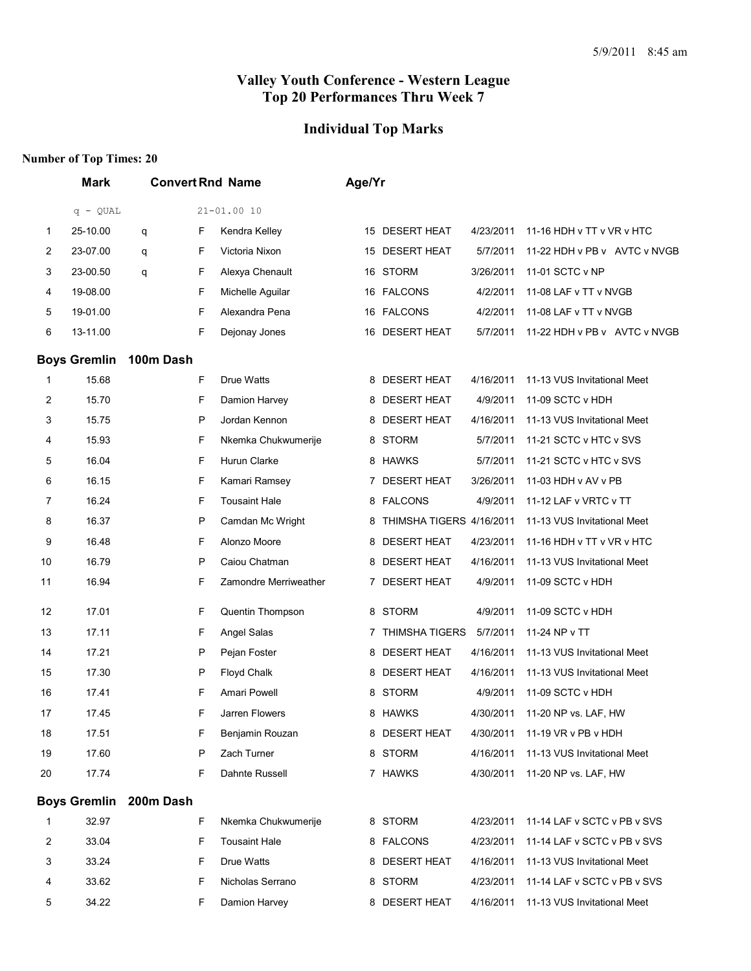## **Individual Top Marks**

|                | <b>Mark</b>         |           |   | <b>Convert Rnd Name</b> | Age/Yr |                          |           |                              |  |
|----------------|---------------------|-----------|---|-------------------------|--------|--------------------------|-----------|------------------------------|--|
|                | $q - QUAL$          |           |   | 21-01.00 10             |        |                          |           |                              |  |
| 1              | 25-10.00            | q         | F | Kendra Kelley           | 15     | <b>DESERT HEAT</b>       | 4/23/2011 | 11-16 HDH v TT v VR v HTC    |  |
| $\overline{2}$ | 23-07.00            | q         | F | Victoria Nixon          | 15     | <b>DESERT HEAT</b>       | 5/7/2011  | 11-22 HDH v PB v AVTC v NVGB |  |
| 3              | 23-00.50            | q         | F | Alexya Chenault         |        | 16 STORM                 | 3/26/2011 | 11-01 SCTC v NP              |  |
| 4              | 19-08.00            |           | F | Michelle Aguilar        |        | 16 FALCONS               | 4/2/2011  | 11-08 LAF v TT v NVGB        |  |
| 5              | 19-01.00            |           | F | Alexandra Pena          |        | 16 FALCONS               | 4/2/2011  | 11-08 LAF v TT v NVGB        |  |
| 6              | 13-11.00            |           | F | Dejonay Jones           | 16     | <b>DESERT HEAT</b>       | 5/7/2011  | 11-22 HDH v PB v AVTC v NVGB |  |
|                | <b>Boys Gremlin</b> | 100m Dash |   |                         |        |                          |           |                              |  |
| 1              | 15.68               |           | F | Drue Watts              |        | 8 DESERT HEAT            | 4/16/2011 | 11-13 VUS Invitational Meet  |  |
| $\overline{c}$ | 15.70               |           | F | Damion Harvey           | 8      | <b>DESERT HEAT</b>       | 4/9/2011  | 11-09 SCTC v HDH             |  |
| 3              | 15.75               |           | P | Jordan Kennon           | 8      | <b>DESERT HEAT</b>       | 4/16/2011 | 11-13 VUS Invitational Meet  |  |
| 4              | 15.93               |           | F | Nkemka Chukwumerije     | 8      | <b>STORM</b>             | 5/7/2011  | 11-21 SCTC v HTC v SVS       |  |
| 5              | 16.04               |           | F | Hurun Clarke            |        | 8 HAWKS                  | 5/7/2011  | 11-21 SCTC v HTC v SVS       |  |
| 6              | 16.15               |           | F | Kamari Ramsey           | 7      | <b>DESERT HEAT</b>       | 3/26/2011 | 11-03 HDH v AV v PB          |  |
| 7              | 16.24               |           | F | <b>Tousaint Hale</b>    | 8      | <b>FALCONS</b>           | 4/9/2011  | 11-12 LAF v VRTC v TT        |  |
| 8              | 16.37               |           | P | Camdan Mc Wright        | 8      | THIMSHA TIGERS 4/16/2011 |           | 11-13 VUS Invitational Meet  |  |
| 9              | 16.48               |           | F | Alonzo Moore            | 8      | <b>DESERT HEAT</b>       | 4/23/2011 | 11-16 HDH v TT v VR v HTC    |  |
| 10             | 16.79               |           | P | Caiou Chatman           | 8      | <b>DESERT HEAT</b>       | 4/16/2011 | 11-13 VUS Invitational Meet  |  |
| 11             | 16.94               |           | F | Zamondre Merriweather   | 7      | <b>DESERT HEAT</b>       | 4/9/2011  | 11-09 SCTC v HDH             |  |
| 12             | 17.01               |           | F | Quentin Thompson        | 8      | <b>STORM</b>             | 4/9/2011  | 11-09 SCTC v HDH             |  |
| 13             | 17.11               |           | F | Angel Salas             | 7      | <b>THIMSHA TIGERS</b>    | 5/7/2011  | 11-24 NP v TT                |  |
| 14             | 17.21               |           | P | Pejan Foster            | 8      | <b>DESERT HEAT</b>       | 4/16/2011 | 11-13 VUS Invitational Meet  |  |
| 15             | 17.30               |           | P | Floyd Chalk             | 8      | <b>DESERT HEAT</b>       | 4/16/2011 | 11-13 VUS Invitational Meet  |  |
| 16             | 17.41               |           | F | Amari Powell            | 8      | <b>STORM</b>             | 4/9/2011  | 11-09 SCTC v HDH             |  |
| 17             | 17.45               |           | F | Jarren Flowers          |        | 8 HAWKS                  | 4/30/2011 | 11-20 NP vs. LAF, HW         |  |
| 18             | 17.51               |           | F | Benjamin Rouzan         |        | 8 DESERT HEAT            | 4/30/2011 | 11-19 VR v PB v HDH          |  |
| 19             | 17.60               |           | P | Zach Turner             |        | 8 STORM                  | 4/16/2011 | 11-13 VUS Invitational Meet  |  |
| 20             | 17.74               |           | F | Dahnte Russell          |        | 7 HAWKS                  | 4/30/2011 | 11-20 NP vs. LAF, HW         |  |
|                | <b>Boys Gremlin</b> | 200m Dash |   |                         |        |                          |           |                              |  |
| 1              | 32.97               |           | F | Nkemka Chukwumerije     |        | 8 STORM                  | 4/23/2011 | 11-14 LAF v SCTC v PB v SVS  |  |
| 2              | 33.04               |           | F | <b>Tousaint Hale</b>    |        | 8 FALCONS                | 4/23/2011 | 11-14 LAF v SCTC v PB v SVS  |  |
| 3              | 33.24               |           | F | Drue Watts              |        | 8 DESERT HEAT            | 4/16/2011 | 11-13 VUS Invitational Meet  |  |
| 4              | 33.62               |           | F | Nicholas Serrano        |        | 8 STORM                  | 4/23/2011 | 11-14 LAF v SCTC v PB v SVS  |  |
| 5              | 34.22               |           | F | Damion Harvey           |        | 8 DESERT HEAT            | 4/16/2011 | 11-13 VUS Invitational Meet  |  |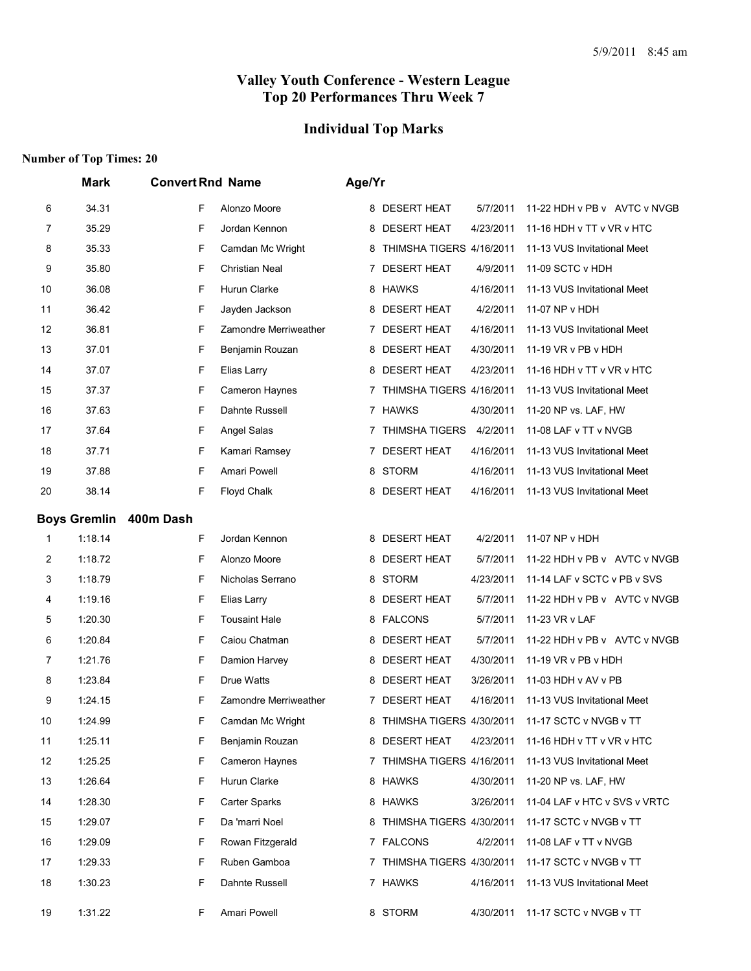## **Individual Top Marks**

|    | Mark                | <b>Convert Rnd Name</b>    | Age/Yr                                                              |
|----|---------------------|----------------------------|---------------------------------------------------------------------|
| 6  | 34.31               | F<br>Alonzo Moore          | 8 DESERT HEAT<br>5/7/2011<br>11-22 HDH v PB v AVTC v NVGB           |
| 7  | 35.29               | F<br>Jordan Kennon         | <b>DESERT HEAT</b><br>4/23/2011<br>11-16 HDH v TT v VR v HTC<br>8   |
| 8  | 35.33               | F<br>Camdan Mc Wright      | THIMSHA TIGERS 4/16/2011<br>11-13 VUS Invitational Meet<br>8        |
| 9  | 35.80               | F<br>Christian Neal        | <b>DESERT HEAT</b><br>4/9/2011<br>11-09 SCTC v HDH<br>7             |
| 10 | 36.08               | F<br>Hurun Clarke          | 8 HAWKS<br>4/16/2011<br>11-13 VUS Invitational Meet                 |
| 11 | 36.42               | F<br>Jayden Jackson        | 8 DESERT HEAT<br>4/2/2011<br>11-07 NP v HDH                         |
| 12 | 36.81               | F<br>Zamondre Merriweather | <b>DESERT HEAT</b><br>4/16/2011<br>11-13 VUS Invitational Meet<br>7 |
| 13 | 37.01               | F<br>Benjamin Rouzan       | <b>DESERT HEAT</b><br>4/30/2011<br>11-19 VR v PB v HDH<br>8         |
| 14 | 37.07               | F<br>Elias Larry           | 8 DESERT HEAT<br>4/23/2011<br>11-16 HDH v TT v VR v HTC             |
| 15 | 37.37               | F<br>Cameron Haynes        | THIMSHA TIGERS 4/16/2011<br>11-13 VUS Invitational Meet             |
| 16 | 37.63               | F<br>Dahnte Russell        | 7 HAWKS<br>4/30/2011<br>11-20 NP vs. LAF, HW                        |
| 17 | 37.64               | F<br>Angel Salas           | THIMSHA TIGERS<br>4/2/2011<br>11-08 LAF v TT v NVGB<br>7            |
| 18 | 37.71               | F<br>Kamari Ramsey         | <b>DESERT HEAT</b><br>4/16/2011<br>11-13 VUS Invitational Meet<br>7 |
| 19 | 37.88               | F<br>Amari Powell          | 8 STORM<br>4/16/2011<br>11-13 VUS Invitational Meet                 |
| 20 | 38.14               | F<br>Floyd Chalk           | <b>DESERT HEAT</b><br>4/16/2011<br>11-13 VUS Invitational Meet<br>8 |
|    | <b>Boys Gremlin</b> | 400m Dash                  |                                                                     |
| 1  | 1:18.14             | F<br>Jordan Kennon         | 8 DESERT HEAT<br>4/2/2011<br>11-07 NP v HDH                         |
| 2  | 1:18.72             | F<br>Alonzo Moore          | 8 DESERT HEAT<br>5/7/2011<br>11-22 HDH v PB v AVTC v NVGB           |
| 3  | 1:18.79             | F<br>Nicholas Serrano      | <b>STORM</b><br>4/23/2011<br>11-14 LAF v SCTC v PB v SVS<br>8       |
| 4  | 1:19.16             | F<br>Elias Larry           | <b>DESERT HEAT</b><br>5/7/2011<br>11-22 HDH v PB v AVTC v NVGB<br>8 |
| 5  | 1:20.30             | F<br><b>Tousaint Hale</b>  | 8 FALCONS<br>5/7/2011<br>11-23 VR v LAF                             |
| 6  | 1:20.84             | F<br>Caiou Chatman         | <b>DESERT HEAT</b><br>5/7/2011<br>11-22 HDH v PB v AVTC v NVGB<br>8 |
| 7  | 1:21.76             | F<br>Damion Harvey         | 8 DESERT HEAT<br>4/30/2011<br>11-19 VR v PB v HDH                   |
| 8  | 1:23.84             | F<br>Drue Watts            | <b>DESERT HEAT</b><br>3/26/2011<br>11-03 HDH v AV v PB<br>8         |
| 9  | 1:24.15             | F<br>Zamondre Merriweather | 7 DESERT HEAT<br>4/16/2011<br>11-13 VUS Invitational Meet           |
| 10 | 1:24.99             | F<br>Camdan Mc Wright      | 8 THIMSHA TIGERS 4/30/2011<br>11-17 SCTC v NVGB v TT                |
| 11 | 1:25.11             | F<br>Benjamin Rouzan       | 8 DESERT HEAT<br>4/23/2011<br>11-16 HDH v TT v VR v HTC             |
| 12 | 1:25.25             | F<br>Cameron Haynes        | 7 THIMSHA TIGERS 4/16/2011<br>11-13 VUS Invitational Meet           |
| 13 | 1:26.64             | Hurun Clarke<br>F          | 8 HAWKS<br>4/30/2011<br>11-20 NP vs. LAF, HW                        |
| 14 | 1:28.30             | F<br><b>Carter Sparks</b>  | 8 HAWKS<br>3/26/2011<br>11-04 LAF v HTC v SVS v VRTC                |
| 15 | 1:29.07             | F<br>Da 'marri Noel        | 8 THIMSHA TIGERS 4/30/2011<br>11-17 SCTC v NVGB v TT                |
| 16 | 1:29.09             | F<br>Rowan Fitzgerald      | 7 FALCONS<br>4/2/2011<br>11-08 LAF v TT v NVGB                      |
| 17 | 1:29.33             | F<br>Ruben Gamboa          | 7 THIMSHA TIGERS 4/30/2011<br>11-17 SCTC v NVGB v TT                |
| 18 | 1:30.23             | F<br>Dahnte Russell        | 7 HAWKS<br>11-13 VUS Invitational Meet<br>4/16/2011                 |
| 19 | 1:31.22             | Amari Powell<br>F          | 8 STORM<br>11-17 SCTC v NVGB v TT<br>4/30/2011                      |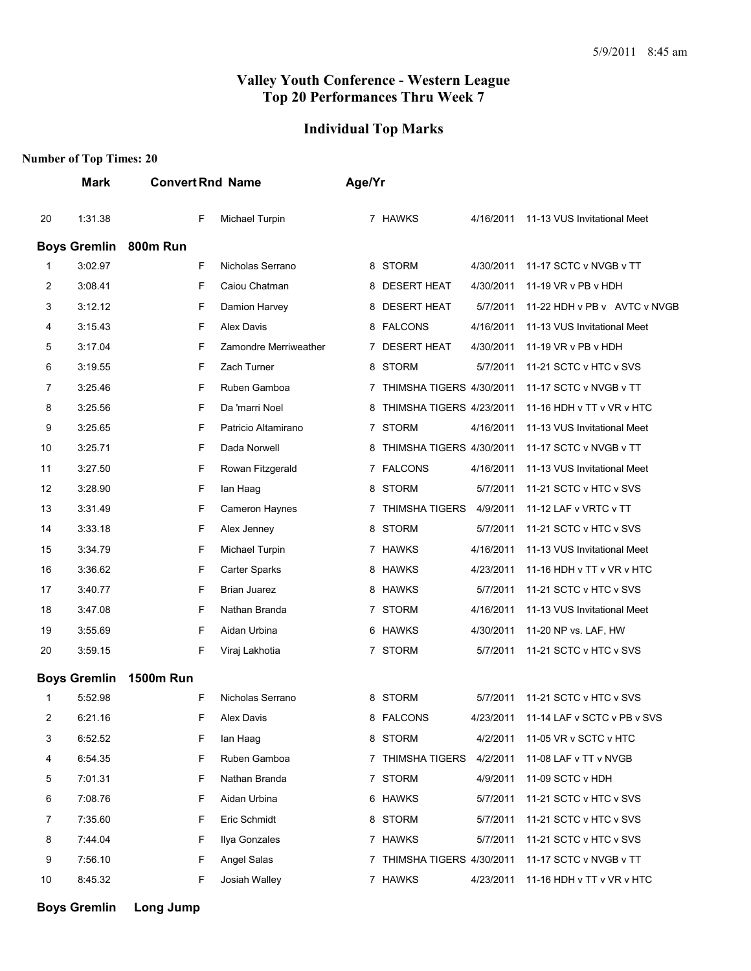#### **Individual Top Marks**

#### **Number of Top Times: 20**

|    | <b>Mark</b>         | <b>Convert Rnd Name</b> |                       | Age/Yr                        |           |                                       |
|----|---------------------|-------------------------|-----------------------|-------------------------------|-----------|---------------------------------------|
| 20 | 1:31.38             | F                       | Michael Turpin        | 7 HAWKS                       | 4/16/2011 | 11-13 VUS Invitational Meet           |
|    | <b>Boys Gremlin</b> | 800m Run                |                       |                               |           |                                       |
| 1  | 3:02.97             | F                       | Nicholas Serrano      | 8 STORM                       | 4/30/2011 | 11-17 SCTC v NVGB v TT                |
| 2  | 3:08.41             | F                       | Caiou Chatman         | <b>DESERT HEAT</b><br>8       | 4/30/2011 | 11-19 VR v PB v HDH                   |
| 3  | 3:12.12             | F                       | Damion Harvey         | <b>DESERT HEAT</b><br>8       | 5/7/2011  | 11-22 HDH v PB v AVTC v NVGB          |
| 4  | 3:15.43             | F                       | Alex Davis            | 8 FALCONS                     | 4/16/2011 | 11-13 VUS Invitational Meet           |
| 5  | 3:17.04             | F                       | Zamondre Merriweather | <b>DESERT HEAT</b><br>7       | 4/30/2011 | 11-19 VR v PB v HDH                   |
| 6  | 3:19.55             | F                       | Zach Turner           | <b>STORM</b><br>8             | 5/7/2011  | 11-21 SCTC v HTC v SVS                |
| 7  | 3:25.46             | F                       | Ruben Gamboa          | THIMSHA TIGERS 4/30/2011<br>7 |           | 11-17 SCTC v NVGB v TT                |
| 8  | 3:25.56             | F                       | Da 'marri Noel        | THIMSHA TIGERS 4/23/2011<br>8 |           | 11-16 HDH v TT v VR v HTC             |
| 9  | 3:25.65             | F                       | Patricio Altamirano   | 7 STORM                       | 4/16/2011 | 11-13 VUS Invitational Meet           |
| 10 | 3:25.71             | F                       | Dada Norwell          | THIMSHA TIGERS 4/30/2011<br>8 |           | 11-17 SCTC v NVGB v TT                |
| 11 | 3:27.50             | F                       | Rowan Fitzgerald      | 7 FALCONS                     | 4/16/2011 | 11-13 VUS Invitational Meet           |
| 12 | 3:28.90             | F                       | lan Haag              | 8 STORM                       | 5/7/2011  | 11-21 SCTC v HTC v SVS                |
| 13 | 3:31.49             | F                       | Cameron Haynes        | <b>THIMSHA TIGERS</b><br>7    | 4/9/2011  | 11-12 LAF v VRTC v TT                 |
| 14 | 3:33.18             | F                       | Alex Jenney           | <b>STORM</b><br>8             | 5/7/2011  | 11-21 SCTC v HTC v SVS                |
| 15 | 3:34.79             | F                       | Michael Turpin        | <b>HAWKS</b><br>7             | 4/16/2011 | 11-13 VUS Invitational Meet           |
| 16 | 3:36.62             | F                       | Carter Sparks         | 8 HAWKS                       | 4/23/2011 | 11-16 HDH v TT v VR v HTC             |
| 17 | 3:40.77             | F                       | <b>Brian Juarez</b>   | 8 HAWKS                       | 5/7/2011  | 11-21 SCTC v HTC v SVS                |
| 18 | 3:47.08             | F                       | Nathan Branda         | <b>STORM</b><br>7             | 4/16/2011 | 11-13 VUS Invitational Meet           |
| 19 | 3:55.69             | F                       | Aidan Urbina          | HAWKS<br>6                    | 4/30/2011 | 11-20 NP vs. LAF, HW                  |
| 20 | 3:59.15             | F                       | Viraj Lakhotia        | 7 STORM                       | 5/7/2011  | 11-21 SCTC v HTC v SVS                |
|    | <b>Boys Gremlin</b> | <b>1500m Run</b>        |                       |                               |           |                                       |
| 1  | 5:52.98             | F                       | Nicholas Serrano      | 8 STORM                       | 5/7/2011  | 11-21 SCTC v HTC v SVS                |
| 2  | 6:21.16             | F                       | Alex Davis            | 8 FALCONS                     |           | 4/23/2011 11-14 LAF v SCTC v PB v SVS |
| 3  | 6:52.52             | F                       | lan Haag              | 8 STORM                       | 4/2/2011  | 11-05 VR v SCTC v HTC                 |
| 4  | 6:54.35             | F                       | Ruben Gamboa          | 7 THIMSHA TIGERS              | 4/2/2011  | 11-08 LAF v TT v NVGB                 |
| 5  | 7:01.31             | F                       | Nathan Branda         | 7 STORM                       | 4/9/2011  | 11-09 SCTC v HDH                      |
| 6  | 7:08.76             | F                       | Aidan Urbina          | 6 HAWKS                       | 5/7/2011  | 11-21 SCTC v HTC v SVS                |
| 7  | 7:35.60             | F                       | Eric Schmidt          | 8 STORM                       | 5/7/2011  | 11-21 SCTC v HTC v SVS                |
| 8  | 7:44.04             | F                       | Ilya Gonzales         | 7 HAWKS                       | 5/7/2011  | 11-21 SCTC v HTC v SVS                |
| 9  | 7:56.10             | F                       | Angel Salas           | 7 THIMSHA TIGERS 4/30/2011    |           | 11-17 SCTC v NVGB v TT                |
| 10 | 8:45.32             | F                       | Josiah Walley         | 7 HAWKS                       | 4/23/2011 | 11-16 HDH v TT v VR v HTC             |
|    |                     |                         |                       |                               |           |                                       |

**Boys Gremlin Long Jump**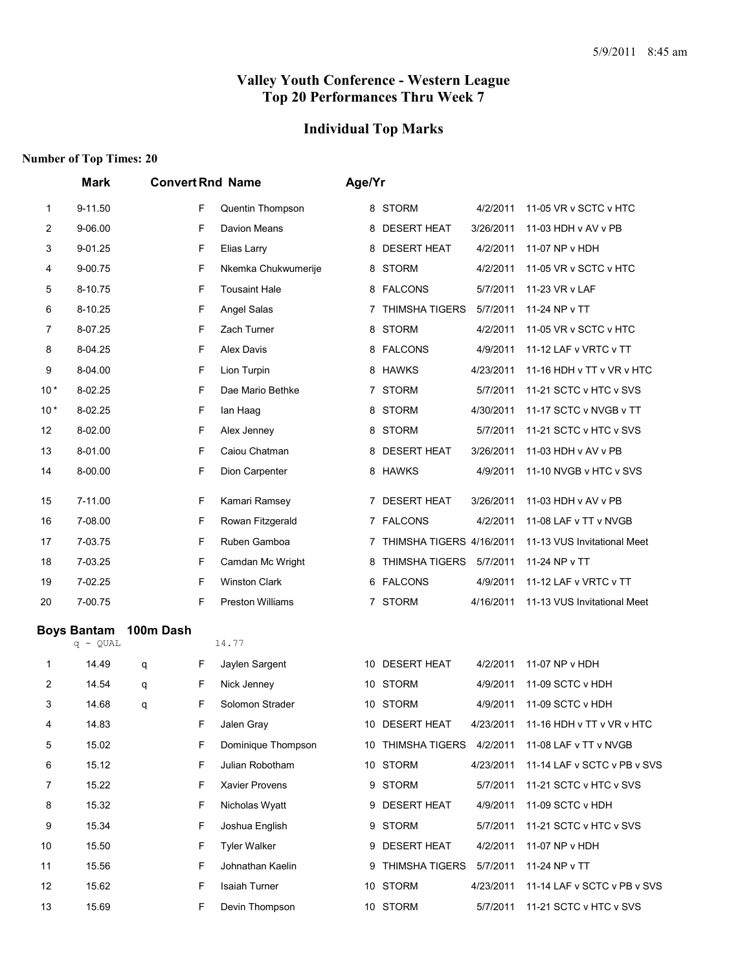## **Individual Top Marks**

|                | <b>Mark</b>                      | <b>Convert Rnd Name</b> |   |                         | Age/Yr |                            |           |                                     |
|----------------|----------------------------------|-------------------------|---|-------------------------|--------|----------------------------|-----------|-------------------------------------|
| 1              | 9-11.50                          |                         | F | Quentin Thompson        |        | 8 STORM                    | 4/2/2011  | 11-05 VR v SCTC v HTC               |
| $\overline{2}$ | 9-06.00                          |                         | F | Davion Means            |        | 8 DESERT HEAT              | 3/26/2011 | 11-03 HDH v AV v PB                 |
| 3              | 9-01.25                          |                         | F | Elias Larry             |        | 8 DESERT HEAT              | 4/2/2011  | 11-07 NP v HDH                      |
| 4              | 9-00.75                          |                         | F | Nkemka Chukwumerije     |        | 8 STORM                    | 4/2/2011  | 11-05 VR v SCTC v HTC               |
| 5              | 8-10.75                          |                         | F | <b>Tousaint Hale</b>    |        | 8 FALCONS                  | 5/7/2011  | 11-23 VR v LAF                      |
| 6              | 8-10.25                          |                         | F | Angel Salas             |        | 7 THIMSHA TIGERS           | 5/7/2011  | 11-24 NP v TT                       |
| 7              | 8-07.25                          |                         | F | Zach Turner             |        | 8 STORM                    | 4/2/2011  | 11-05 VR v SCTC v HTC               |
| 8              | 8-04.25                          |                         | F | <b>Alex Davis</b>       |        | 8 FALCONS                  | 4/9/2011  | 11-12 LAF v VRTC v TT               |
| 9              | 8-04.00                          |                         | F | Lion Turpin             |        | 8 HAWKS                    | 4/23/2011 | 11-16 HDH v TT v VR v HTC           |
| $10*$          | 8-02.25                          |                         | F | Dae Mario Bethke        |        | 7 STORM                    | 5/7/2011  | 11-21 SCTC v HTC v SVS              |
| $10*$          | 8-02.25                          |                         | F | lan Haag                |        | 8 STORM                    | 4/30/2011 | 11-17 SCTC v NVGB v TT              |
| 12             | 8-02.00                          |                         | F | Alex Jenney             |        | 8 STORM                    | 5/7/2011  | 11-21 SCTC v HTC v SVS              |
| 13             | 8-01.00                          |                         | F | Caiou Chatman           |        | 8 DESERT HEAT              | 3/26/2011 | 11-03 HDH v AV v PB                 |
| 14             | 8-00.00                          |                         | F | Dion Carpenter          |        | 8 HAWKS                    | 4/9/2011  | 11-10 NVGB v HTC v SVS              |
| 15             | 7-11.00                          |                         | F | Kamari Ramsey           |        | 7 DESERT HEAT              | 3/26/2011 | 11-03 HDH v AV v PB                 |
| 16             | 7-08.00                          |                         | F | Rowan Fitzgerald        |        | 7 FALCONS                  | 4/2/2011  | 11-08 LAF v TT v NVGB               |
| 17             | 7-03.75                          |                         | F | Ruben Gamboa            |        | 7 THIMSHA TIGERS 4/16/2011 |           | 11-13 VUS Invitational Meet         |
| 18             | 7-03.25                          |                         | F | Camdan Mc Wright        |        | 8 THIMSHA TIGERS           | 5/7/2011  | 11-24 NP v TT                       |
| 19             | 7-02.25                          |                         | F | <b>Winston Clark</b>    |        | 6 FALCONS                  | 4/9/2011  | 11-12 LAF v VRTC v TT               |
| 20             | 7-00.75                          |                         | F | <b>Preston Williams</b> |        | 7 STORM                    | 4/16/2011 | 11-13 VUS Invitational Meet         |
|                | <b>Boys Bantam</b><br>$q - QUAL$ | 100m Dash               |   | 14.77                   |        |                            |           |                                     |
| 1              | 14.49                            | q                       | F | Jaylen Sargent          |        | 10 DESERT HEAT             | 4/2/2011  | 11-07 NP v HDH                      |
| 2              | 14.54                            | q                       | F | Nick Jenney             |        | 10 STORM                   | 4/9/2011  | 11-09 SCTC v HDH                    |
| 3              | 14.68                            | q                       | F | Solomon Strader         |        | 10 STORM                   | 4/9/2011  | 11-09 SCTC v HDH                    |
| 4              | 14.83                            |                         | F | Jalen Gray              |        | 10 DESERT HEAT             |           | 4/23/2011 11-16 HDH v TT v VR v HTC |
| 5              | 15.02                            |                         | F | Dominique Thompson      |        | 10 THIMSHA TIGERS 4/2/2011 |           | 11-08 LAF v TT v NVGB               |
| 6              | 15.12                            |                         | F | Julian Robotham         |        | 10 STORM                   | 4/23/2011 | 11-14 LAF v SCTC v PB v SVS         |
| 7              | 15.22                            |                         | F | Xavier Provens          |        | 9 STORM                    | 5/7/2011  | 11-21 SCTC v HTC v SVS              |
| 8              | 15.32                            |                         | F | Nicholas Wyatt          |        | 9 DESERT HEAT              | 4/9/2011  | 11-09 SCTC v HDH                    |
| 9              | 15.34                            |                         | F | Joshua English          |        | 9 STORM                    | 5/7/2011  | 11-21 SCTC v HTC v SVS              |
| 10             | 15.50                            |                         | F | <b>Tyler Walker</b>     |        | 9 DESERT HEAT              | 4/2/2011  | 11-07 NP v HDH                      |
| 11             | 15.56                            |                         | F | Johnathan Kaelin        |        | 9 THIMSHA TIGERS           | 5/7/2011  | 11-24 NP v TT                       |
| 12             | 15.62                            |                         | F | Isaiah Turner           |        | 10 STORM                   | 4/23/2011 | 11-14 LAF v SCTC v PB v SVS         |
| 13             | 15.69                            |                         | F | Devin Thompson          |        | 10 STORM                   | 5/7/2011  | 11-21 SCTC v HTC v SVS              |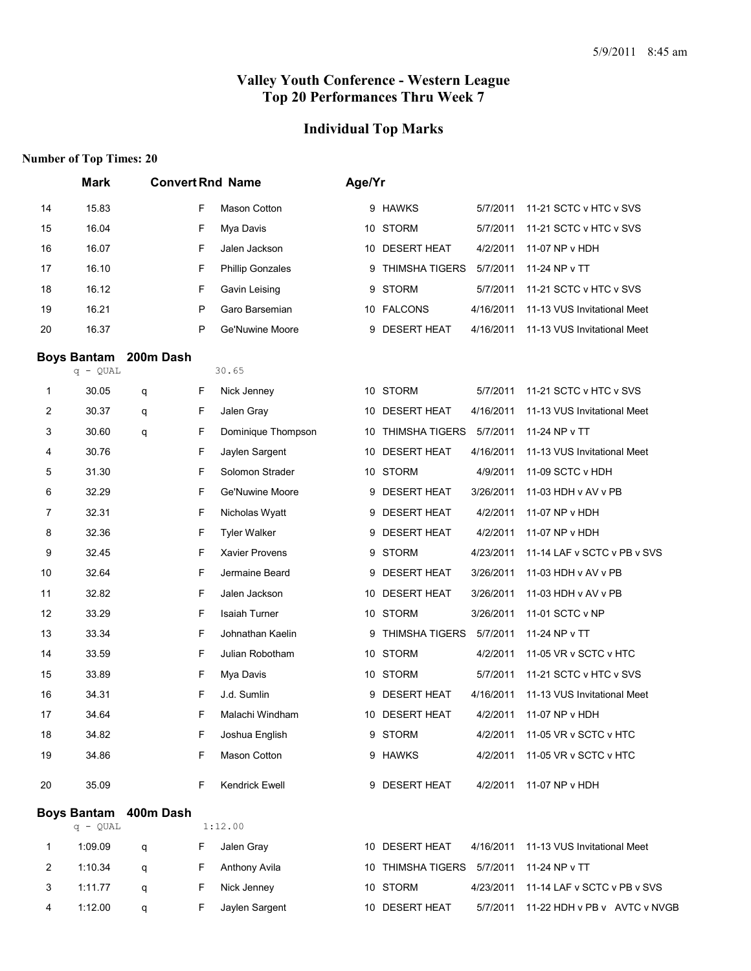# **Individual Top Marks**

|                | <b>Mark</b>                      | <b>Convert Rnd Name</b> |   |                         |    | Age/Yr                     |           |                              |  |  |  |
|----------------|----------------------------------|-------------------------|---|-------------------------|----|----------------------------|-----------|------------------------------|--|--|--|
| 14             | 15.83                            |                         | F | Mason Cotton            |    | 9 HAWKS                    | 5/7/2011  | 11-21 SCTC v HTC v SVS       |  |  |  |
| 15             | 16.04                            |                         | F | Mya Davis               |    | 10 STORM                   | 5/7/2011  | 11-21 SCTC v HTC v SVS       |  |  |  |
| 16             | 16.07                            |                         | F | Jalen Jackson           | 10 | <b>DESERT HEAT</b>         | 4/2/2011  | 11-07 NP v HDH               |  |  |  |
| 17             | 16.10                            |                         | F | <b>Phillip Gonzales</b> | 9  | <b>THIMSHA TIGERS</b>      | 5/7/2011  | 11-24 NP v TT                |  |  |  |
| 18             | 16.12                            |                         | F | Gavin Leising           | 9  | <b>STORM</b>               | 5/7/2011  | 11-21 SCTC v HTC v SVS       |  |  |  |
| 19             | 16.21                            |                         | P | Garo Barsemian          |    | 10 FALCONS                 | 4/16/2011 | 11-13 VUS Invitational Meet  |  |  |  |
| 20             | 16.37                            |                         | P | Ge'Nuwine Moore         | 9  | <b>DESERT HEAT</b>         | 4/16/2011 | 11-13 VUS Invitational Meet  |  |  |  |
|                | <b>Boys Bantam</b>               | 200m Dash               |   |                         |    |                            |           |                              |  |  |  |
|                | $q - QUAL$                       |                         |   | 30.65                   |    |                            |           |                              |  |  |  |
| 1              | 30.05                            | q                       | F | Nick Jenney             |    | 10 STORM                   | 5/7/2011  | 11-21 SCTC v HTC v SVS       |  |  |  |
| $\overline{c}$ | 30.37                            | q                       | F | Jalen Gray              |    | 10 DESERT HEAT             | 4/16/2011 | 11-13 VUS Invitational Meet  |  |  |  |
| 3              | 30.60                            | q                       | F | Dominique Thompson      | 10 | <b>THIMSHA TIGERS</b>      | 5/7/2011  | 11-24 NP v TT                |  |  |  |
| 4              | 30.76                            |                         | F | Jaylen Sargent          | 10 | <b>DESERT HEAT</b>         | 4/16/2011 | 11-13 VUS Invitational Meet  |  |  |  |
| 5              | 31.30                            |                         | F | Solomon Strader         |    | 10 STORM                   | 4/9/2011  | 11-09 SCTC v HDH             |  |  |  |
| 6              | 32.29                            |                         | F | Ge'Nuwine Moore         | 9  | <b>DESERT HEAT</b>         | 3/26/2011 | 11-03 HDH v AV v PB          |  |  |  |
| 7              | 32.31                            |                         | F | Nicholas Wyatt          | 9  | <b>DESERT HEAT</b>         | 4/2/2011  | 11-07 NP v HDH               |  |  |  |
| 8              | 32.36                            |                         | F | <b>Tyler Walker</b>     | 9  | <b>DESERT HEAT</b>         | 4/2/2011  | 11-07 NP v HDH               |  |  |  |
| 9              | 32.45                            |                         | F | Xavier Provens          |    | 9 STORM                    | 4/23/2011 | 11-14 LAF v SCTC v PB v SVS  |  |  |  |
| 10             | 32.64                            |                         | F | Jermaine Beard          | 9  | <b>DESERT HEAT</b>         | 3/26/2011 | 11-03 HDH v AV v PB          |  |  |  |
| 11             | 32.82                            |                         | F | Jalen Jackson           | 10 | <b>DESERT HEAT</b>         | 3/26/2011 | 11-03 HDH v AV v PB          |  |  |  |
| 12             | 33.29                            |                         | F | <b>Isaiah Turner</b>    |    | 10 STORM                   | 3/26/2011 | 11-01 SCTC v NP              |  |  |  |
| 13             | 33.34                            |                         | F | Johnathan Kaelin        | 9  | <b>THIMSHA TIGERS</b>      | 5/7/2011  | 11-24 NP v TT                |  |  |  |
| 14             | 33.59                            |                         | F | Julian Robotham         |    | 10 STORM                   | 4/2/2011  | 11-05 VR v SCTC v HTC        |  |  |  |
| 15             | 33.89                            |                         | F | Mya Davis               |    | 10 STORM                   | 5/7/2011  | 11-21 SCTC v HTC v SVS       |  |  |  |
| 16             | 34.31                            |                         | F | J.d. Sumlin             | 9  | <b>DESERT HEAT</b>         | 4/16/2011 | 11-13 VUS Invitational Meet  |  |  |  |
| 17             | 34.64                            |                         | F | Malachi Windham         |    | 10 DESERT HEAT             | 4/2/2011  | 11-07 NP v HDH               |  |  |  |
| 18             | 34.82                            |                         | F | Joshua English          |    | 9 STORM                    | 4/2/2011  | 11-05 VR v SCTC v HTC        |  |  |  |
| 19             | 34.86                            |                         | F | Mason Cotton            |    | 9 HAWKS                    | 4/2/2011  | 11-05 VR v SCTC v HTC        |  |  |  |
| 20             | 35.09                            |                         | F | Kendrick Ewell          |    | 9 DESERT HEAT              | 4/2/2011  | 11-07 NP v HDH               |  |  |  |
|                | <b>Boys Bantam</b><br>$q - QUAL$ | 400m Dash               |   | 1:12.00                 |    |                            |           |                              |  |  |  |
| 1              | 1:09.09                          | q                       | F | Jalen Gray              |    | 10 DESERT HEAT             | 4/16/2011 | 11-13 VUS Invitational Meet  |  |  |  |
| 2              | 1:10.34                          | q                       | F | Anthony Avila           |    | 10 THIMSHA TIGERS 5/7/2011 |           | 11-24 NP v TT                |  |  |  |
| 3              | 1:11.77                          | q                       | F | Nick Jenney             |    | 10 STORM                   | 4/23/2011 | 11-14 LAF v SCTC v PB v SVS  |  |  |  |
| 4              | 1:12.00                          | q                       | F | Jaylen Sargent          |    | 10 DESERT HEAT             | 5/7/2011  | 11-22 HDH v PB v AVTC v NVGB |  |  |  |
|                |                                  |                         |   |                         |    |                            |           |                              |  |  |  |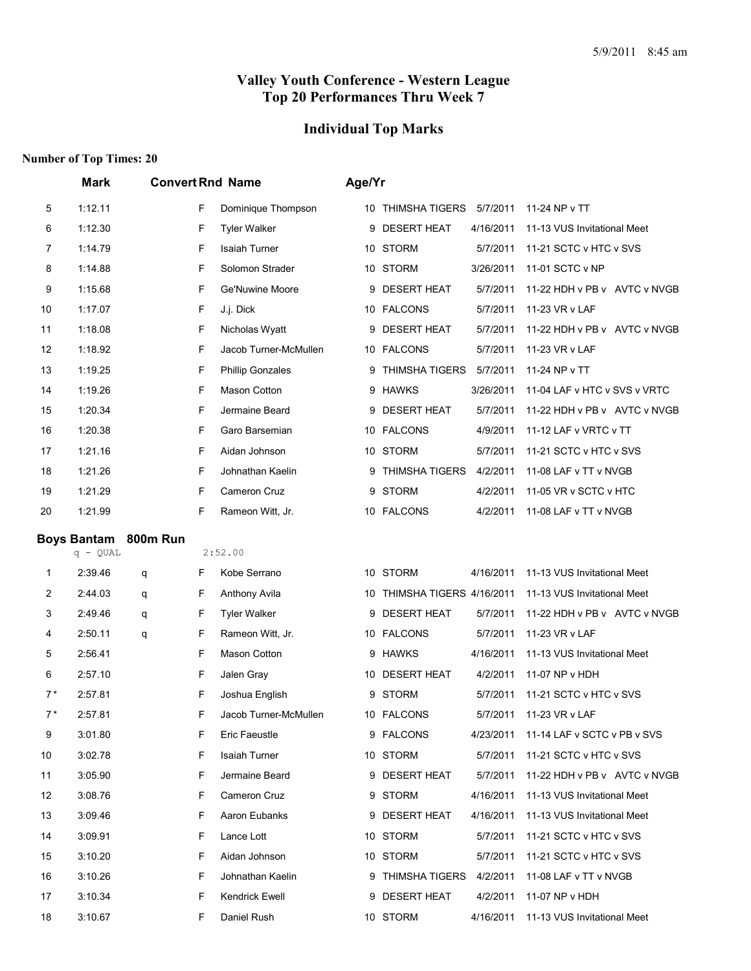## **Individual Top Marks**

|      | <b>Mark</b>        |          |   | <b>Convert Rnd Name</b> | Age/Yr |                             |           |                              |
|------|--------------------|----------|---|-------------------------|--------|-----------------------------|-----------|------------------------------|
| 5    | 1:12.11            |          | F | Dominique Thompson      |        | 10 THIMSHA TIGERS 5/7/2011  |           | 11-24 NP v TT                |
| 6    | 1:12.30            |          | F | <b>Tyler Walker</b>     | 9      | <b>DESERT HEAT</b>          | 4/16/2011 | 11-13 VUS Invitational Meet  |
| 7    | 1:14.79            |          | F | <b>Isaiah Turner</b>    |        | 10 STORM                    | 5/7/2011  | 11-21 SCTC v HTC v SVS       |
| 8    | 1:14.88            |          | F | Solomon Strader         |        | 10 STORM                    | 3/26/2011 | 11-01 SCTC v NP              |
| 9    | 1:15.68            |          | F | Ge'Nuwine Moore         | 9      | <b>DESERT HEAT</b>          | 5/7/2011  | 11-22 HDH v PB v AVTC v NVGB |
| 10   | 1:17.07            |          | F | J.j. Dick               | 10     | <b>FALCONS</b>              | 5/7/2011  | 11-23 VR v LAF               |
| 11   | 1:18.08            |          | F | Nicholas Wyatt          | 9      | <b>DESERT HEAT</b>          | 5/7/2011  | 11-22 HDH v PB v AVTC v NVGB |
| 12   | 1:18.92            |          | F | Jacob Turner-McMullen   |        | 10 FALCONS                  | 5/7/2011  | 11-23 VR v LAF               |
| 13   | 1:19.25            |          | F | <b>Phillip Gonzales</b> | 9      | <b>THIMSHA TIGERS</b>       | 5/7/2011  | 11-24 NP v TT                |
| 14   | 1:19.26            |          | F | <b>Mason Cotton</b>     | 9      | <b>HAWKS</b>                | 3/26/2011 | 11-04 LAF v HTC v SVS v VRTC |
| 15   | 1:20.34            |          | F | Jermaine Beard          |        | 9 DESERT HEAT               | 5/7/2011  | 11-22 HDH v PB v AVTC v NVGB |
| 16   | 1:20.38            |          | F | Garo Barsemian          | 10     | <b>FALCONS</b>              | 4/9/2011  | 11-12 LAF v VRTC v TT        |
| 17   | 1:21.16            |          | F | Aidan Johnson           |        | 10 STORM                    | 5/7/2011  | 11-21 SCTC v HTC v SVS       |
| 18   | 1:21.26            |          | F | Johnathan Kaelin        | 9      | <b>THIMSHA TIGERS</b>       | 4/2/2011  | 11-08 LAF v TT v NVGB        |
| 19   | 1:21.29            |          | F | <b>Cameron Cruz</b>     | 9      | <b>STORM</b>                | 4/2/2011  | 11-05 VR v SCTC v HTC        |
| 20   | 1:21.99            |          | F | Rameon Witt, Jr.        |        | 10 FALCONS                  | 4/2/2011  | 11-08 LAF v TT v NVGB        |
|      | <b>Boys Bantam</b> | 800m Run |   |                         |        |                             |           |                              |
|      | $q - QUAL$         |          |   | 2:52.00                 |        |                             |           |                              |
| 1    | 2:39.46            | q        | F | Kobe Serrano            |        | 10 STORM                    | 4/16/2011 | 11-13 VUS Invitational Meet  |
| 2    | 2:44.03            | q        | F | Anthony Avila           |        | 10 THIMSHA TIGERS 4/16/2011 |           | 11-13 VUS Invitational Meet  |
| 3    | 2:49.46            | q        | F | <b>Tyler Walker</b>     | 9      | <b>DESERT HEAT</b>          | 5/7/2011  | 11-22 HDH v PB v AVTC v NVGB |
| 4    | 2:50.11            | q        | F | Rameon Witt, Jr.        |        | 10 FALCONS                  | 5/7/2011  | 11-23 VR v LAF               |
| 5    | 2:56.41            |          | F | <b>Mason Cotton</b>     | 9      | <b>HAWKS</b>                | 4/16/2011 | 11-13 VUS Invitational Meet  |
| 6    | 2:57.10            |          | F | Jalen Gray              |        | 10 DESERT HEAT              | 4/2/2011  | 11-07 NP v HDH               |
| $7*$ | 2:57.81            |          | F | Joshua English          | 9      | <b>STORM</b>                | 5/7/2011  | 11-21 SCTC v HTC v SVS       |
| $7*$ | 2:57.81            |          | F | Jacob Turner-McMullen   |        | 10 FALCONS                  | 5/7/2011  | 11-23 VR v LAF               |
| 9    | 3:01.80            |          | F | <b>Eric Faeustle</b>    |        | 9 FALCONS                   | 4/23/2011 | 11-14 LAF v SCTC v PB v SVS  |
| 10   | 3:02.78            |          | F | Isaiah Turner           |        | 10 STORM                    | 5/7/2011  | 11-21 SCTC v HTC v SVS       |
| 11   | 3:05.90            |          | F | Jermaine Beard          |        | 9 DESERT HEAT               | 5/7/2011  | 11-22 HDH v PB v AVTC v NVGB |
| 12   | 3:08.76            |          | F | Cameron Cruz            |        | 9 STORM                     | 4/16/2011 | 11-13 VUS Invitational Meet  |
| 13   | 3:09.46            |          | F | Aaron Eubanks           |        | 9 DESERT HEAT               | 4/16/2011 | 11-13 VUS Invitational Meet  |
| 14   | 3:09.91            |          | F | Lance Lott              |        | 10 STORM                    | 5/7/2011  | 11-21 SCTC v HTC v SVS       |
| 15   | 3:10.20            |          | F | Aidan Johnson           |        | 10 STORM                    | 5/7/2011  | 11-21 SCTC v HTC v SVS       |
| 16   | 3:10.26            |          | F | Johnathan Kaelin        |        | 9 THIMSHA TIGERS            | 4/2/2011  | 11-08 LAF v TT v NVGB        |
| 17   | 3:10.34            |          | F | Kendrick Ewell          |        | 9 DESERT HEAT               | 4/2/2011  | 11-07 NP v HDH               |
| 18   | 3:10.67            |          | F | Daniel Rush             |        | 10 STORM                    | 4/16/2011 | 11-13 VUS Invitational Meet  |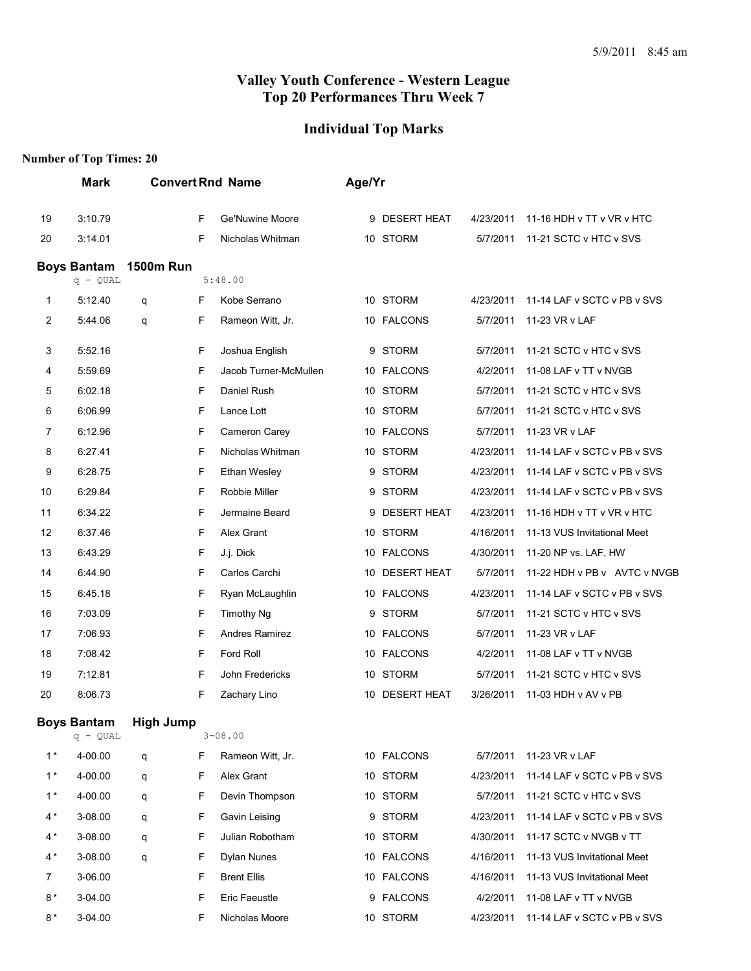## **Individual Top Marks**

|      | <b>Mark</b>        |                  |   | <b>Convert Rnd Name</b> | Age/Yr |                    |           |                              |
|------|--------------------|------------------|---|-------------------------|--------|--------------------|-----------|------------------------------|
| 19   | 3:10.79            |                  | F | Ge'Nuwine Moore         |        | 9 DESERT HEAT      | 4/23/2011 | 11-16 HDH v TT v VR v HTC    |
| 20   | 3:14.01            |                  | F | Nicholas Whitman        |        | 10 STORM           | 5/7/2011  | 11-21 SCTC v HTC v SVS       |
|      | <b>Boys Bantam</b> | <b>1500m Run</b> |   |                         |        |                    |           |                              |
|      | $q - QUAL$         |                  |   | 5:48.00                 |        |                    |           |                              |
| 1    | 5:12.40            | q                | F | Kobe Serrano            |        | 10 STORM           | 4/23/2011 | 11-14 LAF v SCTC v PB v SVS  |
| 2    | 5:44.06            | q                | F | Rameon Witt, Jr.        |        | 10 FALCONS         | 5/7/2011  | 11-23 VR v LAF               |
| 3    | 5:52.16            |                  | F | Joshua English          |        | 9 STORM            | 5/7/2011  | 11-21 SCTC v HTC v SVS       |
| 4    | 5:59.69            |                  | F | Jacob Turner-McMullen   |        | 10 FALCONS         | 4/2/2011  | 11-08 LAF v TT v NVGB        |
| 5    | 6:02.18            |                  | F | Daniel Rush             |        | 10 STORM           | 5/7/2011  | 11-21 SCTC v HTC v SVS       |
| 6    | 6:06.99            |                  | F | Lance Lott              | 10     | <b>STORM</b>       | 5/7/2011  | 11-21 SCTC v HTC v SVS       |
| 7    | 6:12.96            |                  | F | Cameron Carey           |        | 10 FALCONS         | 5/7/2011  | 11-23 VR v LAF               |
| 8    | 6:27.41            |                  | F | Nicholas Whitman        |        | 10 STORM           | 4/23/2011 | 11-14 LAF v SCTC v PB v SVS  |
| 9    | 6:28.75            |                  | F | Ethan Wesley            | 9      | <b>STORM</b>       | 4/23/2011 | 11-14 LAF v SCTC v PB v SVS  |
| 10   | 6:29.84            |                  | F | Robbie Miller           | 9      | <b>STORM</b>       | 4/23/2011 | 11-14 LAF v SCTC v PB v SVS  |
| 11   | 6:34.22            |                  | F | Jermaine Beard          | 9      | <b>DESERT HEAT</b> | 4/23/2011 | 11-16 HDH v TT v VR v HTC    |
| 12   | 6:37.46            |                  | F | Alex Grant              | 10     | <b>STORM</b>       | 4/16/2011 | 11-13 VUS Invitational Meet  |
| 13   | 6:43.29            |                  | F | J.j. Dick               |        | 10 FALCONS         | 4/30/2011 | 11-20 NP vs. LAF, HW         |
| 14   | 6:44.90            |                  | F | Carlos Carchi           | 10     | <b>DESERT HEAT</b> | 5/7/2011  | 11-22 HDH v PB v AVTC v NVGB |
| 15   | 6:45.18            |                  | F | Ryan McLaughlin         |        | 10 FALCONS         | 4/23/2011 | 11-14 LAF v SCTC v PB v SVS  |
| 16   | 7:03.09            |                  | F | <b>Timothy Ng</b>       | 9      | <b>STORM</b>       | 5/7/2011  | 11-21 SCTC v HTC v SVS       |
| 17   | 7:06.93            |                  | F | Andres Ramirez          |        | 10 FALCONS         | 5/7/2011  | 11-23 VR v LAF               |
| 18   | 7:08.42            |                  | F | Ford Roll               | 10     | <b>FALCONS</b>     | 4/2/2011  | 11-08 LAF v TT v NVGB        |
| 19   | 7:12.81            |                  | F | John Fredericks         |        | 10 STORM           | 5/7/2011  | 11-21 SCTC v HTC v SVS       |
| 20   | 8:06.73            |                  | F | Zachary Lino            | 10     | <b>DESERT HEAT</b> | 3/26/2011 | 11-03 HDH v AV v PB          |
|      | <b>Boys Bantam</b> | <b>High Jump</b> |   |                         |        |                    |           |                              |
|      | q - QUAL           |                  |   | $3 - 08.00$             |        |                    |           |                              |
| $1*$ | 4-00.00            | q                | F | Rameon Witt, Jr.        |        | 10 FALCONS         | 5/7/2011  | 11-23 VR v LAF               |
| $1*$ | 4-00.00            | q                | F | Alex Grant              |        | 10 STORM           | 4/23/2011 | 11-14 LAF v SCTC v PB v SVS  |
| $1*$ | 4-00.00            | q                | F | Devin Thompson          |        | 10 STORM           | 5/7/2011  | 11-21 SCTC v HTC v SVS       |
| $4*$ | 3-08.00            | q                | F | Gavin Leising           |        | 9 STORM            | 4/23/2011 | 11-14 LAF v SCTC v PB v SVS  |
| $4*$ | 3-08.00            | q                | F | Julian Robotham         |        | 10 STORM           | 4/30/2011 | 11-17 SCTC v NVGB v TT       |
| 4 *  | 3-08.00            | q                | F | Dylan Nunes             |        | 10 FALCONS         | 4/16/2011 | 11-13 VUS Invitational Meet  |
| 7    | 3-06.00            |                  | F | <b>Brent Ellis</b>      |        | 10 FALCONS         | 4/16/2011 | 11-13 VUS Invitational Meet  |
| $8*$ | 3-04.00            |                  | F | Eric Faeustle           |        | 9 FALCONS          | 4/2/2011  | 11-08 LAF v TT v NVGB        |
| $8*$ | 3-04.00            |                  | F | Nicholas Moore          |        | 10 STORM           | 4/23/2011 | 11-14 LAF v SCTC v PB v SVS  |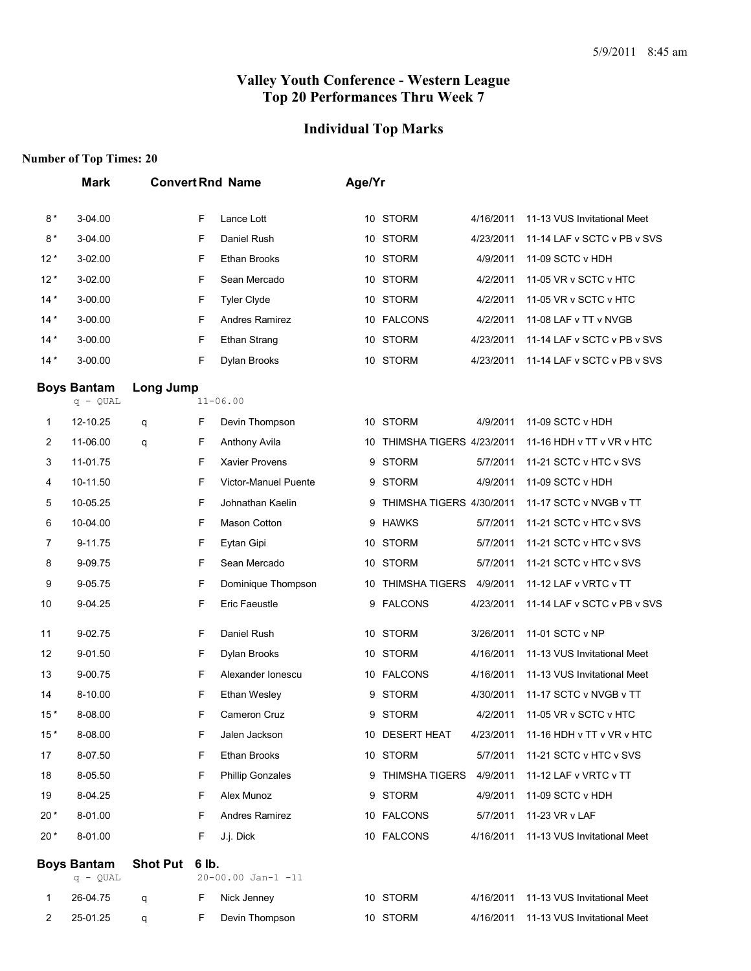## **Individual Top Marks**

|       | <b>Mark</b>                      |                 |       | <b>Convert Rnd Name</b>     | Age/Yr |                          |           |                             |
|-------|----------------------------------|-----------------|-------|-----------------------------|--------|--------------------------|-----------|-----------------------------|
| $8*$  | 3-04.00                          |                 | F     | Lance Lott                  |        | 10 STORM                 | 4/16/2011 | 11-13 VUS Invitational Meet |
| $8*$  | 3-04.00                          |                 | F     | Daniel Rush                 |        | 10 STORM                 | 4/23/2011 | 11-14 LAF v SCTC v PB v SVS |
| $12*$ | 3-02.00                          |                 | F     | Ethan Brooks                |        | 10 STORM                 | 4/9/2011  | 11-09 SCTC v HDH            |
| $12*$ | 3-02.00                          |                 | F     | Sean Mercado                |        | 10 STORM                 | 4/2/2011  | 11-05 VR v SCTC v HTC       |
| $14*$ | 3-00.00                          |                 | F     | <b>Tyler Clyde</b>          |        | 10 STORM                 | 4/2/2011  | 11-05 VR v SCTC v HTC       |
| $14*$ | 3-00.00                          |                 | F     | Andres Ramirez              |        | 10 FALCONS               | 4/2/2011  | 11-08 LAF v TT v NVGB       |
| $14*$ | 3-00.00                          |                 | F     | <b>Ethan Strang</b>         |        | 10 STORM                 | 4/23/2011 | 11-14 LAF v SCTC v PB v SVS |
| $14*$ | 3-00.00                          |                 | F     | Dylan Brooks                |        | 10 STORM                 | 4/23/2011 | 11-14 LAF v SCTC v PB v SVS |
|       | <b>Boys Bantam</b><br>$q - QUAL$ | Long Jump       |       | $11 - 06.00$                |        |                          |           |                             |
| 1     | 12-10.25                         | q               | F     | Devin Thompson              |        | 10 STORM                 | 4/9/2011  | 11-09 SCTC v HDH            |
| 2     | 11-06.00                         | q               | F     | Anthony Avila               | 10     | THIMSHA TIGERS 4/23/2011 |           | 11-16 HDH v TT v VR v HTC   |
| 3     | 11-01.75                         |                 | F     | <b>Xavier Provens</b>       | 9      | <b>STORM</b>             | 5/7/2011  | 11-21 SCTC v HTC v SVS      |
| 4     | 10-11.50                         |                 | F     | <b>Victor-Manuel Puente</b> |        | 9 STORM                  | 4/9/2011  | 11-09 SCTC v HDH            |
| 5     | 10-05.25                         |                 | F     | Johnathan Kaelin            | 9      | THIMSHA TIGERS 4/30/2011 |           | 11-17 SCTC v NVGB v TT      |
| 6     | 10-04.00                         |                 | F     | <b>Mason Cotton</b>         |        | 9 HAWKS                  | 5/7/2011  | 11-21 SCTC v HTC v SVS      |
| 7     | 9-11.75                          |                 | F     | Eytan Gipi                  |        | 10 STORM                 | 5/7/2011  | 11-21 SCTC v HTC v SVS      |
| 8     | 9-09.75                          |                 | F     | Sean Mercado                |        | 10 STORM                 | 5/7/2011  | 11-21 SCTC v HTC v SVS      |
| 9     | 9-05.75                          |                 | F     | Dominique Thompson          |        | 10 THIMSHA TIGERS        | 4/9/2011  | 11-12 LAF v VRTC v TT       |
| 10    | 9-04.25                          |                 | F     | Eric Faeustle               |        | 9 FALCONS                | 4/23/2011 | 11-14 LAF v SCTC v PB v SVS |
| 11    | 9-02.75                          |                 | F     | Daniel Rush                 |        | 10 STORM                 | 3/26/2011 | 11-01 SCTC v NP             |
| 12    | 9-01.50                          |                 | F     | Dylan Brooks                |        | 10 STORM                 | 4/16/2011 | 11-13 VUS Invitational Meet |
| 13    | 9-00.75                          |                 | F     | Alexander Ionescu           |        | 10 FALCONS               | 4/16/2011 | 11-13 VUS Invitational Meet |
| 14    | 8-10.00                          |                 | F     | Ethan Wesley                |        | 9 STORM                  | 4/30/2011 | 11-17 SCTC v NVGB v TT      |
| $15*$ | 8-08.00                          |                 | F     | Cameron Cruz                |        | 9 STORM                  | 4/2/2011  | 11-05 VR v SCTC v HTC       |
| $15*$ | 8-08.00                          |                 | F     | Jalen Jackson               |        | 10 DESERT HEAT           | 4/23/2011 | 11-16 HDH v TT v VR v HTC   |
| 17    | 8-07.50                          |                 | F     | Ethan Brooks                |        | 10 STORM                 | 5/7/2011  | 11-21 SCTC v HTC v SVS      |
| 18    | 8-05.50                          |                 | F     | <b>Phillip Gonzales</b>     |        | 9 THIMSHA TIGERS         | 4/9/2011  | 11-12 LAF v VRTC v TT       |
| 19    | 8-04.25                          |                 | F     | Alex Munoz                  |        | 9 STORM                  | 4/9/2011  | 11-09 SCTC v HDH            |
| $20*$ | 8-01.00                          |                 | F     | Andres Ramirez              |        | 10 FALCONS               | 5/7/2011  | 11-23 VR v LAF              |
| $20*$ | 8-01.00                          |                 | F     | J.j. Dick                   |        | 10 FALCONS               | 4/16/2011 | 11-13 VUS Invitational Meet |
|       | <b>Boys Bantam</b><br>$q - QUAL$ | <b>Shot Put</b> | 6 lb. | 20-00.00 Jan-1 -11          |        |                          |           |                             |
| 1     | 26-04.75                         | q               | F     | Nick Jenney                 |        | 10 STORM                 | 4/16/2011 | 11-13 VUS Invitational Meet |
| 2     | 25-01.25                         | q               | F     | Devin Thompson              |        | 10 STORM                 | 4/16/2011 | 11-13 VUS Invitational Meet |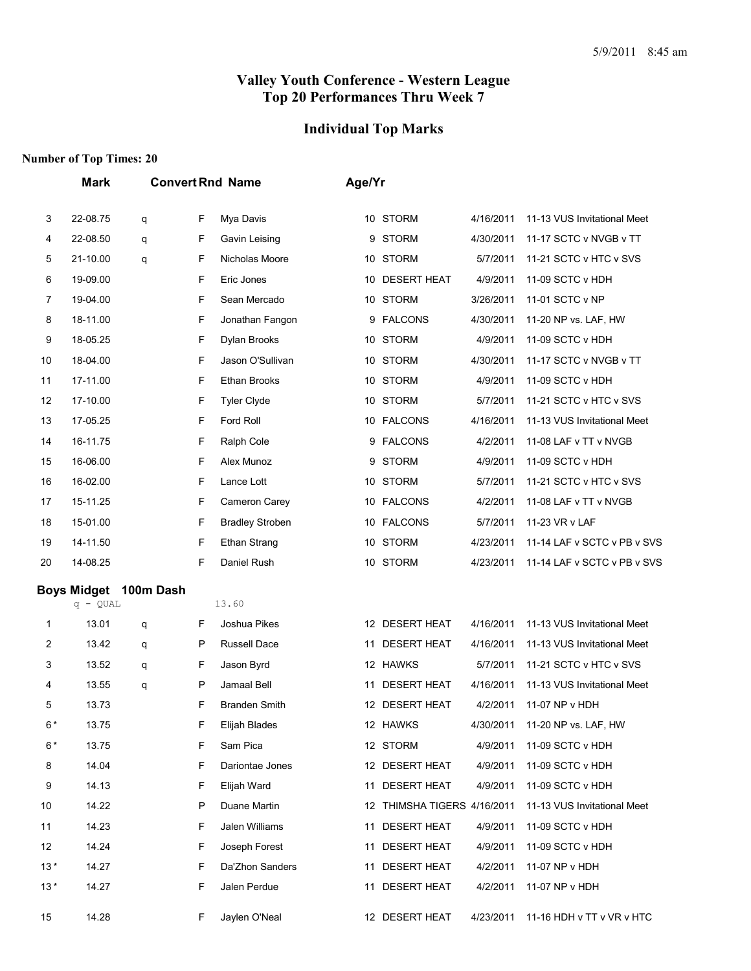## **Individual Top Marks**

|       | <b>Mark</b>        |           |    | <b>Convert Rnd Name</b> | Age/Yr |                             |           |                             |  |  |
|-------|--------------------|-----------|----|-------------------------|--------|-----------------------------|-----------|-----------------------------|--|--|
| 3     | 22-08.75           | q         | F  | Mya Davis               |        | 10 STORM                    | 4/16/2011 | 11-13 VUS Invitational Meet |  |  |
| 4     | 22-08.50           | q         | F  | Gavin Leising           | 9      | STORM                       | 4/30/2011 | 11-17 SCTC v NVGB v TT      |  |  |
| 5     | 21-10.00           | q         | F  | Nicholas Moore          |        | 10 STORM                    | 5/7/2011  | 11-21 SCTC v HTC v SVS      |  |  |
| 6     | 19-09.00           |           | F  | Eric Jones              | 10     | <b>DESERT HEAT</b>          | 4/9/2011  | 11-09 SCTC v HDH            |  |  |
| 7     | 19-04.00           |           | F  | Sean Mercado            |        | 10 STORM                    | 3/26/2011 | 11-01 SCTC v NP             |  |  |
| 8     | 18-11.00           |           | F  | Jonathan Fangon         |        | 9 FALCONS                   | 4/30/2011 | 11-20 NP vs. LAF, HW        |  |  |
| 9     | 18-05.25           |           | F  | Dylan Brooks            |        | 10 STORM                    | 4/9/2011  | 11-09 SCTC v HDH            |  |  |
| 10    | 18-04.00           |           | F  | Jason O'Sullivan        |        | 10 STORM                    | 4/30/2011 | 11-17 SCTC v NVGB v TT      |  |  |
| 11    | 17-11.00           |           | F  | Ethan Brooks            |        | 10 STORM                    | 4/9/2011  | 11-09 SCTC v HDH            |  |  |
| 12    | 17-10.00           |           | F  | Tyler Clyde             |        | 10 STORM                    | 5/7/2011  | 11-21 SCTC v HTC v SVS      |  |  |
| 13    | 17-05.25           |           | F  | Ford Roll               |        | 10 FALCONS                  | 4/16/2011 | 11-13 VUS Invitational Meet |  |  |
| 14    | 16-11.75           |           | F  | Ralph Cole              |        | 9 FALCONS                   | 4/2/2011  | 11-08 LAF v TT v NVGB       |  |  |
| 15    | 16-06.00           |           | F  | Alex Munoz              |        | 9 STORM                     | 4/9/2011  | 11-09 SCTC v HDH            |  |  |
| 16    | 16-02.00           |           | F  | Lance Lott              |        | 10 STORM                    | 5/7/2011  | 11-21 SCTC v HTC v SVS      |  |  |
| 17    | 15-11.25           |           | F  | Cameron Carey           |        | 10 FALCONS                  | 4/2/2011  | 11-08 LAF v TT v NVGB       |  |  |
| 18    | 15-01.00           |           | F  | <b>Bradley Stroben</b>  |        | 10 FALCONS                  | 5/7/2011  | 11-23 VR v LAF              |  |  |
| 19    | 14-11.50           |           | F  | <b>Ethan Strang</b>     |        | 10 STORM                    | 4/23/2011 | 11-14 LAF v SCTC v PB v SVS |  |  |
| 20    | 14-08.25           |           | F  | Daniel Rush             |        | 10 STORM                    | 4/23/2011 | 11-14 LAF v SCTC v PB v SVS |  |  |
|       | <b>Boys Midget</b> | 100m Dash |    |                         |        |                             |           |                             |  |  |
|       | $q - QUAL$         |           |    | 13.60                   |        |                             |           |                             |  |  |
| 1     | 13.01              | q         | F  | Joshua Pikes            |        | 12 DESERT HEAT              | 4/16/2011 | 11-13 VUS Invitational Meet |  |  |
| 2     | 13.42              | q         | P  | Russell Dace            |        | 11 DESERT HEAT              | 4/16/2011 | 11-13 VUS Invitational Meet |  |  |
| 3     | 13.52              | q         | F  | Jason Byrd              |        | 12 HAWKS                    | 5/7/2011  | 11-21 SCTC v HTC v SVS      |  |  |
| 4     | 13.55              | q         | P  | Jamaal Bell             | 11     | <b>DESERT HEAT</b>          | 4/16/2011 | 11-13 VUS Invitational Meet |  |  |
| 5     | 13.73              |           | F  | <b>Branden Smith</b>    |        | 12 DESERT HEAT              | 4/2/2011  | 11-07 NP v HDH              |  |  |
| $6*$  | 13.75              |           | F  | Eliiah Blades           |        | 12 HAWKS                    | 4/30/2011 | 11-20 NP vs. LAF, HW        |  |  |
| $6*$  | 13.75              |           | F. | Sam Pica                |        | 12 STORM                    |           | 4/9/2011 11-09 SCTC v HDH   |  |  |
| 8     | 14.04              |           | F  | Dariontae Jones         |        | 12 DESERT HEAT              | 4/9/2011  | 11-09 SCTC v HDH            |  |  |
| 9     | 14.13              |           | F. | Elijah Ward             |        | 11 DESERT HEAT              | 4/9/2011  | 11-09 SCTC v HDH            |  |  |
| 10    | 14.22              |           | P  | Duane Martin            |        | 12 THIMSHA TIGERS 4/16/2011 |           | 11-13 VUS Invitational Meet |  |  |
| 11    | 14.23              |           | F  | Jalen Williams          |        | 11 DESERT HEAT              | 4/9/2011  | 11-09 SCTC v HDH            |  |  |
| 12    | 14.24              |           | F  | Joseph Forest           |        | 11 DESERT HEAT              | 4/9/2011  | 11-09 SCTC v HDH            |  |  |
| $13*$ | 14.27              |           | F  | Da'Zhon Sanders         |        | 11 DESERT HEAT              | 4/2/2011  | 11-07 NP v HDH              |  |  |
| $13*$ | 14.27              |           | F  | Jalen Perdue            |        | 11 DESERT HEAT              | 4/2/2011  | 11-07 NP v HDH              |  |  |
| 15    | 14.28              |           | F. | Jaylen O'Neal           |        | 12 DESERT HEAT              | 4/23/2011 | 11-16 HDH v TT v VR v HTC   |  |  |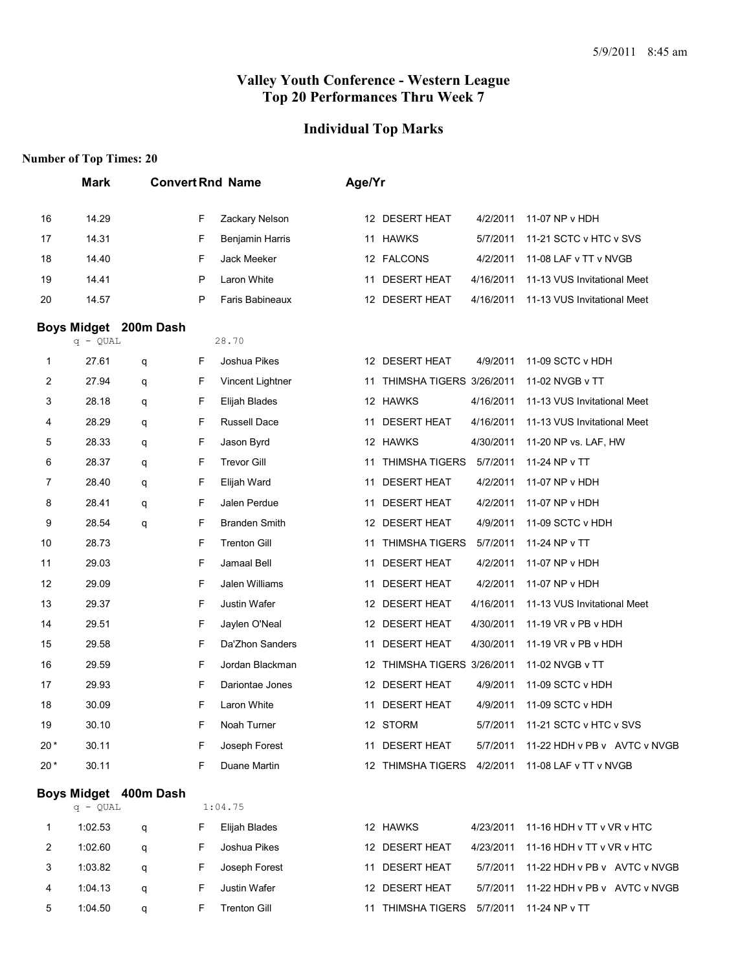#### **Individual Top Marks**

|        | <b>Mark</b>         |                       |        | <b>Convert Rnd Name</b>           | Age/Yr |                             |           |                                                  |
|--------|---------------------|-----------------------|--------|-----------------------------------|--------|-----------------------------|-----------|--------------------------------------------------|
| 16     | 14.29               |                       | F      | Zackary Nelson                    |        | 12 DESERT HEAT              | 4/2/2011  | 11-07 NP v HDH                                   |
| 17     | 14.31               |                       | F      | <b>Benjamin Harris</b>            |        | 11 HAWKS                    | 5/7/2011  | 11-21 SCTC v HTC v SVS                           |
| 18     | 14.40               |                       | F      | Jack Meeker                       |        | 12 FALCONS                  | 4/2/2011  | 11-08 LAF v TT v NVGB                            |
| 19     | 14.41               |                       | P      | Laron White                       |        | 11 DESERT HEAT              | 4/16/2011 | 11-13 VUS Invitational Meet                      |
| 20     | 14.57               |                       | P      | Faris Babineaux                   |        | 12 DESERT HEAT              | 4/16/2011 | 11-13 VUS Invitational Meet                      |
|        |                     | Boys Midget 200m Dash |        |                                   |        |                             |           |                                                  |
|        | $q - QUAL$<br>27.61 |                       |        | 28.70                             |        | 12 DESERT HEAT              |           | 11-09 SCTC v HDH                                 |
| 1      | 27.94               | q                     | F<br>F | Joshua Pikes                      |        | 11 THIMSHA TIGERS 3/26/2011 | 4/9/2011  | 11-02 NVGB v TT                                  |
| 2<br>3 | 28.18               | q                     | F      | Vincent Lightner<br>Elijah Blades |        | 12 HAWKS                    | 4/16/2011 | 11-13 VUS Invitational Meet                      |
| 4      | 28.29               | q<br>q                | F      | <b>Russell Dace</b>               | 11     | <b>DESERT HEAT</b>          | 4/16/2011 | 11-13 VUS Invitational Meet                      |
| 5      | 28.33               | q                     | F      | Jason Byrd                        |        | 12 HAWKS                    | 4/30/2011 | 11-20 NP vs. LAF, HW                             |
| 6      | 28.37               | q                     | F      | <b>Trevor Gill</b>                | 11     | <b>THIMSHA TIGERS</b>       | 5/7/2011  | 11-24 NP v TT                                    |
| 7      | 28.40               | q                     | F      | Elijah Ward                       |        | 11 DESERT HEAT              | 4/2/2011  | 11-07 NP v HDH                                   |
| 8      | 28.41               | q                     | F      | Jalen Perdue                      | 11     | <b>DESERT HEAT</b>          | 4/2/2011  | 11-07 NP v HDH                                   |
| 9      | 28.54               | q                     | F      | <b>Branden Smith</b>              |        | 12 DESERT HEAT              | 4/9/2011  | 11-09 SCTC v HDH                                 |
| 10     | 28.73               |                       | F      | <b>Trenton Gill</b>               | 11     | <b>THIMSHA TIGERS</b>       | 5/7/2011  | 11-24 NP v TT                                    |
| 11     | 29.03               |                       | F      | Jamaal Bell                       |        | 11 DESERT HEAT              | 4/2/2011  | 11-07 NP v HDH                                   |
| 12     | 29.09               |                       | F      | Jalen Williams                    | 11     | <b>DESERT HEAT</b>          | 4/2/2011  | 11-07 NP v HDH                                   |
| 13     | 29.37               |                       | F      | Justin Wafer                      |        | 12 DESERT HEAT              | 4/16/2011 | 11-13 VUS Invitational Meet                      |
| 14     | 29.51               |                       | F      | Jaylen O'Neal                     |        | 12 DESERT HEAT              | 4/30/2011 | 11-19 VR v PB v HDH                              |
| 15     | 29.58               |                       | F      | Da'Zhon Sanders                   |        | 11 DESERT HEAT              | 4/30/2011 | 11-19 VR v PB v HDH                              |
| 16     | 29.59               |                       | F      | Jordan Blackman                   |        | 12 THIMSHA TIGERS 3/26/2011 |           | 11-02 NVGB v TT                                  |
| 17     | 29.93               |                       | F      | Dariontae Jones                   |        | 12 DESERT HEAT              | 4/9/2011  | 11-09 SCTC v HDH                                 |
| 18     | 30.09               |                       | F      | Laron White                       | 11     | <b>DESERT HEAT</b>          | 4/9/2011  | 11-09 SCTC v HDH                                 |
| 19     | 30.10               |                       | F      | Noah Turner                       |        | 12 STORM                    |           |                                                  |
| $20*$  | 30.11               |                       | F      | Joseph Forest                     |        | 11 DESERT HEAT              |           | 5/7/2011 11-22 HDH v PB v AVTC v NVGB            |
| $20*$  | 30.11               |                       | F      | Duane Martin                      |        |                             |           | 12 THIMSHA TIGERS 4/2/2011 11-08 LAF v TT v NVGB |
|        | $q - QUAL$          | Boys Midget 400m Dash |        | 1:04.75                           |        |                             |           |                                                  |
| 1      | 1:02.53             | q                     | F      | Elijah Blades                     |        | 12 HAWKS                    | 4/23/2011 | 11-16 HDH v TT v VR v HTC                        |
| 2      | 1:02.60             | q                     | F      | Joshua Pikes                      |        | 12 DESERT HEAT              | 4/23/2011 | 11-16 HDH v TT v VR v HTC                        |
|        |                     |                       |        |                                   |        |                             |           |                                                  |

| 1:03.82 a   |  | F Joseph Forest | 11 DESERT HEAT                           | 5/7/2011 11-22 HDH v PB v AVTC v NVGB |  |
|-------------|--|-----------------|------------------------------------------|---------------------------------------|--|
| 4 1:04.13 a |  | F Justin Wafer  | 12 DESERT HEAT                           | 5/7/2011 11-22 HDH v PB v AVTC v NVGB |  |
| 5 1:04.50 a |  | Trenton Gill    | 11 THIMSHA TIGERS 5/7/2011 11-24 NP v TT |                                       |  |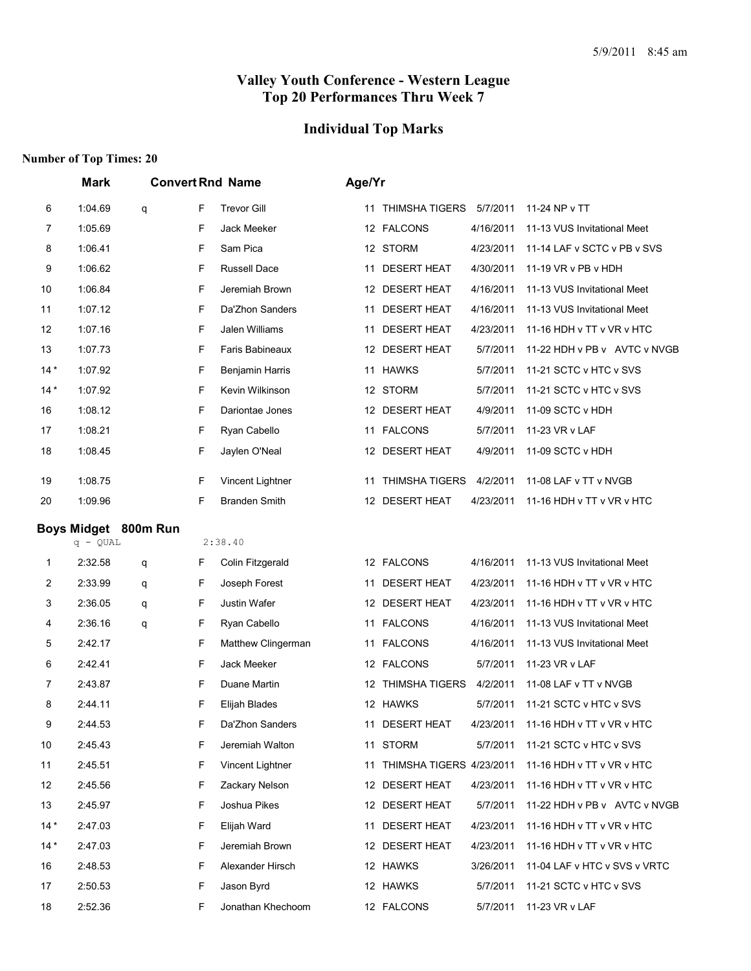## **Individual Top Marks**

|                | Mark                               |   | <b>Convert Rnd Name</b> |                      | Age/Yr |                          |           |                              |
|----------------|------------------------------------|---|-------------------------|----------------------|--------|--------------------------|-----------|------------------------------|
| 6              | 1:04.69                            | q | F                       | <b>Trevor Gill</b>   | 11     | THIMSHA TIGERS 5/7/2011  |           | 11-24 NP v TT                |
| 7              | 1:05.69                            |   | F                       | Jack Meeker          |        | 12 FALCONS               | 4/16/2011 | 11-13 VUS Invitational Meet  |
| 8              | 1:06.41                            |   | F                       | Sam Pica             |        | 12 STORM                 | 4/23/2011 | 11-14 LAF v SCTC v PB v SVS  |
| 9              | 1:06.62                            |   | F                       | Russell Dace         |        | 11 DESERT HEAT           | 4/30/2011 | 11-19 VR v PB v HDH          |
| 10             | 1:06.84                            |   | F                       | Jeremiah Brown       |        | 12 DESERT HEAT           | 4/16/2011 | 11-13 VUS Invitational Meet  |
| 11             | 1:07.12                            |   | F                       | Da'Zhon Sanders      | 11     | <b>DESERT HEAT</b>       | 4/16/2011 | 11-13 VUS Invitational Meet  |
| 12             | 1:07.16                            |   | F                       | Jalen Williams       | 11     | <b>DESERT HEAT</b>       | 4/23/2011 | 11-16 HDH v TT v VR v HTC    |
| 13             | 1:07.73                            |   | F                       | Faris Babineaux      |        | 12 DESERT HEAT           | 5/7/2011  | 11-22 HDH v PB v AVTC v NVGB |
| $14*$          | 1:07.92                            |   | F                       | Benjamin Harris      |        | 11 HAWKS                 | 5/7/2011  | 11-21 SCTC v HTC v SVS       |
| $14*$          | 1:07.92                            |   | F                       | Kevin Wilkinson      |        | 12 STORM                 | 5/7/2011  | 11-21 SCTC v HTC v SVS       |
| 16             | 1:08.12                            |   | F                       | Dariontae Jones      |        | 12 DESERT HEAT           | 4/9/2011  | 11-09 SCTC v HDH             |
| 17             | 1:08.21                            |   | F                       | Ryan Cabello         |        | 11 FALCONS               | 5/7/2011  | 11-23 VR v LAF               |
| 18             | 1:08.45                            |   | F                       | Jaylen O'Neal        |        | 12 DESERT HEAT           | 4/9/2011  | 11-09 SCTC v HDH             |
| 19             | 1:08.75                            |   | F                       | Vincent Lightner     | 11     | <b>THIMSHA TIGERS</b>    | 4/2/2011  | 11-08 LAF v TT v NVGB        |
| 20             | 1:09.96                            |   | F                       | <b>Branden Smith</b> |        | 12 DESERT HEAT           | 4/23/2011 | 11-16 HDH v TT v VR v HTC    |
|                |                                    |   |                         |                      |        |                          |           |                              |
|                | Boys Midget 800m Run<br>$q - QUAL$ |   |                         | 2:38.40              |        |                          |           |                              |
| 1              | 2:32.58                            | q | F                       | Colin Fitzgerald     |        | 12 FALCONS               | 4/16/2011 | 11-13 VUS Invitational Meet  |
| 2              | 2:33.99                            | q | F                       | Joseph Forest        | 11     | <b>DESERT HEAT</b>       | 4/23/2011 | 11-16 HDH v TT v VR v HTC    |
| 3              | 2:36.05                            | q | F                       | <b>Justin Wafer</b>  |        | 12 DESERT HEAT           | 4/23/2011 | 11-16 HDH v TT v VR v HTC    |
| 4              | 2:36.16                            | q | F                       | Ryan Cabello         |        | 11 FALCONS               | 4/16/2011 | 11-13 VUS Invitational Meet  |
| 5              | 2:42.17                            |   | F                       | Matthew Clingerman   |        | 11 FALCONS               | 4/16/2011 | 11-13 VUS Invitational Meet  |
| 6              | 2:42.41                            |   | F                       | Jack Meeker          |        | 12 FALCONS               | 5/7/2011  | 11-23 VR v LAF               |
| $\overline{7}$ | 2:43.87                            |   | F                       | Duane Martin         |        | 12 THIMSHA TIGERS        | 4/2/2011  | 11-08 LAF v TT v NVGB        |
| 8              | 2:44.11                            |   | F                       | Elijah Blades        |        | 12 HAWKS                 | 5/7/2011  | 11-21 SCTC v HTC v SVS       |
| 9              | 2:44.53                            |   | F                       | Da'Zhon Sanders      |        | 11 DESERT HEAT           | 4/23/2011 | 11-16 HDH v TT v VR v HTC    |
| 10             | 2:45.43                            |   | F                       | Jeremiah Walton      |        | 11 STORM                 | 5/7/2011  | 11-21 SCTC v HTC v SVS       |
| 11             | 2:45.51                            |   | F                       | Vincent Lightner     | 11     | THIMSHA TIGERS 4/23/2011 |           | 11-16 HDH v TT v VR v HTC    |
| 12             | 2:45.56                            |   | F                       | Zackary Nelson       |        | 12 DESERT HEAT           | 4/23/2011 | 11-16 HDH v TT v VR v HTC    |
| 13             | 2:45.97                            |   | F                       | Joshua Pikes         |        | 12 DESERT HEAT           | 5/7/2011  | 11-22 HDH v PB v AVTC v NVGB |
| $14*$          | 2:47.03                            |   | F                       | Elijah Ward          |        | 11 DESERT HEAT           | 4/23/2011 | 11-16 HDH v TT v VR v HTC    |
| $14*$          | 2:47.03                            |   | F                       | Jeremiah Brown       |        | 12 DESERT HEAT           | 4/23/2011 | 11-16 HDH v TT v VR v HTC    |
| 16             | 2:48.53                            |   | F                       | Alexander Hirsch     |        | 12 HAWKS                 | 3/26/2011 | 11-04 LAF v HTC v SVS v VRTC |
| 17             | 2:50.53                            |   | F                       | Jason Byrd           |        | 12 HAWKS                 | 5/7/2011  | 11-21 SCTC v HTC v SVS       |
| 18             | 2:52.36                            |   | F                       | Jonathan Khechoom    |        | 12 FALCONS               | 5/7/2011  | 11-23 VR v LAF               |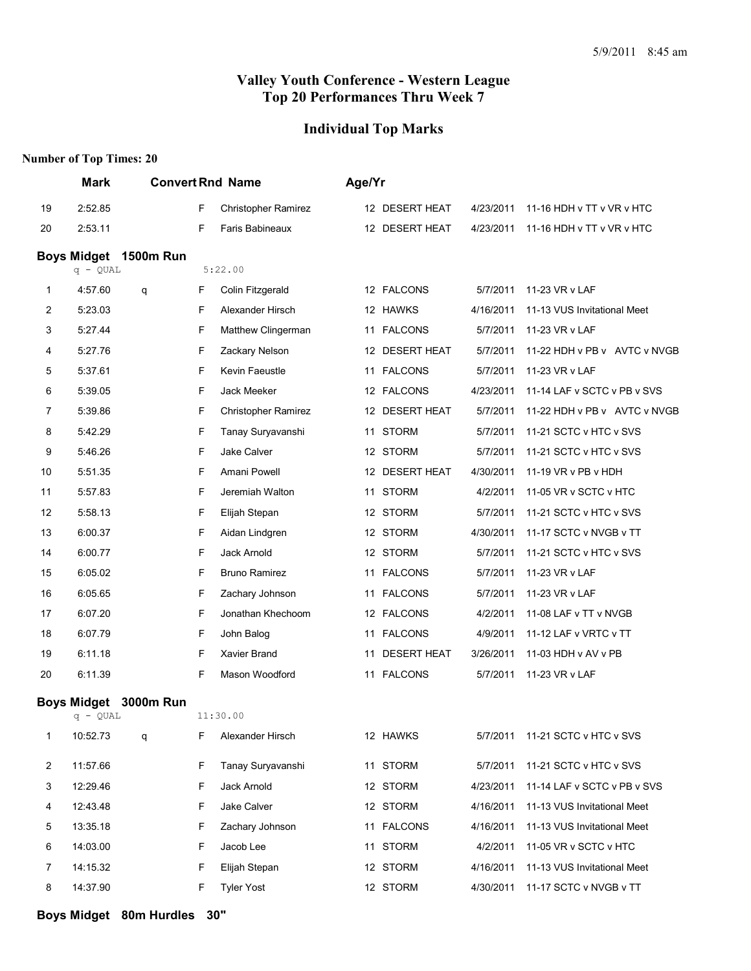#### **Individual Top Marks**

#### **Number of Top Times: 20**

|    | <b>Mark</b>        |                       |   | <b>Convert Rnd Name</b>    | Age/Yr |                    |           |                              |
|----|--------------------|-----------------------|---|----------------------------|--------|--------------------|-----------|------------------------------|
| 19 | 2:52.85            |                       | F | Christopher Ramirez        |        | 12 DESERT HEAT     | 4/23/2011 | 11-16 HDH v TT v VR v HTC    |
| 20 | 2:53.11            |                       | F | Faris Babineaux            |        | 12 DESERT HEAT     | 4/23/2011 | 11-16 HDH v TT v VR v HTC    |
|    | <b>Boys Midget</b> | <b>1500m Run</b>      |   |                            |        |                    |           |                              |
|    | $q - QUAL$         |                       |   | 5:22.00                    |        |                    |           |                              |
| 1  | 4:57.60            | q                     | F | Colin Fitzgerald           |        | 12 FALCONS         | 5/7/2011  | 11-23 VR v LAF               |
| 2  | 5:23.03            |                       | F | Alexander Hirsch           |        | 12 HAWKS           | 4/16/2011 | 11-13 VUS Invitational Meet  |
| 3  | 5:27.44            |                       | F | Matthew Clingerman         |        | 11 FALCONS         | 5/7/2011  | 11-23 VR v LAF               |
| 4  | 5:27.76            |                       | F | Zackary Nelson             |        | 12 DESERT HEAT     | 5/7/2011  | 11-22 HDH v PB v AVTC v NVGB |
| 5  | 5:37.61            |                       | F | Kevin Faeustle             |        | 11 FALCONS         | 5/7/2011  | 11-23 VR v LAF               |
| 6  | 5:39.05            |                       | F | Jack Meeker                |        | 12 FALCONS         | 4/23/2011 | 11-14 LAF v SCTC v PB v SVS  |
| 7  | 5:39.86            |                       | F | <b>Christopher Ramirez</b> |        | 12 DESERT HEAT     | 5/7/2011  | 11-22 HDH v PB v AVTC v NVGB |
| 8  | 5:42.29            |                       | F | Tanay Suryavanshi          |        | 11 STORM           | 5/7/2011  | 11-21 SCTC v HTC v SVS       |
| 9  | 5:46.26            |                       | F | Jake Calver                |        | 12 STORM           | 5/7/2011  | 11-21 SCTC v HTC v SVS       |
| 10 | 5:51.35            |                       | F | Amani Powell               |        | 12 DESERT HEAT     | 4/30/2011 | 11-19 VR v PB v HDH          |
| 11 | 5:57.83            |                       | F | Jeremiah Walton            |        | 11 STORM           | 4/2/2011  | 11-05 VR v SCTC v HTC        |
| 12 | 5:58.13            |                       | F | Elijah Stepan              |        | 12 STORM           | 5/7/2011  | 11-21 SCTC v HTC v SVS       |
| 13 | 6:00.37            |                       | F | Aidan Lindgren             |        | 12 STORM           | 4/30/2011 | 11-17 SCTC v NVGB v TT       |
| 14 | 6:00.77            |                       | F | Jack Arnold                |        | 12 STORM           | 5/7/2011  | 11-21 SCTC v HTC v SVS       |
| 15 | 6:05.02            |                       | F | <b>Bruno Ramirez</b>       |        | 11 FALCONS         | 5/7/2011  | 11-23 VR v LAF               |
| 16 | 6:05.65            |                       | F | Zachary Johnson            |        | 11 FALCONS         | 5/7/2011  | 11-23 VR v LAF               |
| 17 | 6:07.20            |                       | F | Jonathan Khechoom          |        | 12 FALCONS         | 4/2/2011  | 11-08 LAF v TT v NVGB        |
| 18 | 6:07.79            |                       | F | John Balog                 |        | 11 FALCONS         | 4/9/2011  | 11-12 LAF v VRTC v TT        |
| 19 | 6:11.18            |                       | F | Xavier Brand               | 11     | <b>DESERT HEAT</b> | 3/26/2011 | 11-03 HDH v AV v PB          |
| 20 | 6:11.39            |                       | F | Mason Woodford             |        | 11 FALCONS         | 5/7/2011  | 11-23 VR v LAF               |
|    |                    | Boys Midget 3000m Run |   |                            |        |                    |           |                              |
|    | $q - QUAL$         |                       |   | 11:30.00                   |        |                    |           |                              |
| 1  | 10:52.73           | q                     | F | Alexander Hirsch           |        | 12 HAWKS           | 5/7/2011  | 11-21 SCTC v HTC v SVS       |
| 2  | 11:57.66           |                       | F | Tanay Suryavanshi          |        | 11 STORM           | 5/7/2011  | 11-21 SCTC v HTC v SVS       |
| 3  | 12:29.46           |                       | F | Jack Arnold                |        | 12 STORM           | 4/23/2011 | 11-14 LAF v SCTC v PB v SVS  |
| 4  | 12:43.48           |                       | F | Jake Calver                |        | 12 STORM           | 4/16/2011 | 11-13 VUS Invitational Meet  |
| 5  | 13:35.18           |                       | F | Zachary Johnson            |        | 11 FALCONS         | 4/16/2011 | 11-13 VUS Invitational Meet  |
| 6  | 14:03.00           |                       | F | Jacob Lee                  |        | 11 STORM           | 4/2/2011  | 11-05 VR v SCTC v HTC        |
| 7  | 14:15.32           |                       | F | Elijah Stepan              |        | 12 STORM           | 4/16/2011 | 11-13 VUS Invitational Meet  |
| 8  | 14:37.90           |                       | F | <b>Tyler Yost</b>          |        | 12 STORM           | 4/30/2011 | 11-17 SCTC v NVGB v TT       |
|    |                    |                       |   |                            |        |                    |           |                              |

**Boys Midget 80m Hurdles 30"**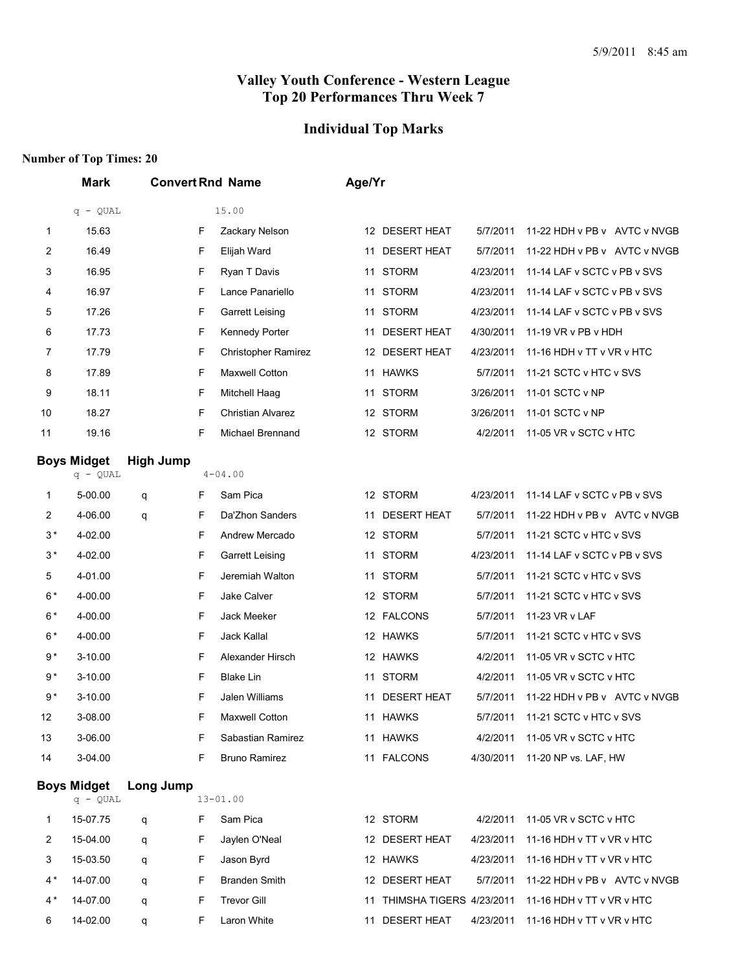## **Individual Top Marks**

| 15.00<br>$q - QUAL$<br>15.63<br>F<br>Zackary Nelson<br>12 DESERT HEAT<br>5/7/2011<br>11-22 HDH v PB v AVTC v NVGB<br>1<br>$\overline{c}$<br>16.49<br><b>DESERT HEAT</b><br>5/7/2011<br>11-22 HDH v PB v AVTC v NVGB<br>F<br>Elijah Ward<br>11<br>3<br>16.95<br>F<br>Ryan T Davis<br>11 STORM<br>4/23/2011<br>11-14 LAF v SCTC v PB v SVS<br>16.97<br>F<br>Lance Panariello<br>11 STORM<br>4<br>4/23/2011<br>11-14 LAF v SCTC v PB v SVS<br>F<br>5<br>17.26<br><b>Garrett Leising</b><br>11 STORM<br>4/23/2011<br>11-14 LAF v SCTC v PB v SVS<br>17.73<br>F<br><b>DESERT HEAT</b><br>6<br>Kennedy Porter<br>4/30/2011<br>11-19 VR v PB v HDH<br>11<br>F<br>7<br>17.79<br>12 DESERT HEAT<br>4/23/2011<br>11-16 HDH v TT v VR v HTC<br><b>Christopher Ramirez</b><br>F<br>11 HAWKS<br>8<br>17.89<br>Maxwell Cotton<br>5/7/2011<br>11-21 SCTC v HTC v SVS<br>F<br>9<br>18.11<br>Mitchell Haag<br>11 STORM<br>3/26/2011<br>11-01 SCTC v NP<br>18.27<br>F<br><b>Christian Alvarez</b><br>11-01 SCTC v NP<br>10<br>12 STORM<br>3/26/2011<br>F<br>11<br>19.16<br>Michael Brennand<br>12 STORM<br>11-05 VR v SCTC v HTC<br>4/2/2011<br><b>Boys Midget</b><br><b>High Jump</b><br>$q - QUAL$<br>$4 - 04.00$<br>5-00.00<br>Sam Pica<br>12 STORM<br>4/23/2011<br>11-14 LAF v SCTC v PB v SVS<br>F<br>1<br>q<br>F<br>Da'Zhon Sanders<br>11 DESERT HEAT<br>2<br>4-06.00<br>5/7/2011<br>11-22 HDH v PB v AVTC v NVGB<br>q<br>$3*$<br>F<br>12 STORM<br>4-02.00<br>Andrew Mercado<br>5/7/2011<br>11-21 SCTC v HTC v SVS<br>$3*$<br>F<br>4-02.00<br><b>Garrett Leising</b><br><b>STORM</b><br>4/23/2011<br>11-14 LAF v SCTC v PB v SVS<br>11<br>F<br>5<br>4-01.00<br>Jeremiah Walton<br>11 STORM<br>5/7/2011<br>11-21 SCTC v HTC v SVS<br>$6*$<br>F<br>Jake Calver<br>4-00.00<br>12 STORM<br>5/7/2011<br>11-21 SCTC v HTC v SVS<br>$6*$<br>F<br>11-23 VR v LAF<br>4-00.00<br>Jack Meeker<br>12 FALCONS<br>5/7/2011<br>$6*$<br>F<br>4-00.00<br>Jack Kallal<br>12 HAWKS<br>5/7/2011<br>11-21 SCTC v HTC v SVS<br>9 *<br>F<br>3-10.00<br>Alexander Hirsch<br>12 HAWKS<br>4/2/2011<br>11-05 VR v SCTC v HTC<br>9 *<br>F<br>3-10.00<br><b>Blake Lin</b><br>11 STORM<br>4/2/2011<br>11-05 VR v SCTC v HTC<br>$9*$<br>F<br>Jalen Williams<br>3-10.00<br>11 DESERT HEAT<br>5/7/2011<br>11-22 HDH v PB v AVTC v NVGB<br>F<br>12<br>3-08.00<br><b>Maxwell Cotton</b><br>11 HAWKS<br>5/7/2011<br>11-21 SCTC v HTC v SVS<br>3-06.00<br>13<br>F<br>Sabastian Ramirez<br>11 HAWKS<br>4/2/2011<br>11-05 VR v SCTC v HTC<br><b>Bruno Ramirez</b><br>11 FALCONS<br>14<br>3-04.00<br>F<br>4/30/2011<br>11-20 NP vs. LAF, HW<br><b>Boys Midget</b><br>Long Jump<br>$q - QUAL$<br>$13 - 01.00$<br>15-07.75<br>F<br>Sam Pica<br>12 STORM<br>4/2/2011<br>11-05 VR v SCTC v HTC<br>1<br>q<br>2<br>15-04.00<br>F<br>Jaylen O'Neal<br>12 DESERT HEAT<br>4/23/2011<br>11-16 HDH v TT v VR v HTC<br>q<br>3<br>15-03.50<br>F<br>Jason Byrd<br>12 HAWKS<br>4/23/2011<br>11-16 HDH v TT v VR v HTC<br>q<br>$4*$<br>14-07.00<br>F<br><b>Branden Smith</b><br>12 DESERT HEAT<br>5/7/2011<br>11-22 HDH v PB v AVTC v NVGB<br>q | <b>Mark</b> | <b>Convert Rnd Name</b> |  | Age/Yr |  |  |  |
|-----------------------------------------------------------------------------------------------------------------------------------------------------------------------------------------------------------------------------------------------------------------------------------------------------------------------------------------------------------------------------------------------------------------------------------------------------------------------------------------------------------------------------------------------------------------------------------------------------------------------------------------------------------------------------------------------------------------------------------------------------------------------------------------------------------------------------------------------------------------------------------------------------------------------------------------------------------------------------------------------------------------------------------------------------------------------------------------------------------------------------------------------------------------------------------------------------------------------------------------------------------------------------------------------------------------------------------------------------------------------------------------------------------------------------------------------------------------------------------------------------------------------------------------------------------------------------------------------------------------------------------------------------------------------------------------------------------------------------------------------------------------------------------------------------------------------------------------------------------------------------------------------------------------------------------------------------------------------------------------------------------------------------------------------------------------------------------------------------------------------------------------------------------------------------------------------------------------------------------------------------------------------------------------------------------------------------------------------------------------------------------------------------------------------------------------------------------------------------------------------------------------------------------------------------------------------------------------------------------------------------------------------------------------------------------------------------------------------------------------------------------------------------------------------------------------------------------------------------------------------------------------------------------------------------------------------------------------------------------------------------------------------------------------------------------------------------|-------------|-------------------------|--|--------|--|--|--|
|                                                                                                                                                                                                                                                                                                                                                                                                                                                                                                                                                                                                                                                                                                                                                                                                                                                                                                                                                                                                                                                                                                                                                                                                                                                                                                                                                                                                                                                                                                                                                                                                                                                                                                                                                                                                                                                                                                                                                                                                                                                                                                                                                                                                                                                                                                                                                                                                                                                                                                                                                                                                                                                                                                                                                                                                                                                                                                                                                                                                                                                                             |             |                         |  |        |  |  |  |
|                                                                                                                                                                                                                                                                                                                                                                                                                                                                                                                                                                                                                                                                                                                                                                                                                                                                                                                                                                                                                                                                                                                                                                                                                                                                                                                                                                                                                                                                                                                                                                                                                                                                                                                                                                                                                                                                                                                                                                                                                                                                                                                                                                                                                                                                                                                                                                                                                                                                                                                                                                                                                                                                                                                                                                                                                                                                                                                                                                                                                                                                             |             |                         |  |        |  |  |  |
|                                                                                                                                                                                                                                                                                                                                                                                                                                                                                                                                                                                                                                                                                                                                                                                                                                                                                                                                                                                                                                                                                                                                                                                                                                                                                                                                                                                                                                                                                                                                                                                                                                                                                                                                                                                                                                                                                                                                                                                                                                                                                                                                                                                                                                                                                                                                                                                                                                                                                                                                                                                                                                                                                                                                                                                                                                                                                                                                                                                                                                                                             |             |                         |  |        |  |  |  |
|                                                                                                                                                                                                                                                                                                                                                                                                                                                                                                                                                                                                                                                                                                                                                                                                                                                                                                                                                                                                                                                                                                                                                                                                                                                                                                                                                                                                                                                                                                                                                                                                                                                                                                                                                                                                                                                                                                                                                                                                                                                                                                                                                                                                                                                                                                                                                                                                                                                                                                                                                                                                                                                                                                                                                                                                                                                                                                                                                                                                                                                                             |             |                         |  |        |  |  |  |
|                                                                                                                                                                                                                                                                                                                                                                                                                                                                                                                                                                                                                                                                                                                                                                                                                                                                                                                                                                                                                                                                                                                                                                                                                                                                                                                                                                                                                                                                                                                                                                                                                                                                                                                                                                                                                                                                                                                                                                                                                                                                                                                                                                                                                                                                                                                                                                                                                                                                                                                                                                                                                                                                                                                                                                                                                                                                                                                                                                                                                                                                             |             |                         |  |        |  |  |  |
|                                                                                                                                                                                                                                                                                                                                                                                                                                                                                                                                                                                                                                                                                                                                                                                                                                                                                                                                                                                                                                                                                                                                                                                                                                                                                                                                                                                                                                                                                                                                                                                                                                                                                                                                                                                                                                                                                                                                                                                                                                                                                                                                                                                                                                                                                                                                                                                                                                                                                                                                                                                                                                                                                                                                                                                                                                                                                                                                                                                                                                                                             |             |                         |  |        |  |  |  |
|                                                                                                                                                                                                                                                                                                                                                                                                                                                                                                                                                                                                                                                                                                                                                                                                                                                                                                                                                                                                                                                                                                                                                                                                                                                                                                                                                                                                                                                                                                                                                                                                                                                                                                                                                                                                                                                                                                                                                                                                                                                                                                                                                                                                                                                                                                                                                                                                                                                                                                                                                                                                                                                                                                                                                                                                                                                                                                                                                                                                                                                                             |             |                         |  |        |  |  |  |
|                                                                                                                                                                                                                                                                                                                                                                                                                                                                                                                                                                                                                                                                                                                                                                                                                                                                                                                                                                                                                                                                                                                                                                                                                                                                                                                                                                                                                                                                                                                                                                                                                                                                                                                                                                                                                                                                                                                                                                                                                                                                                                                                                                                                                                                                                                                                                                                                                                                                                                                                                                                                                                                                                                                                                                                                                                                                                                                                                                                                                                                                             |             |                         |  |        |  |  |  |
|                                                                                                                                                                                                                                                                                                                                                                                                                                                                                                                                                                                                                                                                                                                                                                                                                                                                                                                                                                                                                                                                                                                                                                                                                                                                                                                                                                                                                                                                                                                                                                                                                                                                                                                                                                                                                                                                                                                                                                                                                                                                                                                                                                                                                                                                                                                                                                                                                                                                                                                                                                                                                                                                                                                                                                                                                                                                                                                                                                                                                                                                             |             |                         |  |        |  |  |  |
|                                                                                                                                                                                                                                                                                                                                                                                                                                                                                                                                                                                                                                                                                                                                                                                                                                                                                                                                                                                                                                                                                                                                                                                                                                                                                                                                                                                                                                                                                                                                                                                                                                                                                                                                                                                                                                                                                                                                                                                                                                                                                                                                                                                                                                                                                                                                                                                                                                                                                                                                                                                                                                                                                                                                                                                                                                                                                                                                                                                                                                                                             |             |                         |  |        |  |  |  |
|                                                                                                                                                                                                                                                                                                                                                                                                                                                                                                                                                                                                                                                                                                                                                                                                                                                                                                                                                                                                                                                                                                                                                                                                                                                                                                                                                                                                                                                                                                                                                                                                                                                                                                                                                                                                                                                                                                                                                                                                                                                                                                                                                                                                                                                                                                                                                                                                                                                                                                                                                                                                                                                                                                                                                                                                                                                                                                                                                                                                                                                                             |             |                         |  |        |  |  |  |
|                                                                                                                                                                                                                                                                                                                                                                                                                                                                                                                                                                                                                                                                                                                                                                                                                                                                                                                                                                                                                                                                                                                                                                                                                                                                                                                                                                                                                                                                                                                                                                                                                                                                                                                                                                                                                                                                                                                                                                                                                                                                                                                                                                                                                                                                                                                                                                                                                                                                                                                                                                                                                                                                                                                                                                                                                                                                                                                                                                                                                                                                             |             |                         |  |        |  |  |  |
|                                                                                                                                                                                                                                                                                                                                                                                                                                                                                                                                                                                                                                                                                                                                                                                                                                                                                                                                                                                                                                                                                                                                                                                                                                                                                                                                                                                                                                                                                                                                                                                                                                                                                                                                                                                                                                                                                                                                                                                                                                                                                                                                                                                                                                                                                                                                                                                                                                                                                                                                                                                                                                                                                                                                                                                                                                                                                                                                                                                                                                                                             |             |                         |  |        |  |  |  |
|                                                                                                                                                                                                                                                                                                                                                                                                                                                                                                                                                                                                                                                                                                                                                                                                                                                                                                                                                                                                                                                                                                                                                                                                                                                                                                                                                                                                                                                                                                                                                                                                                                                                                                                                                                                                                                                                                                                                                                                                                                                                                                                                                                                                                                                                                                                                                                                                                                                                                                                                                                                                                                                                                                                                                                                                                                                                                                                                                                                                                                                                             |             |                         |  |        |  |  |  |
|                                                                                                                                                                                                                                                                                                                                                                                                                                                                                                                                                                                                                                                                                                                                                                                                                                                                                                                                                                                                                                                                                                                                                                                                                                                                                                                                                                                                                                                                                                                                                                                                                                                                                                                                                                                                                                                                                                                                                                                                                                                                                                                                                                                                                                                                                                                                                                                                                                                                                                                                                                                                                                                                                                                                                                                                                                                                                                                                                                                                                                                                             |             |                         |  |        |  |  |  |
|                                                                                                                                                                                                                                                                                                                                                                                                                                                                                                                                                                                                                                                                                                                                                                                                                                                                                                                                                                                                                                                                                                                                                                                                                                                                                                                                                                                                                                                                                                                                                                                                                                                                                                                                                                                                                                                                                                                                                                                                                                                                                                                                                                                                                                                                                                                                                                                                                                                                                                                                                                                                                                                                                                                                                                                                                                                                                                                                                                                                                                                                             |             |                         |  |        |  |  |  |
|                                                                                                                                                                                                                                                                                                                                                                                                                                                                                                                                                                                                                                                                                                                                                                                                                                                                                                                                                                                                                                                                                                                                                                                                                                                                                                                                                                                                                                                                                                                                                                                                                                                                                                                                                                                                                                                                                                                                                                                                                                                                                                                                                                                                                                                                                                                                                                                                                                                                                                                                                                                                                                                                                                                                                                                                                                                                                                                                                                                                                                                                             |             |                         |  |        |  |  |  |
|                                                                                                                                                                                                                                                                                                                                                                                                                                                                                                                                                                                                                                                                                                                                                                                                                                                                                                                                                                                                                                                                                                                                                                                                                                                                                                                                                                                                                                                                                                                                                                                                                                                                                                                                                                                                                                                                                                                                                                                                                                                                                                                                                                                                                                                                                                                                                                                                                                                                                                                                                                                                                                                                                                                                                                                                                                                                                                                                                                                                                                                                             |             |                         |  |        |  |  |  |
|                                                                                                                                                                                                                                                                                                                                                                                                                                                                                                                                                                                                                                                                                                                                                                                                                                                                                                                                                                                                                                                                                                                                                                                                                                                                                                                                                                                                                                                                                                                                                                                                                                                                                                                                                                                                                                                                                                                                                                                                                                                                                                                                                                                                                                                                                                                                                                                                                                                                                                                                                                                                                                                                                                                                                                                                                                                                                                                                                                                                                                                                             |             |                         |  |        |  |  |  |
|                                                                                                                                                                                                                                                                                                                                                                                                                                                                                                                                                                                                                                                                                                                                                                                                                                                                                                                                                                                                                                                                                                                                                                                                                                                                                                                                                                                                                                                                                                                                                                                                                                                                                                                                                                                                                                                                                                                                                                                                                                                                                                                                                                                                                                                                                                                                                                                                                                                                                                                                                                                                                                                                                                                                                                                                                                                                                                                                                                                                                                                                             |             |                         |  |        |  |  |  |
|                                                                                                                                                                                                                                                                                                                                                                                                                                                                                                                                                                                                                                                                                                                                                                                                                                                                                                                                                                                                                                                                                                                                                                                                                                                                                                                                                                                                                                                                                                                                                                                                                                                                                                                                                                                                                                                                                                                                                                                                                                                                                                                                                                                                                                                                                                                                                                                                                                                                                                                                                                                                                                                                                                                                                                                                                                                                                                                                                                                                                                                                             |             |                         |  |        |  |  |  |
|                                                                                                                                                                                                                                                                                                                                                                                                                                                                                                                                                                                                                                                                                                                                                                                                                                                                                                                                                                                                                                                                                                                                                                                                                                                                                                                                                                                                                                                                                                                                                                                                                                                                                                                                                                                                                                                                                                                                                                                                                                                                                                                                                                                                                                                                                                                                                                                                                                                                                                                                                                                                                                                                                                                                                                                                                                                                                                                                                                                                                                                                             |             |                         |  |        |  |  |  |
|                                                                                                                                                                                                                                                                                                                                                                                                                                                                                                                                                                                                                                                                                                                                                                                                                                                                                                                                                                                                                                                                                                                                                                                                                                                                                                                                                                                                                                                                                                                                                                                                                                                                                                                                                                                                                                                                                                                                                                                                                                                                                                                                                                                                                                                                                                                                                                                                                                                                                                                                                                                                                                                                                                                                                                                                                                                                                                                                                                                                                                                                             |             |                         |  |        |  |  |  |
|                                                                                                                                                                                                                                                                                                                                                                                                                                                                                                                                                                                                                                                                                                                                                                                                                                                                                                                                                                                                                                                                                                                                                                                                                                                                                                                                                                                                                                                                                                                                                                                                                                                                                                                                                                                                                                                                                                                                                                                                                                                                                                                                                                                                                                                                                                                                                                                                                                                                                                                                                                                                                                                                                                                                                                                                                                                                                                                                                                                                                                                                             |             |                         |  |        |  |  |  |
|                                                                                                                                                                                                                                                                                                                                                                                                                                                                                                                                                                                                                                                                                                                                                                                                                                                                                                                                                                                                                                                                                                                                                                                                                                                                                                                                                                                                                                                                                                                                                                                                                                                                                                                                                                                                                                                                                                                                                                                                                                                                                                                                                                                                                                                                                                                                                                                                                                                                                                                                                                                                                                                                                                                                                                                                                                                                                                                                                                                                                                                                             |             |                         |  |        |  |  |  |
|                                                                                                                                                                                                                                                                                                                                                                                                                                                                                                                                                                                                                                                                                                                                                                                                                                                                                                                                                                                                                                                                                                                                                                                                                                                                                                                                                                                                                                                                                                                                                                                                                                                                                                                                                                                                                                                                                                                                                                                                                                                                                                                                                                                                                                                                                                                                                                                                                                                                                                                                                                                                                                                                                                                                                                                                                                                                                                                                                                                                                                                                             |             |                         |  |        |  |  |  |
|                                                                                                                                                                                                                                                                                                                                                                                                                                                                                                                                                                                                                                                                                                                                                                                                                                                                                                                                                                                                                                                                                                                                                                                                                                                                                                                                                                                                                                                                                                                                                                                                                                                                                                                                                                                                                                                                                                                                                                                                                                                                                                                                                                                                                                                                                                                                                                                                                                                                                                                                                                                                                                                                                                                                                                                                                                                                                                                                                                                                                                                                             |             |                         |  |        |  |  |  |
|                                                                                                                                                                                                                                                                                                                                                                                                                                                                                                                                                                                                                                                                                                                                                                                                                                                                                                                                                                                                                                                                                                                                                                                                                                                                                                                                                                                                                                                                                                                                                                                                                                                                                                                                                                                                                                                                                                                                                                                                                                                                                                                                                                                                                                                                                                                                                                                                                                                                                                                                                                                                                                                                                                                                                                                                                                                                                                                                                                                                                                                                             |             |                         |  |        |  |  |  |
|                                                                                                                                                                                                                                                                                                                                                                                                                                                                                                                                                                                                                                                                                                                                                                                                                                                                                                                                                                                                                                                                                                                                                                                                                                                                                                                                                                                                                                                                                                                                                                                                                                                                                                                                                                                                                                                                                                                                                                                                                                                                                                                                                                                                                                                                                                                                                                                                                                                                                                                                                                                                                                                                                                                                                                                                                                                                                                                                                                                                                                                                             |             |                         |  |        |  |  |  |
|                                                                                                                                                                                                                                                                                                                                                                                                                                                                                                                                                                                                                                                                                                                                                                                                                                                                                                                                                                                                                                                                                                                                                                                                                                                                                                                                                                                                                                                                                                                                                                                                                                                                                                                                                                                                                                                                                                                                                                                                                                                                                                                                                                                                                                                                                                                                                                                                                                                                                                                                                                                                                                                                                                                                                                                                                                                                                                                                                                                                                                                                             |             |                         |  |        |  |  |  |
|                                                                                                                                                                                                                                                                                                                                                                                                                                                                                                                                                                                                                                                                                                                                                                                                                                                                                                                                                                                                                                                                                                                                                                                                                                                                                                                                                                                                                                                                                                                                                                                                                                                                                                                                                                                                                                                                                                                                                                                                                                                                                                                                                                                                                                                                                                                                                                                                                                                                                                                                                                                                                                                                                                                                                                                                                                                                                                                                                                                                                                                                             |             |                         |  |        |  |  |  |
|                                                                                                                                                                                                                                                                                                                                                                                                                                                                                                                                                                                                                                                                                                                                                                                                                                                                                                                                                                                                                                                                                                                                                                                                                                                                                                                                                                                                                                                                                                                                                                                                                                                                                                                                                                                                                                                                                                                                                                                                                                                                                                                                                                                                                                                                                                                                                                                                                                                                                                                                                                                                                                                                                                                                                                                                                                                                                                                                                                                                                                                                             |             |                         |  |        |  |  |  |
|                                                                                                                                                                                                                                                                                                                                                                                                                                                                                                                                                                                                                                                                                                                                                                                                                                                                                                                                                                                                                                                                                                                                                                                                                                                                                                                                                                                                                                                                                                                                                                                                                                                                                                                                                                                                                                                                                                                                                                                                                                                                                                                                                                                                                                                                                                                                                                                                                                                                                                                                                                                                                                                                                                                                                                                                                                                                                                                                                                                                                                                                             |             |                         |  |        |  |  |  |
| $4*$<br><b>Trevor Gill</b><br>14-07.00<br>F<br>11 THIMSHA TIGERS 4/23/2011<br>11-16 HDH v TT v VR v HTC                                                                                                                                                                                                                                                                                                                                                                                                                                                                                                                                                                                                                                                                                                                                                                                                                                                                                                                                                                                                                                                                                                                                                                                                                                                                                                                                                                                                                                                                                                                                                                                                                                                                                                                                                                                                                                                                                                                                                                                                                                                                                                                                                                                                                                                                                                                                                                                                                                                                                                                                                                                                                                                                                                                                                                                                                                                                                                                                                                     |             |                         |  |        |  |  |  |
| q<br>14-02.00<br>Laron White<br>F<br>11 DESERT HEAT<br>4/23/2011<br>11-16 HDH v TT v VR v HTC<br>6<br>q                                                                                                                                                                                                                                                                                                                                                                                                                                                                                                                                                                                                                                                                                                                                                                                                                                                                                                                                                                                                                                                                                                                                                                                                                                                                                                                                                                                                                                                                                                                                                                                                                                                                                                                                                                                                                                                                                                                                                                                                                                                                                                                                                                                                                                                                                                                                                                                                                                                                                                                                                                                                                                                                                                                                                                                                                                                                                                                                                                     |             |                         |  |        |  |  |  |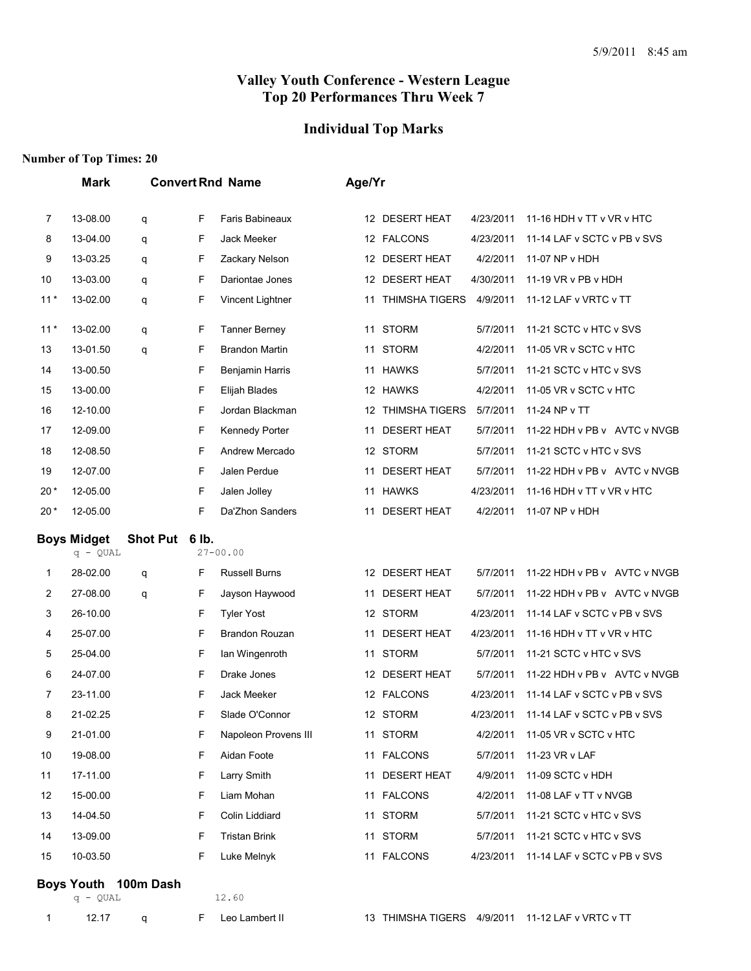#### **Individual Top Marks**

#### **Number of Top Times: 20**

|       | Mark                             |                | <b>Convert Rnd Name</b> |                        | Age/Yr |                       |           |                              |
|-------|----------------------------------|----------------|-------------------------|------------------------|--------|-----------------------|-----------|------------------------------|
| 7     | 13-08.00                         | q              | F                       | Faris Babineaux        |        | 12 DESERT HEAT        | 4/23/2011 | 11-16 HDH v TT v VR v HTC    |
| 8     | 13-04.00                         | q              | F                       | Jack Meeker            |        | 12 FALCONS            | 4/23/2011 | 11-14 LAF v SCTC v PB v SVS  |
| 9     | 13-03.25                         | q              | F                       | Zackary Nelson         |        | 12 DESERT HEAT        | 4/2/2011  | 11-07 NP v HDH               |
| 10    | 13-03.00                         | q              | F                       | Dariontae Jones        |        | 12 DESERT HEAT        | 4/30/2011 | 11-19 VR v PB v HDH          |
| $11*$ | 13-02.00                         | q              | F                       | Vincent Lightner       | 11     | <b>THIMSHA TIGERS</b> | 4/9/2011  | 11-12 LAF v VRTC v TT        |
| $11*$ | 13-02.00                         | q              | F                       | <b>Tanner Berney</b>   |        | 11 STORM              | 5/7/2011  | 11-21 SCTC v HTC v SVS       |
| 13    | 13-01.50                         | q              | F                       | <b>Brandon Martin</b>  |        | 11 STORM              | 4/2/2011  | 11-05 VR v SCTC v HTC        |
| 14    | 13-00.50                         |                | F                       | <b>Benjamin Harris</b> |        | 11 HAWKS              | 5/7/2011  | 11-21 SCTC v HTC v SVS       |
| 15    | 13-00.00                         |                | F                       | Elijah Blades          |        | 12 HAWKS              | 4/2/2011  | 11-05 VR v SCTC v HTC        |
| 16    | 12-10.00                         |                | F                       | Jordan Blackman        |        | 12 THIMSHA TIGERS     | 5/7/2011  | 11-24 NP v TT                |
| 17    | 12-09.00                         |                | F                       | Kennedy Porter         |        | 11 DESERT HEAT        | 5/7/2011  | 11-22 HDH v PB v AVTC v NVGB |
| 18    | 12-08.50                         |                | F                       | Andrew Mercado         |        | 12 STORM              | 5/7/2011  | 11-21 SCTC v HTC v SVS       |
| 19    | 12-07.00                         |                | F                       | Jalen Perdue           |        | 11 DESERT HEAT        | 5/7/2011  | 11-22 HDH v PB v AVTC v NVGB |
| $20*$ | 12-05.00                         |                | F                       | Jalen Jolley           |        | 11 HAWKS              | 4/23/2011 | 11-16 HDH v TT v VR v HTC    |
| $20*$ | 12-05.00                         |                | F                       | Da'Zhon Sanders        |        | 11 DESERT HEAT        | 4/2/2011  | 11-07 NP v HDH               |
|       | <b>Boys Midget</b><br>$q - QUAL$ | Shot Put 6 lb. |                         | $27 - 00.00$           |        |                       |           |                              |
|       |                                  |                |                         | <b>Russell Burns</b>   |        | 12 DESERT HEAT        | 5/7/2011  | 11-22 HDH v PB v AVTC v NVGB |
| 1     | 28-02.00                         | q              | F                       |                        |        |                       |           |                              |
| 2     | 27-08.00                         | q              | F                       | Jayson Haywood         |        | 11 DESERT HEAT        | 5/7/2011  | 11-22 HDH v PB v AVTC v NVGB |
| 3     | 26-10.00                         |                | F                       | <b>Tyler Yost</b>      |        | 12 STORM              | 4/23/2011 | 11-14 LAF v SCTC v PB v SVS  |
| 4     | 25-07.00                         |                | F                       | Brandon Rouzan         | 11     | <b>DESERT HEAT</b>    | 4/23/2011 | 11-16 HDH v TT v VR v HTC    |
| 5     | 25-04.00                         |                | F                       | Ian Wingenroth         | 11     | <b>STORM</b>          | 5/7/2011  | 11-21 SCTC v HTC v SVS       |
| 6     | 24-07.00                         |                | F                       | Drake Jones            |        | 12 DESERT HEAT        | 5/7/2011  | 11-22 HDH v PB v AVTC v NVGB |
| 7     | 23-11.00                         |                | F                       | Jack Meeker            |        | 12 FALCONS            | 4/23/2011 | 11-14 LAF v SCTC v PB v SVS  |
| 8     | 21-02.25                         |                | F                       | Slade O'Connor         |        | 12 STORM              | 4/23/2011 | 11-14 LAF v SCTC v PB v SVS  |
| 9     | 21-01.00                         |                | F                       | Napoleon Provens III   |        | 11 STORM              | 4/2/2011  | 11-05 VR v SCTC v HTC        |
| 10    | 19-08.00                         |                | F                       | Aidan Foote            |        | 11 FALCONS            | 5/7/2011  | 11-23 VR v LAF               |
| 11    | 17-11.00                         |                | F                       | Larry Smith            |        | 11 DESERT HEAT        | 4/9/2011  | 11-09 SCTC v HDH             |
| 12    | 15-00.00                         |                | F                       | Liam Mohan             |        | 11 FALCONS            | 4/2/2011  | 11-08 LAF v TT v NVGB        |
| 13    | 14-04.50                         |                | F                       | Colin Liddiard         | 11     | <b>STORM</b>          | 5/7/2011  | 11-21 SCTC v HTC v SVS       |
| 14    | 13-09.00                         |                | F                       | <b>Tristan Brink</b>   |        | 11 STORM              | 5/7/2011  | 11-21 SCTC v HTC v SVS       |
| 15    | 10-03.50                         |                | F                       | Luke Melnyk            |        | 11 FALCONS            | 4/23/2011 | 11-14 LAF v SCTC v PB v SVS  |

#### **Boys Youth 100m Dash**

q - QUAL 12.60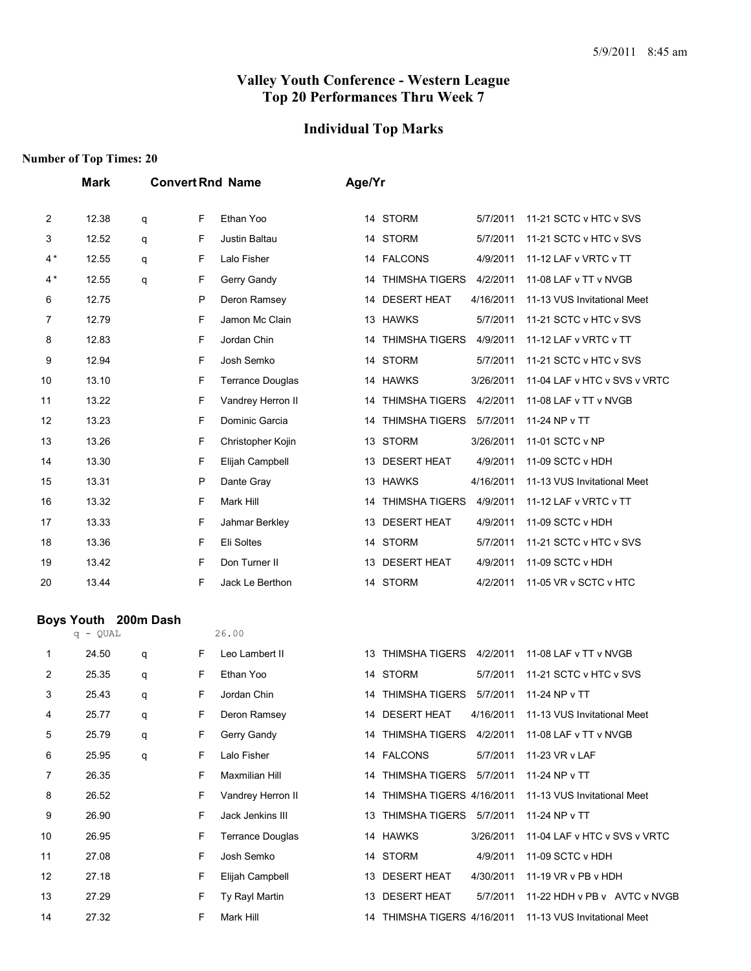#### **Individual Top Marks**

#### **Number of Top Times: 20**

|                | <b>Mark</b> | <b>Convert Rnd Name</b> |   | Age/Yr                  |    |                             |           |                              |
|----------------|-------------|-------------------------|---|-------------------------|----|-----------------------------|-----------|------------------------------|
| $\overline{2}$ | 12.38       | q                       | F | Ethan Yoo               |    | 14 STORM                    | 5/7/2011  | 11-21 SCTC v HTC v SVS       |
| 3              | 12.52       | q                       | F | Justin Baltau           |    | 14 STORM                    | 5/7/2011  | 11-21 SCTC v HTC v SVS       |
| $4*$           | 12.55       | q                       | F | Lalo Fisher             |    | 14 FALCONS                  | 4/9/2011  | 11-12 LAF v VRTC v TT        |
| $4*$           | 12.55       | q                       | F | Gerry Gandy             |    | 14 THIMSHA TIGERS           | 4/2/2011  | 11-08 LAF v TT v NVGB        |
| 6              | 12.75       |                         | P | Deron Ramsey            |    | 14 DESERT HEAT              | 4/16/2011 | 11-13 VUS Invitational Meet  |
| 7              | 12.79       |                         | F | Jamon Mc Clain          |    | 13 HAWKS                    | 5/7/2011  | 11-21 SCTC v HTC v SVS       |
| 8              | 12.83       |                         | F | Jordan Chin             | 14 | <b>THIMSHA TIGERS</b>       | 4/9/2011  | 11-12 LAF v VRTC v TT        |
| 9              | 12.94       |                         | F | Josh Semko              |    | 14 STORM                    | 5/7/2011  | 11-21 SCTC v HTC v SVS       |
| 10             | 13.10       |                         | F | <b>Terrance Douglas</b> |    | 14 HAWKS                    | 3/26/2011 | 11-04 LAF v HTC v SVS v VRTC |
| 11             | 13.22       |                         | F | Vandrey Herron II       |    | <b>THIMSHA TIGERS</b><br>14 | 4/2/2011  | 11-08 LAF v TT v NVGB        |
| 12             | 13.23       |                         | F | Dominic Garcia          |    | 14 THIMSHA TIGERS           | 5/7/2011  | 11-24 NP v TT                |
| 13             | 13.26       |                         | F | Christopher Kojin       |    | 13 STORM                    | 3/26/2011 | 11-01 SCTC v NP              |
| 14             | 13.30       |                         | F | Elijah Campbell         |    | 13 DESERT HEAT              | 4/9/2011  | 11-09 SCTC v HDH             |
| 15             | 13.31       |                         | P | Dante Gray              |    | 13 HAWKS                    | 4/16/2011 | 11-13 VUS Invitational Meet  |
| 16             | 13.32       |                         | F | Mark Hill               | 14 | <b>THIMSHA TIGERS</b>       | 4/9/2011  | 11-12 LAF v VRTC v TT        |
| 17             | 13.33       |                         | F | Jahmar Berkley          |    | 13 DESERT HEAT              | 4/9/2011  | 11-09 SCTC v HDH             |
| 18             | 13.36       |                         | F | Eli Soltes              |    | 14 STORM                    | 5/7/2011  | 11-21 SCTC v HTC v SVS       |
| 19             | 13.42       |                         | F | Don Turner II           |    | 13 DESERT HEAT              | 4/9/2011  | 11-09 SCTC v HDH             |
| 20             | 13.44       |                         | F | Jack Le Berthon         |    | 14 STORM                    | 4/2/2011  | 11-05 VR v SCTC v HTC        |

#### **Boys Youth 200m Dash**

|                | q - QUAL |   |   | 26.00                   |    |                          |           |                              |
|----------------|----------|---|---|-------------------------|----|--------------------------|-----------|------------------------------|
| 1              | 24.50    | q | F | Leo Lambert II          | 13 | THIMSHA TIGERS           | 4/2/2011  | 11-08 LAF v TT v NVGB        |
| $\overline{2}$ | 25.35    | q | F | Ethan Yoo               |    | 14 STORM                 | 5/7/2011  | 11-21 SCTC v HTC v SVS       |
| 3              | 25.43    | q | F | Jordan Chin             | 14 | <b>THIMSHA TIGERS</b>    | 5/7/2011  | 11-24 NP v TT                |
| 4              | 25.77    | q | F | Deron Ramsey            | 14 | <b>DESERT HEAT</b>       | 4/16/2011 | 11-13 VUS Invitational Meet  |
| 5              | 25.79    | q | F | Gerry Gandy             | 14 | <b>THIMSHA TIGERS</b>    | 4/2/2011  | 11-08 LAF v TT v NVGB        |
| 6              | 25.95    | q | F | Lalo Fisher             |    | 14 FALCONS               | 5/7/2011  | 11-23 VR v LAF               |
| 7              | 26.35    |   | F | Maxmilian Hill          | 14 | <b>THIMSHA TIGERS</b>    | 5/7/2011  | 11-24 NP v TT                |
| 8              | 26.52    |   | F | Vandrey Herron II       | 14 | THIMSHA TIGERS 4/16/2011 |           | 11-13 VUS Invitational Meet  |
| 9              | 26.90    |   | F | Jack Jenkins III        | 13 | <b>THIMSHA TIGERS</b>    | 5/7/2011  | 11-24 NP v TT                |
| 10             | 26.95    |   | F | <b>Terrance Douglas</b> |    | 14 HAWKS                 | 3/26/2011 | 11-04 LAF v HTC v SVS v VRTC |
| 11             | 27.08    |   | F | Josh Semko              |    | 14 STORM                 | 4/9/2011  | 11-09 SCTC v HDH             |
| 12             | 27.18    |   | F | Elijah Campbell         |    | 13 DESERT HEAT           | 4/30/2011 | 11-19 VR v PB v HDH          |
| 13             | 27.29    |   | F | Ty Rayl Martin          | 13 | <b>DESERT HEAT</b>       | 5/7/2011  | 11-22 HDH v PB v AVTC v NVGB |
| 14             | 27.32    |   | F | Mark Hill               | 14 | THIMSHA TIGERS 4/16/2011 |           | 11-13 VUS Invitational Meet  |
|                |          |   |   |                         |    |                          |           |                              |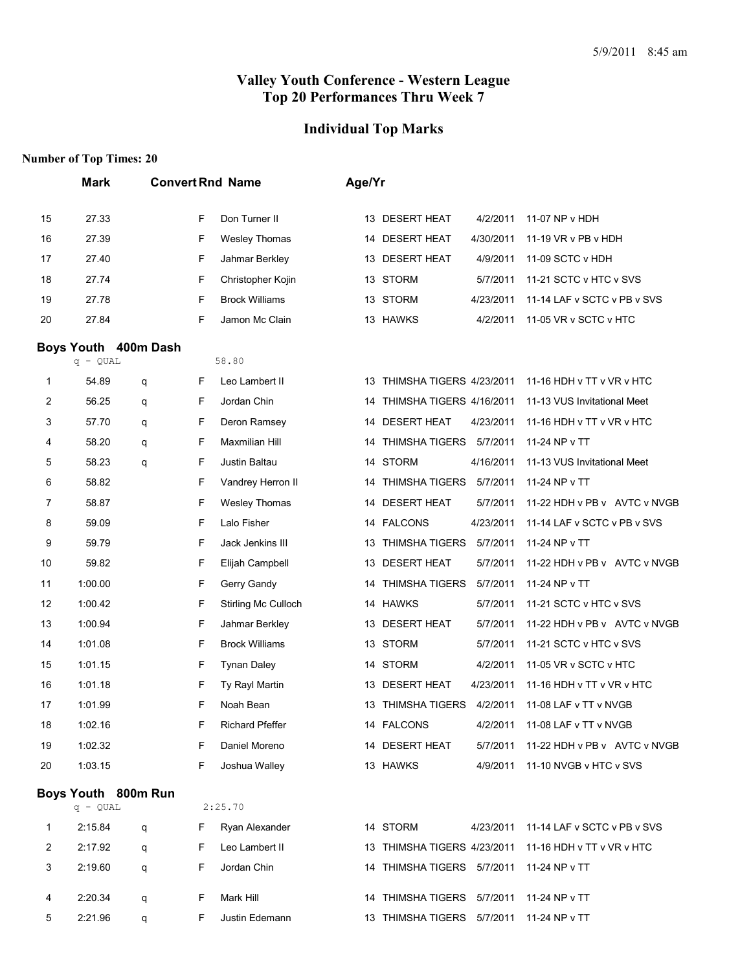#### **Individual Top Marks**

|         | <b>Mark</b>          |   |        | <b>Convert Rnd Name</b>             | Age/Yr   |                                          |                       |                                                       |
|---------|----------------------|---|--------|-------------------------------------|----------|------------------------------------------|-----------------------|-------------------------------------------------------|
| 15      | 27.33                |   | F      | Don Turner II                       |          | 13 DESERT HEAT                           | 4/2/2011              | 11-07 NP v HDH                                        |
| 16      | 27.39                |   | F      | <b>Wesley Thomas</b>                |          | 14 DESERT HEAT                           | 4/30/2011             | 11-19 VR v PB v HDH                                   |
| 17      | 27.40                |   | F      | Jahmar Berkley                      |          | 13 DESERT HEAT                           | 4/9/2011              | 11-09 SCTC v HDH                                      |
| 18      | 27.74                |   | F      | Christopher Kojin                   |          | 13 STORM                                 | 5/7/2011              | 11-21 SCTC v HTC v SVS                                |
| 19      | 27.78                |   | F      | <b>Brock Williams</b>               |          | 13 STORM                                 | 4/23/2011             | 11-14 LAF v SCTC v PB v SVS                           |
| 20      | 27.84                |   | F      | Jamon Mc Clain                      |          | 13 HAWKS                                 | 4/2/2011              | 11-05 VR v SCTC v HTC                                 |
|         | Boys Youth 400m Dash |   |        |                                     |          |                                          |                       |                                                       |
|         | $q - QUAL$           |   |        | 58.80                               |          |                                          |                       |                                                       |
| 1       | 54.89                | q | F      | Leo Lambert II                      |          | 13 THIMSHA TIGERS 4/23/2011              |                       | 11-16 HDH v TT v VR v HTC                             |
| 2       | 56.25                | q | F      | Jordan Chin                         | 14       | THIMSHA TIGERS 4/16/2011                 |                       | 11-13 VUS Invitational Meet                           |
| 3       | 57.70                | q | F      | Deron Ramsey                        |          | 14 DESERT HEAT                           | 4/23/2011             | 11-16 HDH v TT v VR v HTC                             |
| 4       | 58.20                | q | F      | <b>Maxmilian Hill</b>               | 14       | THIMSHA TIGERS 5/7/2011                  |                       | 11-24 NP v TT                                         |
| 5       | 58.23                | q | F      | Justin Baltau                       |          | 14 STORM                                 | 4/16/2011             | 11-13 VUS Invitational Meet                           |
| 6       | 58.82                |   | F      | Vandrey Herron II                   |          | 14 THIMSHA TIGERS                        | 5/7/2011              | 11-24 NP v TT                                         |
| 7       | 58.87                |   | F      | <b>Wesley Thomas</b><br>Lalo Fisher |          | 14 DESERT HEAT                           | 5/7/2011              | 11-22 HDH v PB v AVTC v NVGB                          |
| 8       | 59.09<br>59.79       |   | F<br>F | Jack Jenkins III                    |          | 14 FALCONS<br><b>THIMSHA TIGERS</b>      | 4/23/2011<br>5/7/2011 | 11-14 LAF v SCTC v PB v SVS<br>11-24 NP v TT          |
| 9<br>10 | 59.82                |   | F      | Elijah Campbell                     | 13<br>13 | <b>DESERT HEAT</b>                       | 5/7/2011              | 11-22 HDH v PB v AVTC v NVGB                          |
| 11      | 1:00.00              |   | F      | Gerry Gandy                         | 14       | <b>THIMSHA TIGERS</b>                    | 5/7/2011              | 11-24 NP v TT                                         |
| 12      | 1:00.42              |   | F      | Stirling Mc Culloch                 |          | 14 HAWKS                                 | 5/7/2011              | 11-21 SCTC v HTC v SVS                                |
| 13      | 1:00.94              |   | F      | Jahmar Berkley                      | 13       | <b>DESERT HEAT</b>                       | 5/7/2011              | 11-22 HDH v PB v AVTC v NVGB                          |
| 14      | 1:01.08              |   | F      | <b>Brock Williams</b>               |          | 13 STORM                                 | 5/7/2011              | 11-21 SCTC v HTC v SVS                                |
| 15      | 1:01.15              |   | F      | <b>Tynan Daley</b>                  |          | 14 STORM                                 | 4/2/2011              | 11-05 VR v SCTC v HTC                                 |
| 16      | 1:01.18              |   | F      | Ty Rayl Martin                      | 13       | <b>DESERT HEAT</b>                       | 4/23/2011             | 11-16 HDH v TT v VR v HTC                             |
| 17      | 1:01.99              |   | F      | Noah Bean                           | 13       | THIMSHA TIGERS                           | 4/2/2011              | 11-08 LAF v TT v NVGB                                 |
| 18      | 1:02.16              |   | F      | <b>Richard Pfeffer</b>              |          | 14 FALCONS                               |                       | 4/2/2011 11-08 LAF v TT v NVGB                        |
| 19      | 1:02.32              |   | F      | Daniel Moreno                       |          | 14 DESERT HEAT                           |                       | 5/7/2011 11-22 HDH v PB v AVTC v NVGB                 |
| 20      | 1:03.15              |   | F      | Joshua Walley                       |          | 13 HAWKS                                 |                       | 4/9/2011 11-10 NVGB v HTC v SVS                       |
|         | Boys Youth 800m Run  |   |        |                                     |          |                                          |                       |                                                       |
|         | $q - QUAL$           |   |        | 2:25.70                             |          |                                          |                       |                                                       |
| 1       | 2:15.84              | q | F      | Ryan Alexander                      |          | 14 STORM                                 |                       | 4/23/2011 11-14 LAF v SCTC v PB v SVS                 |
| 2       | 2:17.92              | q | F      | Leo Lambert II                      |          |                                          |                       | 13 THIMSHA TIGERS 4/23/2011 11-16 HDH v TT v VR v HTC |
| 3       | 2:19.60              | q | F      | Jordan Chin                         |          | 14 THIMSHA TIGERS 5/7/2011 11-24 NP v TT |                       |                                                       |
| 4       | 2:20.34              | q | F      | Mark Hill                           |          | 14 THIMSHA TIGERS 5/7/2011 11-24 NP v TT |                       |                                                       |
| 5       | 2:21.96              | q | F.     | Justin Edemann                      |          | 13 THIMSHA TIGERS 5/7/2011 11-24 NP v TT |                       |                                                       |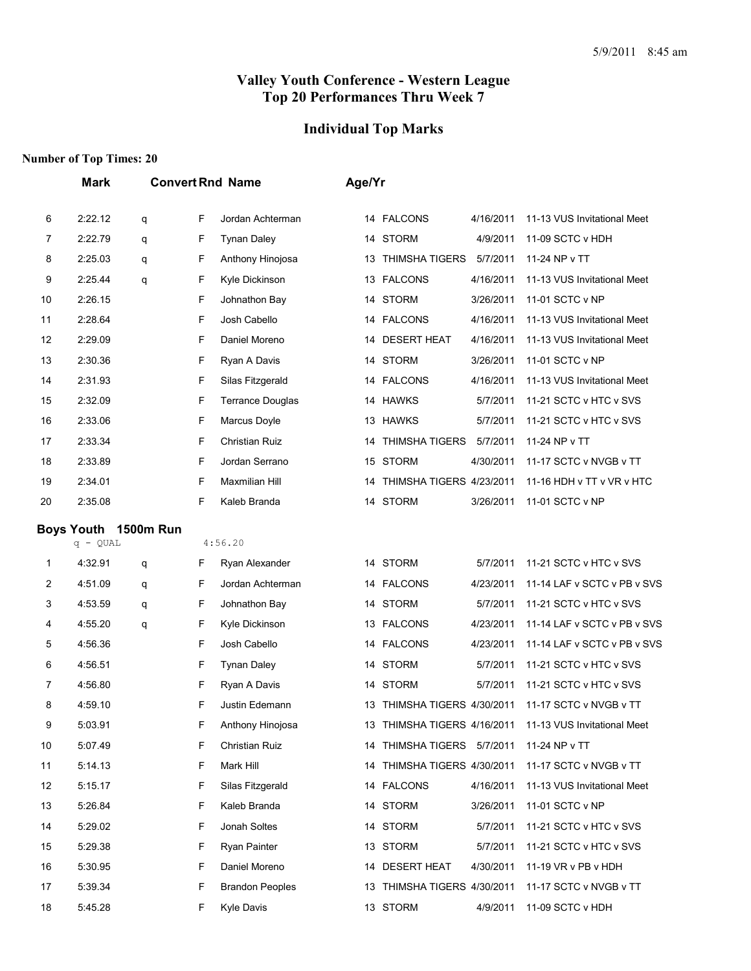# **Individual Top Marks**

|    | <b>Mark</b>                        |   |   | <b>Convert Rnd Name</b> | Age/Yr |                             |           |                             |
|----|------------------------------------|---|---|-------------------------|--------|-----------------------------|-----------|-----------------------------|
| 6  | 2:22.12                            | q | F | Jordan Achterman        |        | 14 FALCONS                  | 4/16/2011 | 11-13 VUS Invitational Meet |
| 7  | 2:22.79                            | q | F | <b>Tynan Daley</b>      |        | 14 STORM                    | 4/9/2011  | 11-09 SCTC v HDH            |
| 8  | 2:25.03                            | q | F | Anthony Hinojosa        |        | 13 THIMSHA TIGERS           | 5/7/2011  | 11-24 NP v TT               |
| 9  | 2:25.44                            | q | F | Kyle Dickinson          |        | 13 FALCONS                  | 4/16/2011 | 11-13 VUS Invitational Meet |
| 10 | 2:26.15                            |   | F | Johnathon Bay           |        | 14 STORM                    | 3/26/2011 | 11-01 SCTC v NP             |
| 11 | 2:28.64                            |   | F | Josh Cabello            |        | 14 FALCONS                  | 4/16/2011 | 11-13 VUS Invitational Meet |
| 12 | 2:29.09                            |   | F | Daniel Moreno           |        | 14 DESERT HEAT              | 4/16/2011 | 11-13 VUS Invitational Meet |
| 13 | 2:30.36                            |   | F | Ryan A Davis            |        | 14 STORM                    | 3/26/2011 | 11-01 SCTC v NP             |
| 14 | 2:31.93                            |   | F | Silas Fitzgerald        |        | 14 FALCONS                  | 4/16/2011 | 11-13 VUS Invitational Meet |
| 15 | 2:32.09                            |   | F | <b>Terrance Douglas</b> |        | 14 HAWKS                    | 5/7/2011  | 11-21 SCTC v HTC v SVS      |
| 16 | 2:33.06                            |   | F | Marcus Doyle            |        | 13 HAWKS                    | 5/7/2011  | 11-21 SCTC v HTC v SVS      |
| 17 | 2:33.34                            |   | F | Christian Ruiz          |        | 14 THIMSHA TIGERS           | 5/7/2011  | 11-24 NP v TT               |
| 18 | 2:33.89                            |   | F | Jordan Serrano          |        | 15 STORM                    | 4/30/2011 | 11-17 SCTC v NVGB v TT      |
| 19 | 2:34.01                            |   | F | <b>Maxmilian Hill</b>   |        | 14 THIMSHA TIGERS 4/23/2011 |           | 11-16 HDH v TT v VR v HTC   |
| 20 | 2:35.08                            |   | F | Kaleb Branda            |        | 14 STORM                    | 3/26/2011 | 11-01 SCTC v NP             |
|    | Boys Youth 1500m Run<br>$q - QUAL$ |   |   | 4:56.20                 |        |                             |           |                             |
| 1  | 4:32.91                            | q | F | Ryan Alexander          |        | 14 STORM                    | 5/7/2011  | 11-21 SCTC v HTC v SVS      |
| 2  | 4:51.09                            | q | F | Jordan Achterman        |        | 14 FALCONS                  | 4/23/2011 | 11-14 LAF v SCTC v PB v SVS |
| 3  | 4:53.59                            | q | F | Johnathon Bay           |        | 14 STORM                    | 5/7/2011  | 11-21 SCTC v HTC v SVS      |
| 4  | 4:55.20                            | q | F | Kyle Dickinson          |        | 13 FALCONS                  | 4/23/2011 | 11-14 LAF v SCTC v PB v SVS |
| 5  | 4:56.36                            |   | F | Josh Cabello            |        | 14 FALCONS                  | 4/23/2011 | 11-14 LAF v SCTC v PB v SVS |
| 6  | 4:56.51                            |   | F | <b>Tynan Daley</b>      |        | 14 STORM                    | 5/7/2011  | 11-21 SCTC v HTC v SVS      |
| 7  | 4:56.80                            |   | F | Ryan A Davis            |        | 14 STORM                    | 5/7/2011  | 11-21 SCTC v HTC v SVS      |
| 8  | 4:59.10                            |   | F | Justin Edemann          |        | 13 THIMSHA TIGERS 4/30/2011 |           | 11-17 SCTC v NVGB v TT      |
| 9  | 5:03.91                            |   | F | Anthony Hinojosa        |        | 13 THIMSHA TIGERS 4/16/2011 |           | 11-13 VUS Invitational Meet |
| 10 | 5:07.49                            |   | F | Christian Ruiz          |        | 14 THIMSHA TIGERS 5/7/2011  |           | 11-24 NP v TT               |
| 11 | 5:14.13                            |   | F | Mark Hill               |        | 14 THIMSHA TIGERS 4/30/2011 |           | 11-17 SCTC v NVGB v TT      |
| 12 | 5:15.17                            |   | F | Silas Fitzgerald        |        | 14 FALCONS                  | 4/16/2011 | 11-13 VUS Invitational Meet |
| 13 | 5:26.84                            |   | F | Kaleb Branda            |        | 14 STORM                    | 3/26/2011 | 11-01 SCTC v NP             |
| 14 | 5:29.02                            |   | F | Jonah Soltes            |        | 14 STORM                    | 5/7/2011  | 11-21 SCTC v HTC v SVS      |
| 15 | 5:29.38                            |   | F | <b>Ryan Painter</b>     |        | 13 STORM                    | 5/7/2011  | 11-21 SCTC v HTC v SVS      |
| 16 | 5:30.95                            |   | F | Daniel Moreno           |        | 14 DESERT HEAT              | 4/30/2011 | 11-19 VR v PB v HDH         |
| 17 | 5:39.34                            |   | F | <b>Brandon Peoples</b>  |        | 13 THIMSHA TIGERS 4/30/2011 |           | 11-17 SCTC v NVGB v TT      |
| 18 | 5:45.28                            |   | F | Kyle Davis              |        | 13 STORM                    | 4/9/2011  | 11-09 SCTC v HDH            |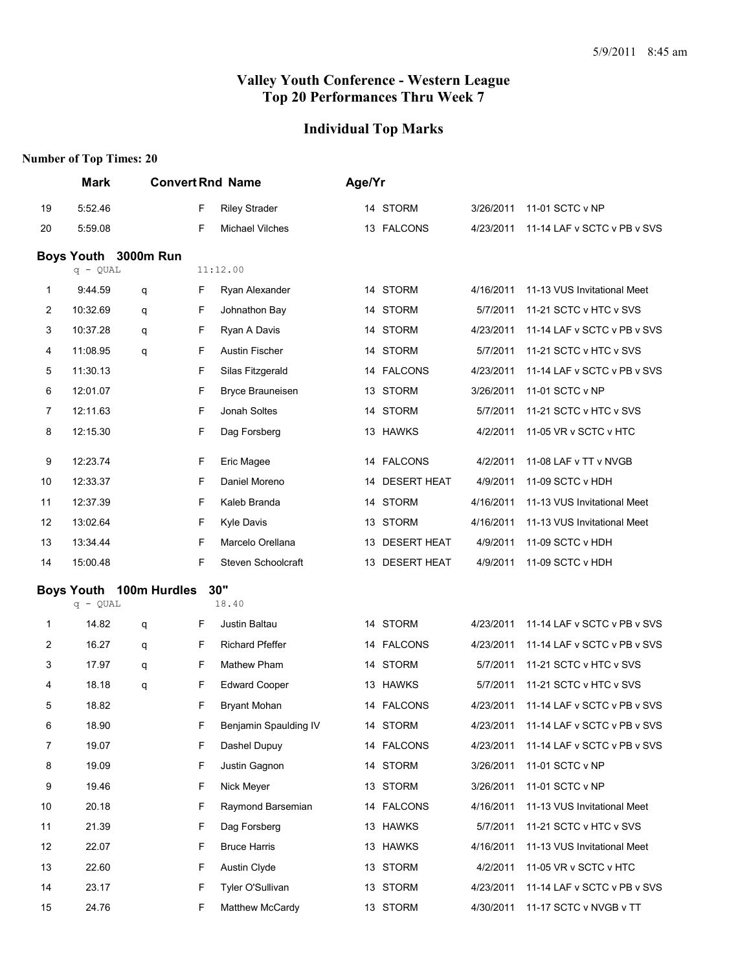# **Individual Top Marks**

|    | <b>Mark</b>       |                      |    | <b>Convert Rnd Name</b> | Age/Yr |                |           |                             |
|----|-------------------|----------------------|----|-------------------------|--------|----------------|-----------|-----------------------------|
| 19 | 5:52.46           |                      | F  | <b>Riley Strader</b>    |        | 14 STORM       | 3/26/2011 | 11-01 SCTC v NP             |
| 20 | 5:59.08           |                      | F  | Michael Vilches         |        | 13 FALCONS     | 4/23/2011 | 11-14 LAF v SCTC v PB v SVS |
|    |                   | Boys Youth 3000m Run |    |                         |        |                |           |                             |
|    | $q - QUAL$        |                      |    | 11:12.00                |        |                |           |                             |
| 1  | 9:44.59           | q                    | F. | Ryan Alexander          |        | 14 STORM       | 4/16/2011 | 11-13 VUS Invitational Meet |
| 2  | 10:32.69          | q                    | F  | Johnathon Bay           |        | 14 STORM       | 5/7/2011  | 11-21 SCTC v HTC v SVS      |
| 3  | 10:37.28          | q                    | F  | Ryan A Davis            |        | 14 STORM       | 4/23/2011 | 11-14 LAF v SCTC v PB v SVS |
| 4  | 11:08.95          | q                    | F  | Austin Fischer          |        | 14 STORM       | 5/7/2011  | 11-21 SCTC v HTC v SVS      |
| 5  | 11:30.13          |                      | F  | Silas Fitzgerald        |        | 14 FALCONS     | 4/23/2011 | 11-14 LAF v SCTC v PB v SVS |
| 6  | 12:01.07          |                      | F  | <b>Bryce Brauneisen</b> |        | 13 STORM       | 3/26/2011 | 11-01 SCTC v NP             |
| 7  | 12:11.63          |                      | F  | Jonah Soltes            |        | 14 STORM       | 5/7/2011  | 11-21 SCTC v HTC v SVS      |
| 8  | 12:15.30          |                      | F  | Dag Forsberg            |        | 13 HAWKS       | 4/2/2011  | 11-05 VR v SCTC v HTC       |
| 9  | 12:23.74          |                      | F  | Eric Magee              |        | 14 FALCONS     | 4/2/2011  | 11-08 LAF v TT v NVGB       |
| 10 | 12:33.37          |                      | F  | Daniel Moreno           |        | 14 DESERT HEAT | 4/9/2011  | 11-09 SCTC v HDH            |
| 11 | 12:37.39          |                      | F  | Kaleb Branda            |        | 14 STORM       | 4/16/2011 | 11-13 VUS Invitational Meet |
| 12 | 13:02.64          |                      | F  | Kyle Davis              |        | 13 STORM       | 4/16/2011 | 11-13 VUS Invitational Meet |
| 13 | 13:34.44          |                      | F  | Marcelo Orellana        |        | 13 DESERT HEAT | 4/9/2011  | 11-09 SCTC v HDH            |
| 14 | 15:00.48          |                      | F  | Steven Schoolcraft      |        | 13 DESERT HEAT | 4/9/2011  | 11-09 SCTC v HDH            |
|    | <b>Boys Youth</b> | 100m Hurdles         |    | 30"                     |        |                |           |                             |
|    | $q - QUAL$        |                      |    | 18.40                   |        |                |           |                             |
| 1  | 14.82             | q                    | F  | Justin Baltau           |        | 14 STORM       | 4/23/2011 | 11-14 LAF v SCTC v PB v SVS |
| 2  | 16.27             | q                    | F  | <b>Richard Pfeffer</b>  |        | 14 FALCONS     | 4/23/2011 | 11-14 LAF v SCTC v PB v SVS |
| 3  | 17.97             | q                    | F  | Mathew Pham             |        | 14 STORM       | 5/7/2011  | 11-21 SCTC v HTC v SVS      |
| 4  | 18.18             | q                    | F  | <b>Edward Cooper</b>    |        | 13 HAWKS       | 5/7/2011  | 11-21 SCTC v HTC v SVS      |
| 5  | 18.82             |                      | F  | <b>Bryant Mohan</b>     |        | 14 FALCONS     | 4/23/2011 | 11-14 LAF v SCTC v PB v SVS |
| 6  | 18.90             |                      | F  | Benjamin Spaulding IV   |        | 14 STORM       | 4/23/2011 | 11-14 LAF v SCTC v PB v SVS |
| 7  | 19.07             |                      | F  | Dashel Dupuy            |        | 14 FALCONS     | 4/23/2011 | 11-14 LAF v SCTC v PB v SVS |
| 8  | 19.09             |                      | F  | Justin Gagnon           |        | 14 STORM       | 3/26/2011 | 11-01 SCTC v NP             |
| 9  | 19.46             |                      | F  | Nick Meyer              |        | 13 STORM       | 3/26/2011 | 11-01 SCTC v NP             |
| 10 | 20.18             |                      | F  | Raymond Barsemian       |        | 14 FALCONS     | 4/16/2011 | 11-13 VUS Invitational Meet |
| 11 | 21.39             |                      | F  | Dag Forsberg            |        | 13 HAWKS       | 5/7/2011  | 11-21 SCTC v HTC v SVS      |
| 12 | 22.07             |                      | F  | <b>Bruce Harris</b>     |        | 13 HAWKS       | 4/16/2011 | 11-13 VUS Invitational Meet |
| 13 | 22.60             |                      | F  | Austin Clyde            |        | 13 STORM       | 4/2/2011  | 11-05 VR v SCTC v HTC       |
| 14 | 23.17             |                      | F  | Tyler O'Sullivan        |        | 13 STORM       | 4/23/2011 | 11-14 LAF v SCTC v PB v SVS |
| 15 | 24.76             |                      | F. | Matthew McCardy         |        | 13 STORM       | 4/30/2011 | 11-17 SCTC v NVGB v TT      |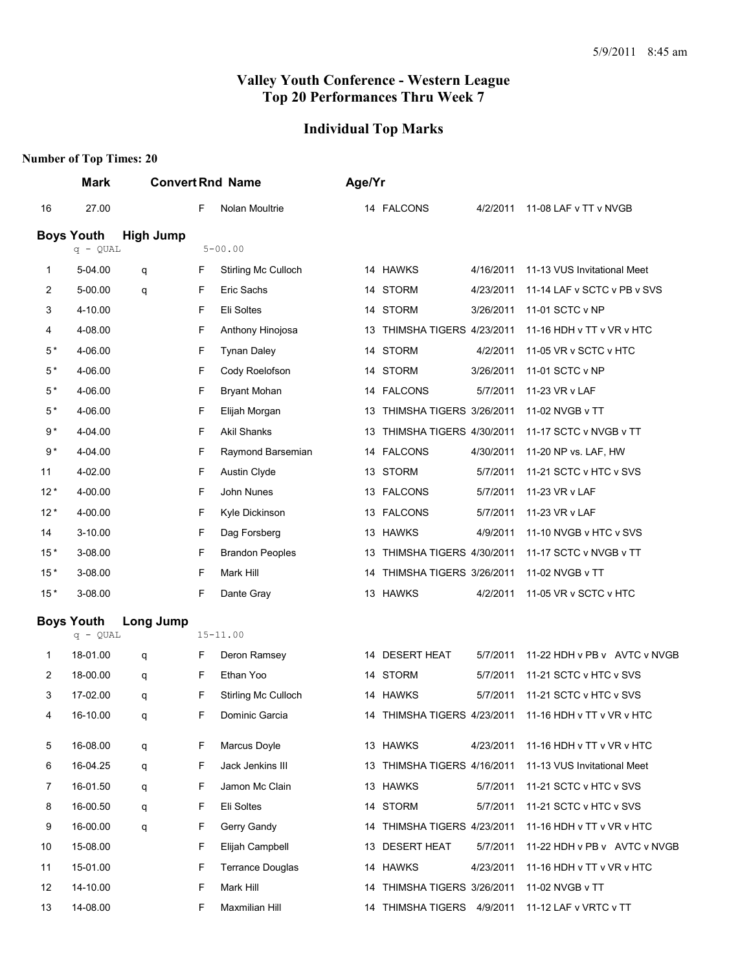## **Individual Top Marks**

| <b>Mark</b> |                                        |                                       |                         |                                                        |    |                                                                                                                                                                                                                                                                                                |                                                                                                                                                                                                                                                                                                       |
|-------------|----------------------------------------|---------------------------------------|-------------------------|--------------------------------------------------------|----|------------------------------------------------------------------------------------------------------------------------------------------------------------------------------------------------------------------------------------------------------------------------------------------------|-------------------------------------------------------------------------------------------------------------------------------------------------------------------------------------------------------------------------------------------------------------------------------------------------------|
| 27.00       |                                        | F                                     | Nolan Moultrie          |                                                        |    | 4/2/2011                                                                                                                                                                                                                                                                                       | 11-08 LAF v TT v NVGB                                                                                                                                                                                                                                                                                 |
|             | <b>High Jump</b>                       |                                       |                         |                                                        |    |                                                                                                                                                                                                                                                                                                |                                                                                                                                                                                                                                                                                                       |
|             |                                        |                                       |                         |                                                        |    |                                                                                                                                                                                                                                                                                                |                                                                                                                                                                                                                                                                                                       |
| 5-04.00     | q                                      | F                                     | Stirling Mc Culloch     |                                                        |    | 4/16/2011                                                                                                                                                                                                                                                                                      | 11-13 VUS Invitational Meet                                                                                                                                                                                                                                                                           |
| 5-00.00     | q                                      | F                                     | Eric Sachs              |                                                        |    | 4/23/2011                                                                                                                                                                                                                                                                                      | 11-14 LAF v SCTC v PB v SVS                                                                                                                                                                                                                                                                           |
| 4-10.00     |                                        | F                                     | Eli Soltes              |                                                        |    | 3/26/2011                                                                                                                                                                                                                                                                                      | 11-01 SCTC v NP                                                                                                                                                                                                                                                                                       |
| 4-08.00     |                                        | F                                     | Anthony Hinojosa        |                                                        |    |                                                                                                                                                                                                                                                                                                | 11-16 HDH v TT v VR v HTC                                                                                                                                                                                                                                                                             |
| 4-06.00     |                                        | F                                     | <b>Tynan Daley</b>      |                                                        |    | 4/2/2011                                                                                                                                                                                                                                                                                       | 11-05 VR v SCTC v HTC                                                                                                                                                                                                                                                                                 |
| 4-06.00     |                                        | F                                     | Cody Roelofson          |                                                        |    | 3/26/2011                                                                                                                                                                                                                                                                                      | 11-01 SCTC v NP                                                                                                                                                                                                                                                                                       |
| 4-06.00     |                                        | F                                     | <b>Bryant Mohan</b>     |                                                        |    | 5/7/2011                                                                                                                                                                                                                                                                                       | 11-23 VR v LAF                                                                                                                                                                                                                                                                                        |
| 4-06.00     |                                        | F                                     | Elijah Morgan           |                                                        |    |                                                                                                                                                                                                                                                                                                | 11-02 NVGB v TT                                                                                                                                                                                                                                                                                       |
| 4-04.00     |                                        | F                                     | <b>Akil Shanks</b>      |                                                        |    |                                                                                                                                                                                                                                                                                                | 11-17 SCTC v NVGB v TT                                                                                                                                                                                                                                                                                |
| 4-04.00     |                                        | F                                     | Raymond Barsemian       |                                                        |    | 4/30/2011                                                                                                                                                                                                                                                                                      | 11-20 NP vs. LAF, HW                                                                                                                                                                                                                                                                                  |
| 4-02.00     |                                        | F                                     | Austin Clyde            |                                                        |    | 5/7/2011                                                                                                                                                                                                                                                                                       | 11-21 SCTC v HTC v SVS                                                                                                                                                                                                                                                                                |
| 4-00.00     |                                        | F                                     | John Nunes              |                                                        |    | 5/7/2011                                                                                                                                                                                                                                                                                       | 11-23 VR v LAF                                                                                                                                                                                                                                                                                        |
| 4-00.00     |                                        | F                                     | Kyle Dickinson          |                                                        |    | 5/7/2011                                                                                                                                                                                                                                                                                       | 11-23 VR v LAF                                                                                                                                                                                                                                                                                        |
| 3-10.00     |                                        | F                                     | Dag Forsberg            |                                                        |    | 4/9/2011                                                                                                                                                                                                                                                                                       | 11-10 NVGB v HTC v SVS                                                                                                                                                                                                                                                                                |
| 3-08.00     |                                        | F                                     | <b>Brandon Peoples</b>  | 13                                                     |    |                                                                                                                                                                                                                                                                                                | 11-17 SCTC v NVGB v TT                                                                                                                                                                                                                                                                                |
| 3-08.00     |                                        | F                                     | Mark Hill               | 14                                                     |    |                                                                                                                                                                                                                                                                                                | 11-02 NVGB v TT                                                                                                                                                                                                                                                                                       |
| 3-08.00     |                                        | F                                     | Dante Gray              |                                                        |    | 4/2/2011                                                                                                                                                                                                                                                                                       | 11-05 VR v SCTC v HTC                                                                                                                                                                                                                                                                                 |
|             |                                        |                                       |                         |                                                        |    |                                                                                                                                                                                                                                                                                                |                                                                                                                                                                                                                                                                                                       |
|             |                                        |                                       |                         |                                                        |    |                                                                                                                                                                                                                                                                                                |                                                                                                                                                                                                                                                                                                       |
| 18-01.00    | q                                      | F                                     | Deron Ramsey            |                                                        |    | 5/7/2011                                                                                                                                                                                                                                                                                       | 11-22 HDH v PB v AVTC v NVGB                                                                                                                                                                                                                                                                          |
| 18-00.00    | q                                      | F                                     | Ethan Yoo               |                                                        |    | 5/7/2011                                                                                                                                                                                                                                                                                       | 11-21 SCTC v HTC v SVS                                                                                                                                                                                                                                                                                |
| 17-02.00    | q                                      | F                                     | Stirling Mc Culloch     |                                                        |    | 5/7/2011                                                                                                                                                                                                                                                                                       | 11-21 SCTC v HTC v SVS                                                                                                                                                                                                                                                                                |
| 16-10.00    | q                                      | F                                     | Dominic Garcia          |                                                        |    |                                                                                                                                                                                                                                                                                                | 11-16 HDH v TT v VR v HTC                                                                                                                                                                                                                                                                             |
| 16-08.00    | q                                      | F                                     | Marcus Doyle            |                                                        |    | 4/23/2011                                                                                                                                                                                                                                                                                      | 11-16 HDH v TT v VR v HTC                                                                                                                                                                                                                                                                             |
| 16-04.25    | q                                      | F                                     | Jack Jenkins III        |                                                        |    |                                                                                                                                                                                                                                                                                                | 11-13 VUS Invitational Meet                                                                                                                                                                                                                                                                           |
| 16-01.50    | q                                      | F                                     | Jamon Mc Clain          |                                                        |    | 5/7/2011                                                                                                                                                                                                                                                                                       | 11-21 SCTC v HTC v SVS                                                                                                                                                                                                                                                                                |
| 16-00.50    | q                                      | F                                     | Eli Soltes              |                                                        |    | 5/7/2011                                                                                                                                                                                                                                                                                       | 11-21 SCTC v HTC v SVS                                                                                                                                                                                                                                                                                |
| 16-00.00    | q                                      | F                                     | Gerry Gandy             |                                                        |    |                                                                                                                                                                                                                                                                                                | 11-16 HDH v TT v VR v HTC                                                                                                                                                                                                                                                                             |
| 15-08.00    |                                        | F                                     | Elijah Campbell         |                                                        |    | 5/7/2011                                                                                                                                                                                                                                                                                       | 11-22 HDH v PB v AVTC v NVGB                                                                                                                                                                                                                                                                          |
| 15-01.00    |                                        | F                                     | <b>Terrance Douglas</b> |                                                        |    | 4/23/2011                                                                                                                                                                                                                                                                                      | 11-16 HDH v TT v VR v HTC                                                                                                                                                                                                                                                                             |
| 14-10.00    |                                        | F                                     | Mark Hill               |                                                        |    |                                                                                                                                                                                                                                                                                                | 11-02 NVGB v TT                                                                                                                                                                                                                                                                                       |
| 14-08.00    |                                        | F                                     | Maxmilian Hill          |                                                        |    |                                                                                                                                                                                                                                                                                                | 11-12 LAF v VRTC v TT                                                                                                                                                                                                                                                                                 |
|             | <b>Boys Youth</b><br><b>Boys Youth</b> | $q - QUAL$<br>Long Jump<br>$q - QUAL$ |                         | <b>Convert Rnd Name</b><br>$5 - 00.00$<br>$15 - 11.00$ | 13 | Age/Yr<br>14 FALCONS<br>14 HAWKS<br>14 STORM<br>14 STORM<br>14 STORM<br>14 STORM<br>14 FALCONS<br>13<br>14 FALCONS<br>13 STORM<br>13 FALCONS<br>13 FALCONS<br>13 HAWKS<br>13 HAWKS<br>14 DESERT HEAT<br>14 STORM<br>14 HAWKS<br>13 HAWKS<br>13 HAWKS<br>14 STORM<br>13 DESERT HEAT<br>14 HAWKS | 13 THIMSHA TIGERS 4/23/2011<br>THIMSHA TIGERS 3/26/2011<br>THIMSHA TIGERS 4/30/2011<br>THIMSHA TIGERS 4/30/2011<br>THIMSHA TIGERS 3/26/2011<br>14 THIMSHA TIGERS 4/23/2011<br>13 THIMSHA TIGERS 4/16/2011<br>14 THIMSHA TIGERS 4/23/2011<br>14 THIMSHA TIGERS 3/26/2011<br>14 THIMSHA TIGERS 4/9/2011 |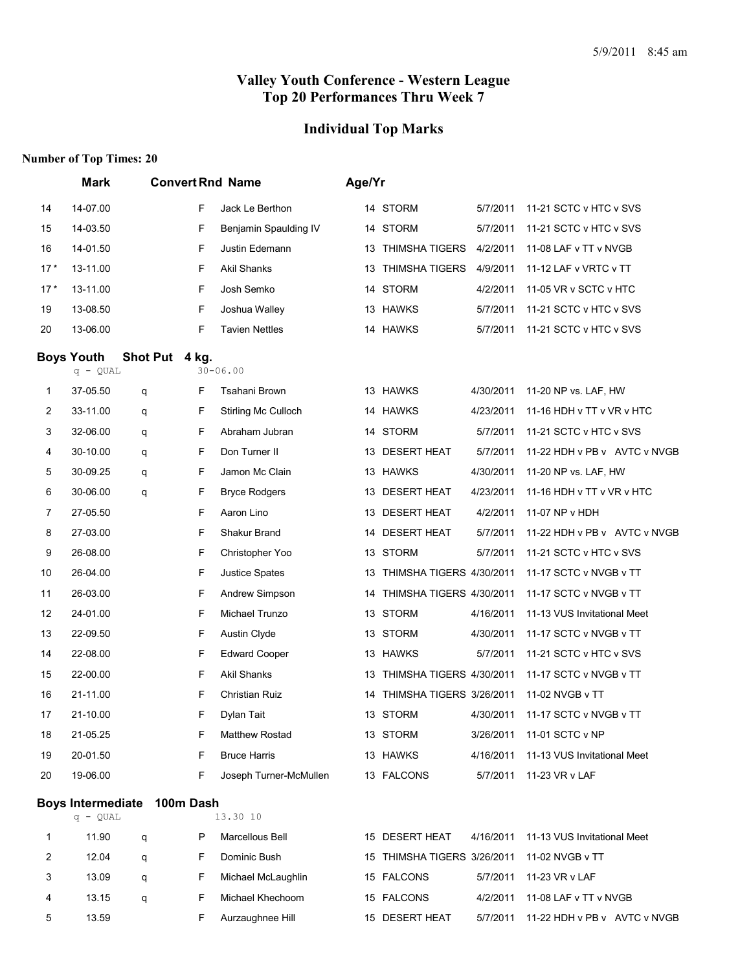#### **Individual Top Marks**

#### **Number of Top Times: 20**

|       | <b>Mark</b>                     |                             |   | <b>Convert Rnd Name</b> | Age/Yr |                                             |           |                              |
|-------|---------------------------------|-----------------------------|---|-------------------------|--------|---------------------------------------------|-----------|------------------------------|
| 14    | 14-07.00                        |                             | F | Jack Le Berthon         |        | 14 STORM                                    | 5/7/2011  | 11-21 SCTC v HTC v SVS       |
| 15    | 14-03.50                        |                             | F | Benjamin Spaulding IV   |        | 14 STORM                                    | 5/7/2011  | 11-21 SCTC v HTC v SVS       |
| 16    | 14-01.50                        |                             | F | Justin Edemann          | 13     | <b>THIMSHA TIGERS</b>                       | 4/2/2011  | 11-08 LAF v TT v NVGB        |
| $17*$ | 13-11.00                        |                             | F | <b>Akil Shanks</b>      | 13     | <b>THIMSHA TIGERS</b>                       | 4/9/2011  | 11-12 LAF v VRTC v TT        |
| $17*$ | 13-11.00                        |                             | F | Josh Semko              |        | 14 STORM                                    | 4/2/2011  | 11-05 VR v SCTC v HTC        |
| 19    | 13-08.50                        |                             | F | Joshua Walley           |        | 13 HAWKS                                    | 5/7/2011  | 11-21 SCTC v HTC v SVS       |
| 20    | 13-06.00                        |                             | F | <b>Tavien Nettles</b>   |        | 14 HAWKS                                    | 5/7/2011  | 11-21 SCTC v HTC v SVS       |
|       | <b>Boys Youth</b><br>$q - QUAL$ | Shot Put 4 kg.              |   | $30 - 06.00$            |        |                                             |           |                              |
| 1     | 37-05.50                        | q                           | F | Tsahani Brown           |        | 13 HAWKS                                    | 4/30/2011 | 11-20 NP vs. LAF, HW         |
| 2     | 33-11.00                        | q                           | F | Stirling Mc Culloch     |        | 14 HAWKS                                    | 4/23/2011 | 11-16 HDH v TT v VR v HTC    |
| 3     | 32-06.00                        | q                           | F | Abraham Jubran          |        | 14 STORM                                    | 5/7/2011  | 11-21 SCTC v HTC v SVS       |
| 4     | 30-10.00                        | q                           | F | Don Turner II           |        | 13 DESERT HEAT                              | 5/7/2011  | 11-22 HDH v PB v AVTC v NVGB |
| 5     | 30-09.25                        | q                           | F | Jamon Mc Clain          |        | 13 HAWKS                                    | 4/30/2011 | 11-20 NP vs. LAF, HW         |
| 6     | 30-06.00                        | q                           | F | <b>Bryce Rodgers</b>    |        | 13 DESERT HEAT                              | 4/23/2011 | 11-16 HDH v TT v VR v HTC    |
| 7     | 27-05.50                        |                             | F | Aaron Lino              |        | 13 DESERT HEAT                              | 4/2/2011  | 11-07 NP v HDH               |
| 8     | 27-03.00                        |                             | F | Shakur Brand            | 14     | <b>DESERT HEAT</b>                          | 5/7/2011  | 11-22 HDH v PB v AVTC v NVGB |
| 9     | 26-08.00                        |                             | F | Christopher Yoo         |        | 13 STORM                                    | 5/7/2011  | 11-21 SCTC v HTC v SVS       |
| 10    | 26-04.00                        |                             | F | <b>Justice Spates</b>   |        | 13 THIMSHA TIGERS 4/30/2011                 |           | 11-17 SCTC v NVGB v TT       |
| 11    | 26-03.00                        |                             | F | Andrew Simpson          | 14     | THIMSHA TIGERS 4/30/2011                    |           | 11-17 SCTC v NVGB v TT       |
| 12    | 24-01.00                        |                             | F | Michael Trunzo          |        | 13 STORM                                    | 4/16/2011 | 11-13 VUS Invitational Meet  |
| 13    | 22-09.50                        |                             | F | Austin Clyde            |        | 13 STORM                                    | 4/30/2011 | 11-17 SCTC v NVGB v TT       |
| 14    | 22-08.00                        |                             | F | <b>Edward Cooper</b>    |        | 13 HAWKS                                    | 5/7/2011  | 11-21 SCTC v HTC v SVS       |
| 15    | 22-00.00                        |                             | F | Akil Shanks             | 13     | THIMSHA TIGERS 4/30/2011                    |           | 11-17 SCTC v NVGB v TT       |
| 16    | 21-11.00                        |                             | F | <b>Christian Ruiz</b>   | 14     | THIMSHA TIGERS 3/26/2011                    |           | 11-02 NVGB v TT              |
| 17    | 21-10.00                        |                             | F | Dylan Tait              |        | 13 STORM                                    | 4/30/2011 | 11-17 SCTC v NVGB v TT       |
| 18    | 21-05.25                        |                             | F | Matthew Rostad          |        | 13 STORM                                    | 3/26/2011 | 11-01 SCTC v NP              |
| 19    | 20-01.50                        |                             | F | <b>Bruce Harris</b>     |        | 13 HAWKS                                    | 4/16/2011 | 11-13 VUS Invitational Meet  |
| 20    | 19-06.00                        |                             | F | Joseph Turner-McMullen  |        | 13 FALCONS                                  | 5/7/2011  | 11-23 VR v LAF               |
|       |                                 | Boys Intermediate 100m Dash |   |                         |        |                                             |           |                              |
|       | $q - QUAL$                      |                             |   | 13.30 10                |        |                                             |           |                              |
| 1     | 11.90                           | q                           | P | Marcellous Bell         |        | 15 DESERT HEAT                              | 4/16/2011 | 11-13 VUS Invitational Meet  |
| 2     | 12.04                           | q                           | F | Dominic Bush            |        | 15 THIMSHA TIGERS 3/26/2011 11-02 NVGB v TT |           |                              |

3 13.09 q F Michael McLaughlin 15 FALCONS 5/7/2011 11-23 VR v LAF

13.15 q F Michael Khechoom 15 FALCONS 4/2/2011 11-08 LAF v TT v NVGB

5 13.59 F Aurzaughnee Hill 15 DESERT HEAT 5/7/2011 11-22 HDH v PB v AVTC v NVGB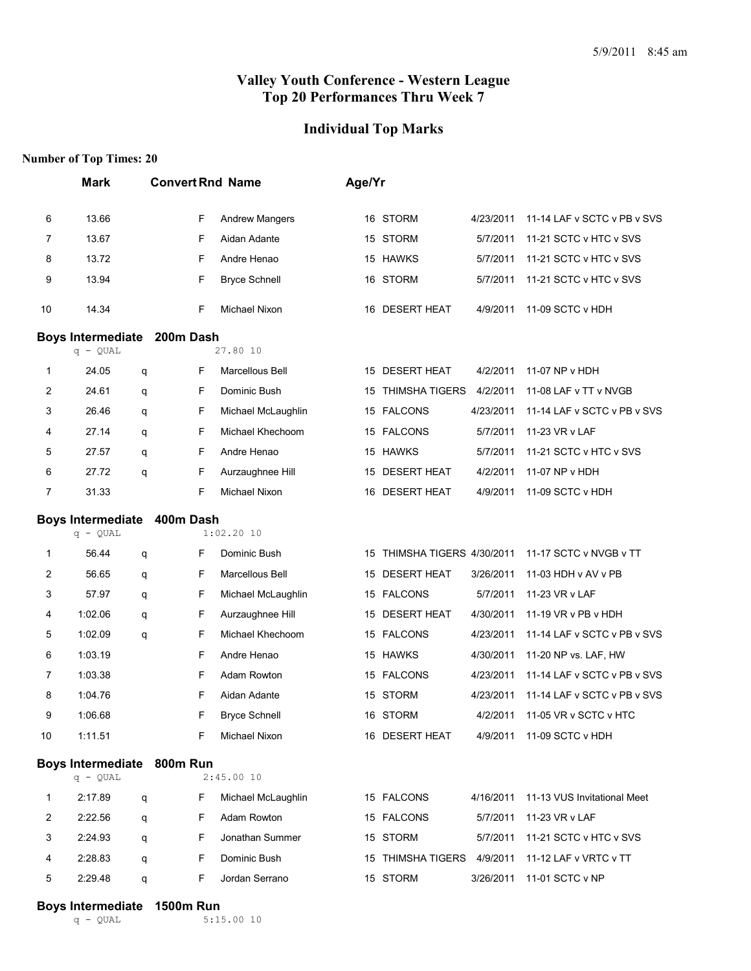#### **Individual Top Marks**

#### **Number of Top Times: 20**

|    | <b>Mark</b>                              |   | <b>Convert Rnd Name</b> |                       | Age/Yr |                             |           |                             |
|----|------------------------------------------|---|-------------------------|-----------------------|--------|-----------------------------|-----------|-----------------------------|
| 6  | 13.66                                    |   | F                       | <b>Andrew Mangers</b> |        | 16 STORM                    | 4/23/2011 | 11-14 LAF v SCTC v PB v SVS |
| 7  | 13.67                                    |   | F                       | Aidan Adante          |        | 15 STORM                    | 5/7/2011  | 11-21 SCTC v HTC v SVS      |
| 8  | 13.72                                    |   | F                       | Andre Henao           |        | 15 HAWKS                    | 5/7/2011  | 11-21 SCTC v HTC v SVS      |
| 9  | 13.94                                    |   | F                       | <b>Bryce Schnell</b>  |        | 16 STORM                    | 5/7/2011  | 11-21 SCTC v HTC v SVS      |
| 10 | 14.34                                    |   | F                       | Michael Nixon         |        | 16 DESERT HEAT              | 4/9/2011  | 11-09 SCTC v HDH            |
|    | <b>Boys Intermediate</b>                 |   | 200m Dash               |                       |        |                             |           |                             |
|    | $q - QUAL$                               |   |                         | 27.80 10              |        |                             |           |                             |
| 1  | 24.05                                    | q | F                       | Marcellous Bell       |        | 15 DESERT HEAT              | 4/2/2011  | 11-07 NP v HDH              |
| 2  | 24.61                                    | q | F                       | Dominic Bush          | 15     | <b>THIMSHA TIGERS</b>       | 4/2/2011  | 11-08 LAF v TT v NVGB       |
| 3  | 26.46                                    | q | F                       | Michael McLaughlin    |        | 15 FALCONS                  | 4/23/2011 | 11-14 LAF v SCTC v PB v SVS |
| 4  | 27.14                                    | q | F                       | Michael Khechoom      |        | 15 FALCONS                  | 5/7/2011  | 11-23 VR v LAF              |
| 5  | 27.57                                    | q | F                       | Andre Henao           |        | 15 HAWKS                    | 5/7/2011  | 11-21 SCTC v HTC v SVS      |
| 6  | 27.72                                    | q | F                       | Aurzaughnee Hill      | 15     | <b>DESERT HEAT</b>          | 4/2/2011  | 11-07 NP v HDH              |
| 7  | 31.33                                    |   | F                       | Michael Nixon         | 16     | <b>DESERT HEAT</b>          | 4/9/2011  | 11-09 SCTC v HDH            |
|    | <b>Boys Intermediate</b>                 |   | 400m Dash               |                       |        |                             |           |                             |
|    | $q - QUAL$                               |   |                         | $1:02.20$ 10          |        |                             |           |                             |
| 1  | 56.44                                    | q | F                       | Dominic Bush          |        | 15 THIMSHA TIGERS 4/30/2011 |           | 11-17 SCTC v NVGB v TT      |
| 2  | 56.65                                    | q | F                       | Marcellous Bell       | 15     | <b>DESERT HEAT</b>          | 3/26/2011 | 11-03 HDH v AV v PB         |
| 3  | 57.97                                    | q | F                       | Michael McLaughlin    |        | 15 FALCONS                  | 5/7/2011  | 11-23 VR v LAF              |
| 4  | 1:02.06                                  | q | F                       | Aurzaughnee Hill      |        | 15 DESERT HEAT              | 4/30/2011 | 11-19 VR v PB v HDH         |
| 5  | 1:02.09                                  | q | F                       | Michael Khechoom      |        | 15 FALCONS                  | 4/23/2011 | 11-14 LAF v SCTC v PB v SVS |
| 6  | 1:03.19                                  |   | F                       | Andre Henao           |        | 15 HAWKS                    | 4/30/2011 | 11-20 NP vs. LAF, HW        |
| 7  | 1:03.38                                  |   | F                       | Adam Rowton           |        | 15 FALCONS                  | 4/23/2011 | 11-14 LAF v SCTC v PB v SVS |
| 8  | 1:04.76                                  |   | F                       | Aidan Adante          |        | 15 STORM                    | 4/23/2011 | 11-14 LAF v SCTC v PB v SVS |
| 9  | 1:06.68                                  |   | F                       | <b>Bryce Schnell</b>  |        | 16 STORM                    | 4/2/2011  | 11-05 VR v SCTC v HTC       |
| 10 | 1:11.51                                  |   | F                       | Michael Nixon         |        | 16 DESERT HEAT              | 4/9/2011  | 11-09 SCTC v HDH            |
|    | Boys Intermediate 800m Run<br>$q - QUAL$ |   |                         | 2:45.0010             |        |                             |           |                             |
| 1  | 2:17.89                                  | q | F                       | Michael McLaughlin    |        | 15 FALCONS                  | 4/16/2011 | 11-13 VUS Invitational Meet |
| 2  | 2:22.56                                  | q | F                       | Adam Rowton           |        | 15 FALCONS                  | 5/7/2011  | 11-23 VR v LAF              |
| 3  | 2:24.93                                  | q | F                       | Jonathan Summer       |        | 15 STORM                    | 5/7/2011  | 11-21 SCTC v HTC v SVS      |
| 4  | 2:28.83                                  | q | F                       | Dominic Bush          |        | 15 THIMSHA TIGERS           | 4/9/2011  | 11-12 LAF v VRTC v TT       |
| 5  | 2:29.48                                  | q | F                       | Jordan Serrano        |        | 15 STORM                    | 3/26/2011 | 11-01 SCTC v NP             |
|    |                                          |   |                         |                       |        |                             |           |                             |

# **Boys Intermediate 1500m Run**<br>5:15 **b**